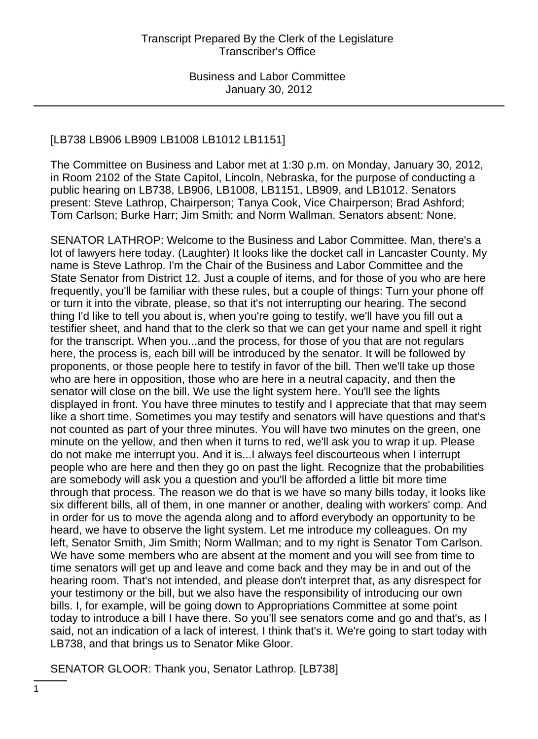# [LB738 LB906 LB909 LB1008 LB1012 LB1151]

The Committee on Business and Labor met at 1:30 p.m. on Monday, January 30, 2012, in Room 2102 of the State Capitol, Lincoln, Nebraska, for the purpose of conducting a public hearing on LB738, LB906, LB1008, LB1151, LB909, and LB1012. Senators present: Steve Lathrop, Chairperson; Tanya Cook, Vice Chairperson; Brad Ashford; Tom Carlson; Burke Harr; Jim Smith; and Norm Wallman. Senators absent: None.

SENATOR LATHROP: Welcome to the Business and Labor Committee. Man, there's a lot of lawyers here today. (Laughter) It looks like the docket call in Lancaster County. My name is Steve Lathrop. I'm the Chair of the Business and Labor Committee and the State Senator from District 12. Just a couple of items, and for those of you who are here frequently, you'll be familiar with these rules, but a couple of things: Turn your phone off or turn it into the vibrate, please, so that it's not interrupting our hearing. The second thing I'd like to tell you about is, when you're going to testify, we'll have you fill out a testifier sheet, and hand that to the clerk so that we can get your name and spell it right for the transcript. When you...and the process, for those of you that are not regulars here, the process is, each bill will be introduced by the senator. It will be followed by proponents, or those people here to testify in favor of the bill. Then we'll take up those who are here in opposition, those who are here in a neutral capacity, and then the senator will close on the bill. We use the light system here. You'll see the lights displayed in front. You have three minutes to testify and I appreciate that that may seem like a short time. Sometimes you may testify and senators will have questions and that's not counted as part of your three minutes. You will have two minutes on the green, one minute on the yellow, and then when it turns to red, we'll ask you to wrap it up. Please do not make me interrupt you. And it is...I always feel discourteous when I interrupt people who are here and then they go on past the light. Recognize that the probabilities are somebody will ask you a question and you'll be afforded a little bit more time through that process. The reason we do that is we have so many bills today, it looks like six different bills, all of them, in one manner or another, dealing with workers' comp. And in order for us to move the agenda along and to afford everybody an opportunity to be heard, we have to observe the light system. Let me introduce my colleagues. On my left, Senator Smith, Jim Smith; Norm Wallman; and to my right is Senator Tom Carlson. We have some members who are absent at the moment and you will see from time to time senators will get up and leave and come back and they may be in and out of the hearing room. That's not intended, and please don't interpret that, as any disrespect for your testimony or the bill, but we also have the responsibility of introducing our own bills. I, for example, will be going down to Appropriations Committee at some point today to introduce a bill I have there. So you'll see senators come and go and that's, as I said, not an indication of a lack of interest. I think that's it. We're going to start today with LB738, and that brings us to Senator Mike Gloor.

SENATOR GLOOR: Thank you, Senator Lathrop. [LB738]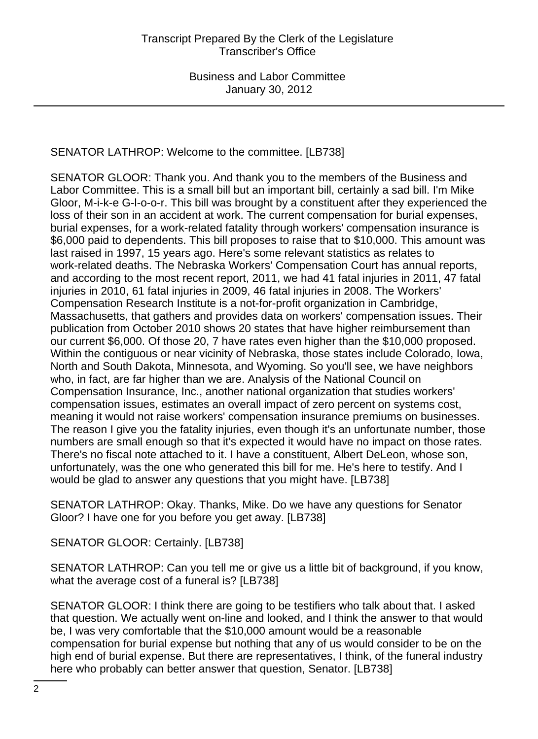# SENATOR LATHROP: Welcome to the committee. [LB738]

SENATOR GLOOR: Thank you. And thank you to the members of the Business and Labor Committee. This is a small bill but an important bill, certainly a sad bill. I'm Mike Gloor, M-i-k-e G-l-o-o-r. This bill was brought by a constituent after they experienced the loss of their son in an accident at work. The current compensation for burial expenses, burial expenses, for a work-related fatality through workers' compensation insurance is \$6,000 paid to dependents. This bill proposes to raise that to \$10,000. This amount was last raised in 1997, 15 years ago. Here's some relevant statistics as relates to work-related deaths. The Nebraska Workers' Compensation Court has annual reports, and according to the most recent report, 2011, we had 41 fatal injuries in 2011, 47 fatal injuries in 2010, 61 fatal injuries in 2009, 46 fatal injuries in 2008. The Workers' Compensation Research Institute is a not-for-profit organization in Cambridge, Massachusetts, that gathers and provides data on workers' compensation issues. Their publication from October 2010 shows 20 states that have higher reimbursement than our current \$6,000. Of those 20, 7 have rates even higher than the \$10,000 proposed. Within the contiguous or near vicinity of Nebraska, those states include Colorado, Iowa, North and South Dakota, Minnesota, and Wyoming. So you'll see, we have neighbors who, in fact, are far higher than we are. Analysis of the National Council on Compensation Insurance, Inc., another national organization that studies workers' compensation issues, estimates an overall impact of zero percent on systems cost, meaning it would not raise workers' compensation insurance premiums on businesses. The reason I give you the fatality injuries, even though it's an unfortunate number, those numbers are small enough so that it's expected it would have no impact on those rates. There's no fiscal note attached to it. I have a constituent, Albert DeLeon, whose son, unfortunately, was the one who generated this bill for me. He's here to testify. And I would be glad to answer any questions that you might have. [LB738]

SENATOR LATHROP: Okay. Thanks, Mike. Do we have any questions for Senator Gloor? I have one for you before you get away. [LB738]

SENATOR GLOOR: Certainly. [LB738]

SENATOR LATHROP: Can you tell me or give us a little bit of background, if you know, what the average cost of a funeral is? [LB738]

SENATOR GLOOR: I think there are going to be testifiers who talk about that. I asked that question. We actually went on-line and looked, and I think the answer to that would be, I was very comfortable that the \$10,000 amount would be a reasonable compensation for burial expense but nothing that any of us would consider to be on the high end of burial expense. But there are representatives, I think, of the funeral industry here who probably can better answer that question, Senator. [LB738]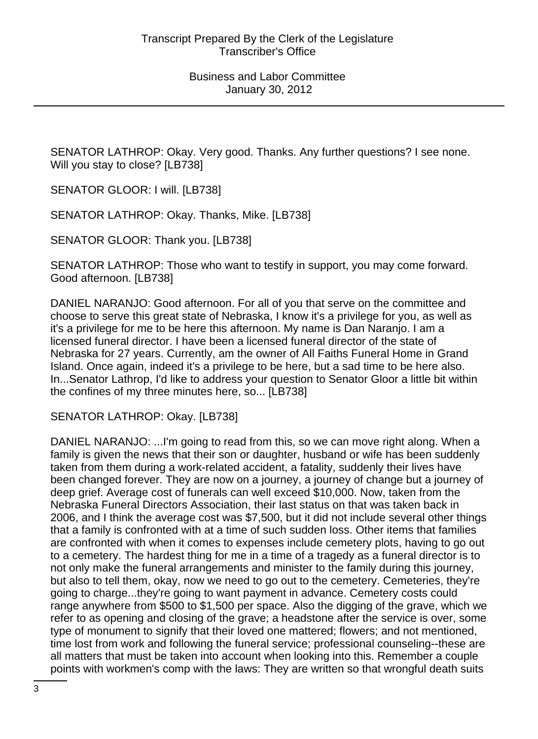SENATOR LATHROP: Okay. Very good. Thanks. Any further questions? I see none. Will you stay to close? [LB738]

SENATOR GLOOR: I will. [LB738]

SENATOR LATHROP: Okay. Thanks, Mike. [LB738]

SENATOR GLOOR: Thank you. [LB738]

SENATOR LATHROP: Those who want to testify in support, you may come forward. Good afternoon. [LB738]

DANIEL NARANJO: Good afternoon. For all of you that serve on the committee and choose to serve this great state of Nebraska, I know it's a privilege for you, as well as it's a privilege for me to be here this afternoon. My name is Dan Naranjo. I am a licensed funeral director. I have been a licensed funeral director of the state of Nebraska for 27 years. Currently, am the owner of All Faiths Funeral Home in Grand Island. Once again, indeed it's a privilege to be here, but a sad time to be here also. In...Senator Lathrop, I'd like to address your question to Senator Gloor a little bit within the confines of my three minutes here, so... [LB738]

SENATOR LATHROP: Okay. [LB738]

DANIEL NARANJO: ...I'm going to read from this, so we can move right along. When a family is given the news that their son or daughter, husband or wife has been suddenly taken from them during a work-related accident, a fatality, suddenly their lives have been changed forever. They are now on a journey, a journey of change but a journey of deep grief. Average cost of funerals can well exceed \$10,000. Now, taken from the Nebraska Funeral Directors Association, their last status on that was taken back in 2006, and I think the average cost was \$7,500, but it did not include several other things that a family is confronted with at a time of such sudden loss. Other items that families are confronted with when it comes to expenses include cemetery plots, having to go out to a cemetery. The hardest thing for me in a time of a tragedy as a funeral director is to not only make the funeral arrangements and minister to the family during this journey, but also to tell them, okay, now we need to go out to the cemetery. Cemeteries, they're going to charge...they're going to want payment in advance. Cemetery costs could range anywhere from \$500 to \$1,500 per space. Also the digging of the grave, which we refer to as opening and closing of the grave; a headstone after the service is over, some type of monument to signify that their loved one mattered; flowers; and not mentioned, time lost from work and following the funeral service; professional counseling--these are all matters that must be taken into account when looking into this. Remember a couple points with workmen's comp with the laws: They are written so that wrongful death suits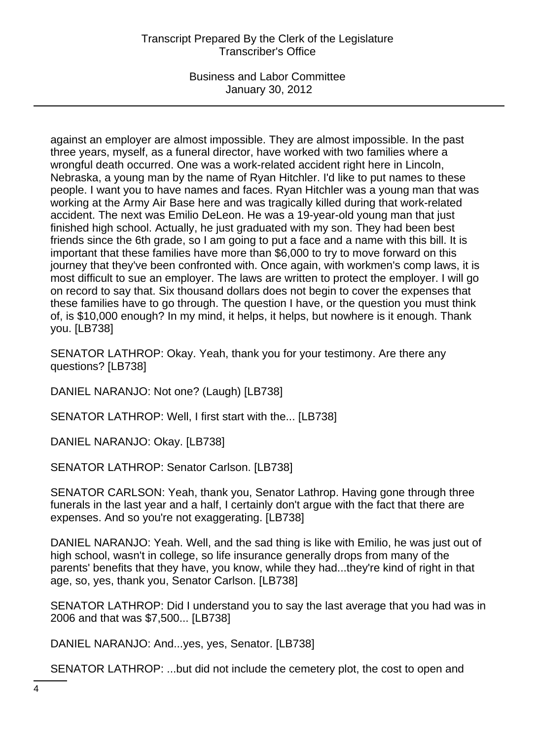against an employer are almost impossible. They are almost impossible. In the past three years, myself, as a funeral director, have worked with two families where a wrongful death occurred. One was a work-related accident right here in Lincoln, Nebraska, a young man by the name of Ryan Hitchler. I'd like to put names to these people. I want you to have names and faces. Ryan Hitchler was a young man that was working at the Army Air Base here and was tragically killed during that work-related accident. The next was Emilio DeLeon. He was a 19-year-old young man that just finished high school. Actually, he just graduated with my son. They had been best friends since the 6th grade, so I am going to put a face and a name with this bill. It is important that these families have more than \$6,000 to try to move forward on this journey that they've been confronted with. Once again, with workmen's comp laws, it is most difficult to sue an employer. The laws are written to protect the employer. I will go on record to say that. Six thousand dollars does not begin to cover the expenses that these families have to go through. The question I have, or the question you must think of, is \$10,000 enough? In my mind, it helps, it helps, but nowhere is it enough. Thank you. [LB738]

SENATOR LATHROP: Okay. Yeah, thank you for your testimony. Are there any questions? [LB738]

DANIEL NARANJO: Not one? (Laugh) [LB738]

SENATOR LATHROP: Well, I first start with the... [LB738]

DANIEL NARANJO: Okay. [LB738]

SENATOR LATHROP: Senator Carlson. [LB738]

SENATOR CARLSON: Yeah, thank you, Senator Lathrop. Having gone through three funerals in the last year and a half, I certainly don't argue with the fact that there are expenses. And so you're not exaggerating. [LB738]

DANIEL NARANJO: Yeah. Well, and the sad thing is like with Emilio, he was just out of high school, wasn't in college, so life insurance generally drops from many of the parents' benefits that they have, you know, while they had...they're kind of right in that age, so, yes, thank you, Senator Carlson. [LB738]

SENATOR LATHROP: Did I understand you to say the last average that you had was in 2006 and that was \$7,500... [LB738]

DANIEL NARANJO: And...yes, yes, Senator. [LB738]

SENATOR LATHROP: ...but did not include the cemetery plot, the cost to open and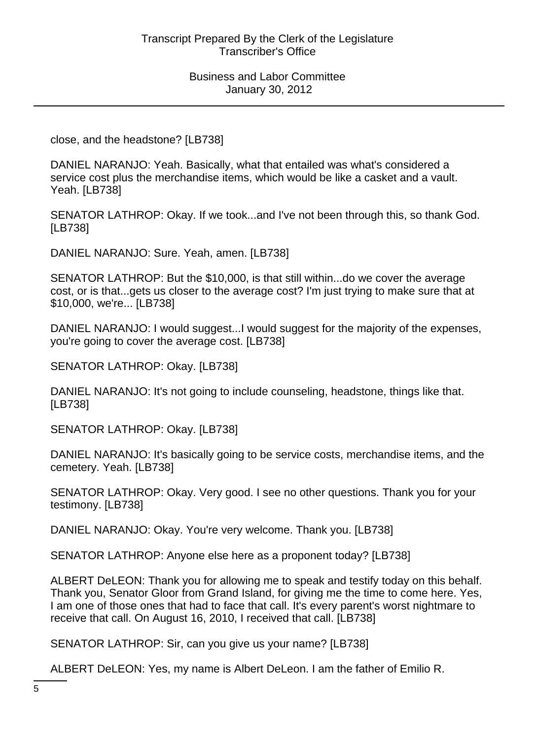close, and the headstone? [LB738]

DANIEL NARANJO: Yeah. Basically, what that entailed was what's considered a service cost plus the merchandise items, which would be like a casket and a vault. Yeah. [LB738]

SENATOR LATHROP: Okay. If we took...and I've not been through this, so thank God. [LB738]

DANIEL NARANJO: Sure. Yeah, amen. [LB738]

SENATOR LATHROP: But the \$10,000, is that still within...do we cover the average cost, or is that...gets us closer to the average cost? I'm just trying to make sure that at \$10,000, we're... [LB738]

DANIEL NARANJO: I would suggest...I would suggest for the majority of the expenses, you're going to cover the average cost. [LB738]

SENATOR LATHROP: Okay. [LB738]

DANIEL NARANJO: It's not going to include counseling, headstone, things like that. [LB738]

SENATOR LATHROP: Okay. [LB738]

DANIEL NARANJO: It's basically going to be service costs, merchandise items, and the cemetery. Yeah. [LB738]

SENATOR LATHROP: Okay. Very good. I see no other questions. Thank you for your testimony. [LB738]

DANIEL NARANJO: Okay. You're very welcome. Thank you. [LB738]

SENATOR LATHROP: Anyone else here as a proponent today? [LB738]

ALBERT DeLEON: Thank you for allowing me to speak and testify today on this behalf. Thank you, Senator Gloor from Grand Island, for giving me the time to come here. Yes, I am one of those ones that had to face that call. It's every parent's worst nightmare to receive that call. On August 16, 2010, I received that call. [LB738]

SENATOR LATHROP: Sir, can you give us your name? [LB738]

ALBERT DeLEON: Yes, my name is Albert DeLeon. I am the father of Emilio R.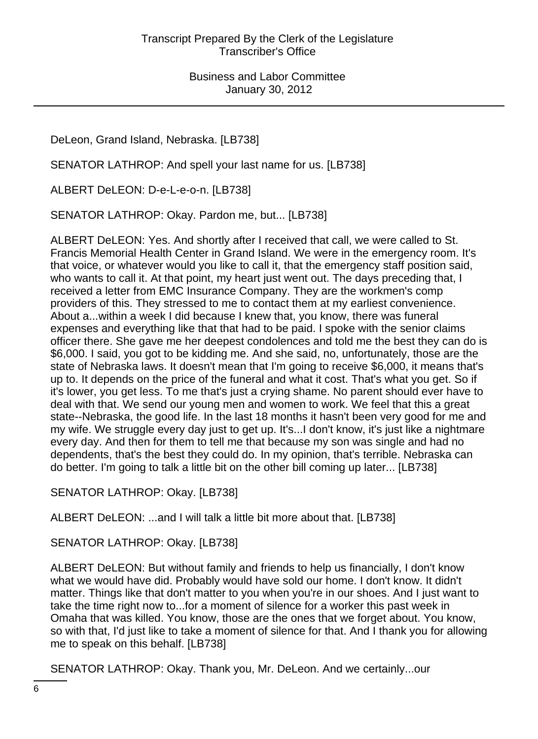DeLeon, Grand Island, Nebraska. [LB738]

SENATOR LATHROP: And spell your last name for us. [LB738]

ALBERT DeLEON: D-e-L-e-o-n. [LB738]

SENATOR LATHROP: Okay. Pardon me, but... [LB738]

ALBERT DeLEON: Yes. And shortly after I received that call, we were called to St. Francis Memorial Health Center in Grand Island. We were in the emergency room. It's that voice, or whatever would you like to call it, that the emergency staff position said, who wants to call it. At that point, my heart just went out. The days preceding that, I received a letter from EMC Insurance Company. They are the workmen's comp providers of this. They stressed to me to contact them at my earliest convenience. About a...within a week I did because I knew that, you know, there was funeral expenses and everything like that that had to be paid. I spoke with the senior claims officer there. She gave me her deepest condolences and told me the best they can do is \$6,000. I said, you got to be kidding me. And she said, no, unfortunately, those are the state of Nebraska laws. It doesn't mean that I'm going to receive \$6,000, it means that's up to. It depends on the price of the funeral and what it cost. That's what you get. So if it's lower, you get less. To me that's just a crying shame. No parent should ever have to deal with that. We send our young men and women to work. We feel that this a great state--Nebraska, the good life. In the last 18 months it hasn't been very good for me and my wife. We struggle every day just to get up. It's...I don't know, it's just like a nightmare every day. And then for them to tell me that because my son was single and had no dependents, that's the best they could do. In my opinion, that's terrible. Nebraska can do better. I'm going to talk a little bit on the other bill coming up later... [LB738]

SENATOR LATHROP: Okay. [LB738]

ALBERT DeLEON: ...and I will talk a little bit more about that. [LB738]

SENATOR LATHROP: Okay. [LB738]

ALBERT DeLEON: But without family and friends to help us financially, I don't know what we would have did. Probably would have sold our home. I don't know. It didn't matter. Things like that don't matter to you when you're in our shoes. And I just want to take the time right now to...for a moment of silence for a worker this past week in Omaha that was killed. You know, those are the ones that we forget about. You know, so with that, I'd just like to take a moment of silence for that. And I thank you for allowing me to speak on this behalf. [LB738]

SENATOR LATHROP: Okay. Thank you, Mr. DeLeon. And we certainly...our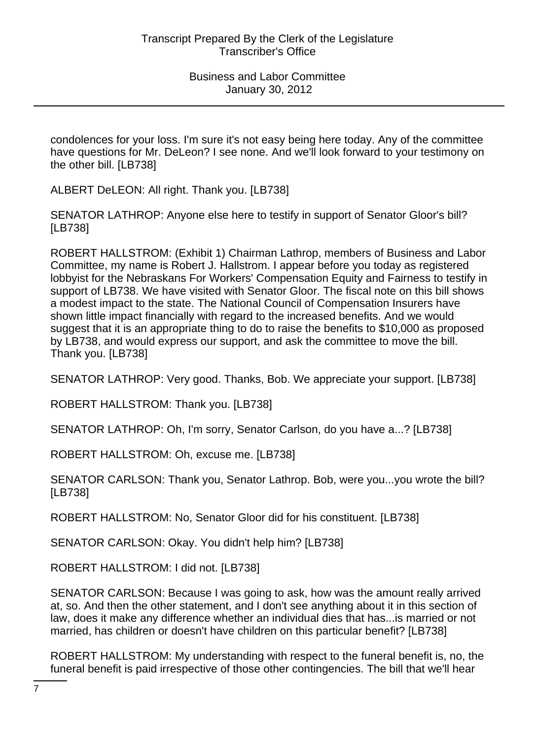condolences for your loss. I'm sure it's not easy being here today. Any of the committee have questions for Mr. DeLeon? I see none. And we'll look forward to your testimony on the other bill. [LB738]

ALBERT DeLEON: All right. Thank you. [LB738]

SENATOR LATHROP: Anyone else here to testify in support of Senator Gloor's bill? [LB738]

ROBERT HALLSTROM: (Exhibit 1) Chairman Lathrop, members of Business and Labor Committee, my name is Robert J. Hallstrom. I appear before you today as registered lobbyist for the Nebraskans For Workers' Compensation Equity and Fairness to testify in support of LB738. We have visited with Senator Gloor. The fiscal note on this bill shows a modest impact to the state. The National Council of Compensation Insurers have shown little impact financially with regard to the increased benefits. And we would suggest that it is an appropriate thing to do to raise the benefits to \$10,000 as proposed by LB738, and would express our support, and ask the committee to move the bill. Thank you. [LB738]

SENATOR LATHROP: Very good. Thanks, Bob. We appreciate your support. [LB738]

ROBERT HALLSTROM: Thank you. [LB738]

SENATOR LATHROP: Oh, I'm sorry, Senator Carlson, do you have a...? [LB738]

ROBERT HALLSTROM: Oh, excuse me. [LB738]

SENATOR CARLSON: Thank you, Senator Lathrop. Bob, were you...you wrote the bill? [LB738]

ROBERT HALLSTROM: No, Senator Gloor did for his constituent. [LB738]

SENATOR CARLSON: Okay. You didn't help him? [LB738]

ROBERT HALLSTROM: I did not. [LB738]

SENATOR CARLSON: Because I was going to ask, how was the amount really arrived at, so. And then the other statement, and I don't see anything about it in this section of law, does it make any difference whether an individual dies that has...is married or not married, has children or doesn't have children on this particular benefit? [LB738]

ROBERT HALLSTROM: My understanding with respect to the funeral benefit is, no, the funeral benefit is paid irrespective of those other contingencies. The bill that we'll hear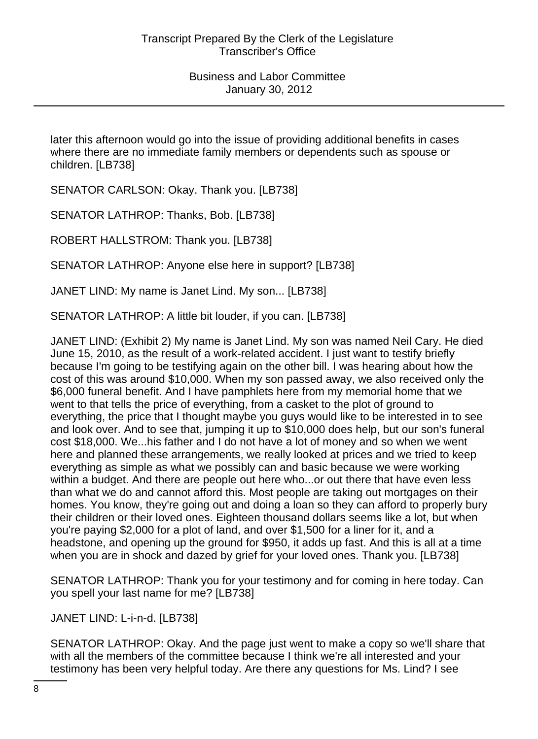later this afternoon would go into the issue of providing additional benefits in cases where there are no immediate family members or dependents such as spouse or children. [LB738]

SENATOR CARLSON: Okay. Thank you. [LB738]

SENATOR LATHROP: Thanks, Bob. [LB738]

ROBERT HALLSTROM: Thank you. [LB738]

SENATOR LATHROP: Anyone else here in support? [LB738]

JANET LIND: My name is Janet Lind. My son... [LB738]

SENATOR LATHROP: A little bit louder, if you can. [LB738]

JANET LIND: (Exhibit 2) My name is Janet Lind. My son was named Neil Cary. He died June 15, 2010, as the result of a work-related accident. I just want to testify briefly because I'm going to be testifying again on the other bill. I was hearing about how the cost of this was around \$10,000. When my son passed away, we also received only the \$6,000 funeral benefit. And I have pamphlets here from my memorial home that we went to that tells the price of everything, from a casket to the plot of ground to everything, the price that I thought maybe you guys would like to be interested in to see and look over. And to see that, jumping it up to \$10,000 does help, but our son's funeral cost \$18,000. We...his father and I do not have a lot of money and so when we went here and planned these arrangements, we really looked at prices and we tried to keep everything as simple as what we possibly can and basic because we were working within a budget. And there are people out here who...or out there that have even less than what we do and cannot afford this. Most people are taking out mortgages on their homes. You know, they're going out and doing a loan so they can afford to properly bury their children or their loved ones. Eighteen thousand dollars seems like a lot, but when you're paying \$2,000 for a plot of land, and over \$1,500 for a liner for it, and a headstone, and opening up the ground for \$950, it adds up fast. And this is all at a time when you are in shock and dazed by grief for your loved ones. Thank you. [LB738]

SENATOR LATHROP: Thank you for your testimony and for coming in here today. Can you spell your last name for me? [LB738]

JANET LIND: L-i-n-d. [LB738]

SENATOR LATHROP: Okay. And the page just went to make a copy so we'll share that with all the members of the committee because I think we're all interested and your testimony has been very helpful today. Are there any questions for Ms. Lind? I see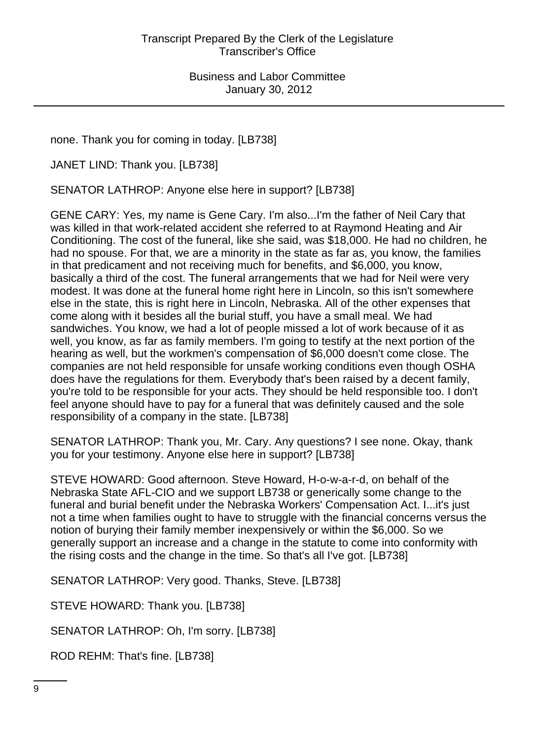none. Thank you for coming in today. [LB738]

JANET LIND: Thank you. [LB738]

SENATOR LATHROP: Anyone else here in support? [LB738]

GENE CARY: Yes, my name is Gene Cary. I'm also...I'm the father of Neil Cary that was killed in that work-related accident she referred to at Raymond Heating and Air Conditioning. The cost of the funeral, like she said, was \$18,000. He had no children, he had no spouse. For that, we are a minority in the state as far as, you know, the families in that predicament and not receiving much for benefits, and \$6,000, you know, basically a third of the cost. The funeral arrangements that we had for Neil were very modest. It was done at the funeral home right here in Lincoln, so this isn't somewhere else in the state, this is right here in Lincoln, Nebraska. All of the other expenses that come along with it besides all the burial stuff, you have a small meal. We had sandwiches. You know, we had a lot of people missed a lot of work because of it as well, you know, as far as family members. I'm going to testify at the next portion of the hearing as well, but the workmen's compensation of \$6,000 doesn't come close. The companies are not held responsible for unsafe working conditions even though OSHA does have the regulations for them. Everybody that's been raised by a decent family, you're told to be responsible for your acts. They should be held responsible too. I don't feel anyone should have to pay for a funeral that was definitely caused and the sole responsibility of a company in the state. [LB738]

SENATOR LATHROP: Thank you, Mr. Cary. Any questions? I see none. Okay, thank you for your testimony. Anyone else here in support? [LB738]

STEVE HOWARD: Good afternoon. Steve Howard, H-o-w-a-r-d, on behalf of the Nebraska State AFL-CIO and we support LB738 or generically some change to the funeral and burial benefit under the Nebraska Workers' Compensation Act. I...it's just not a time when families ought to have to struggle with the financial concerns versus the notion of burying their family member inexpensively or within the \$6,000. So we generally support an increase and a change in the statute to come into conformity with the rising costs and the change in the time. So that's all I've got. [LB738]

SENATOR LATHROP: Very good. Thanks, Steve. [LB738]

STEVE HOWARD: Thank you. [LB738]

SENATOR LATHROP: Oh, I'm sorry. [LB738]

ROD REHM: That's fine. [LB738]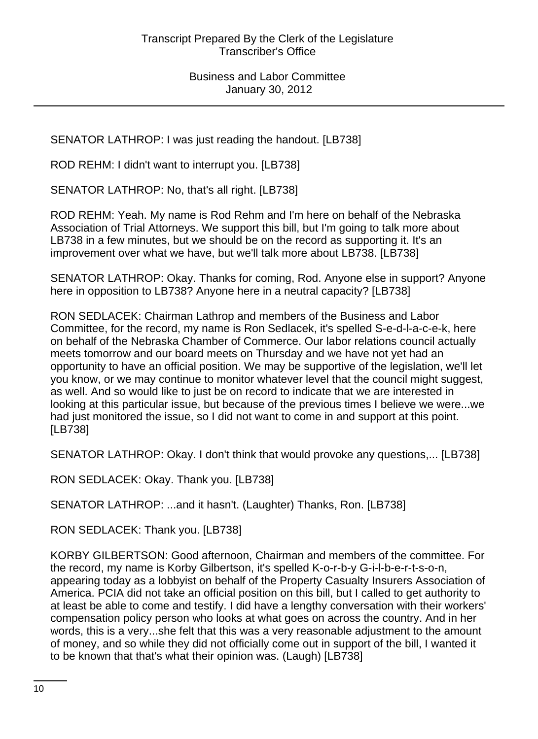SENATOR LATHROP: I was just reading the handout. [LB738]

ROD REHM: I didn't want to interrupt you. [LB738]

SENATOR LATHROP: No, that's all right. [LB738]

ROD REHM: Yeah. My name is Rod Rehm and I'm here on behalf of the Nebraska Association of Trial Attorneys. We support this bill, but I'm going to talk more about LB738 in a few minutes, but we should be on the record as supporting it. It's an improvement over what we have, but we'll talk more about LB738. [LB738]

SENATOR LATHROP: Okay. Thanks for coming, Rod. Anyone else in support? Anyone here in opposition to LB738? Anyone here in a neutral capacity? [LB738]

RON SEDLACEK: Chairman Lathrop and members of the Business and Labor Committee, for the record, my name is Ron Sedlacek, it's spelled S-e-d-l-a-c-e-k, here on behalf of the Nebraska Chamber of Commerce. Our labor relations council actually meets tomorrow and our board meets on Thursday and we have not yet had an opportunity to have an official position. We may be supportive of the legislation, we'll let you know, or we may continue to monitor whatever level that the council might suggest, as well. And so would like to just be on record to indicate that we are interested in looking at this particular issue, but because of the previous times I believe we were...we had just monitored the issue, so I did not want to come in and support at this point. [LB738]

SENATOR LATHROP: Okay. I don't think that would provoke any questions,... [LB738]

RON SEDLACEK: Okay. Thank you. [LB738]

SENATOR LATHROP: ...and it hasn't. (Laughter) Thanks, Ron. [LB738]

RON SEDLACEK: Thank you. [LB738]

KORBY GILBERTSON: Good afternoon, Chairman and members of the committee. For the record, my name is Korby Gilbertson, it's spelled K-o-r-b-y G-i-l-b-e-r-t-s-o-n, appearing today as a lobbyist on behalf of the Property Casualty Insurers Association of America. PCIA did not take an official position on this bill, but I called to get authority to at least be able to come and testify. I did have a lengthy conversation with their workers' compensation policy person who looks at what goes on across the country. And in her words, this is a very...she felt that this was a very reasonable adjustment to the amount of money, and so while they did not officially come out in support of the bill, I wanted it to be known that that's what their opinion was. (Laugh) [LB738]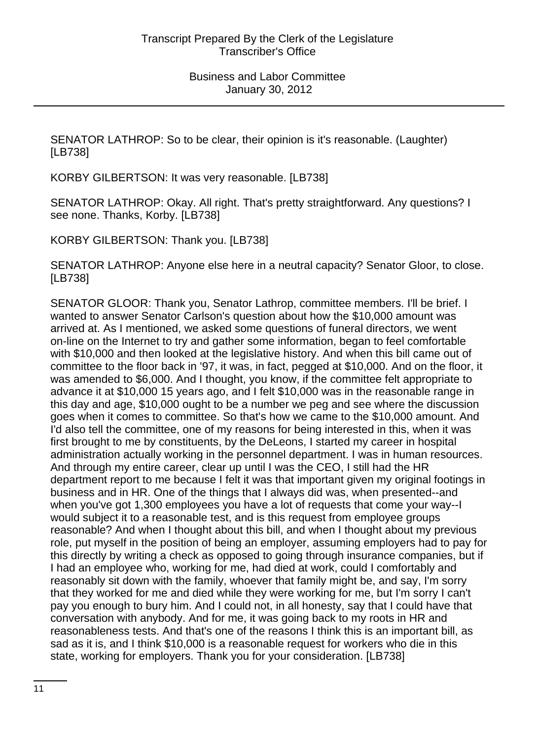SENATOR LATHROP: So to be clear, their opinion is it's reasonable. (Laughter) [LB738]

KORBY GILBERTSON: It was very reasonable. [LB738]

SENATOR LATHROP: Okay. All right. That's pretty straightforward. Any questions? I see none. Thanks, Korby. [LB738]

KORBY GILBERTSON: Thank you. [LB738]

SENATOR LATHROP: Anyone else here in a neutral capacity? Senator Gloor, to close. [LB738]

SENATOR GLOOR: Thank you, Senator Lathrop, committee members. I'll be brief. I wanted to answer Senator Carlson's question about how the \$10,000 amount was arrived at. As I mentioned, we asked some questions of funeral directors, we went on-line on the Internet to try and gather some information, began to feel comfortable with \$10,000 and then looked at the legislative history. And when this bill came out of committee to the floor back in '97, it was, in fact, pegged at \$10,000. And on the floor, it was amended to \$6,000. And I thought, you know, if the committee felt appropriate to advance it at \$10,000 15 years ago, and I felt \$10,000 was in the reasonable range in this day and age, \$10,000 ought to be a number we peg and see where the discussion goes when it comes to committee. So that's how we came to the \$10,000 amount. And I'd also tell the committee, one of my reasons for being interested in this, when it was first brought to me by constituents, by the DeLeons, I started my career in hospital administration actually working in the personnel department. I was in human resources. And through my entire career, clear up until I was the CEO, I still had the HR department report to me because I felt it was that important given my original footings in business and in HR. One of the things that I always did was, when presented--and when you've got 1,300 employees you have a lot of requests that come your way--I would subject it to a reasonable test, and is this request from employee groups reasonable? And when I thought about this bill, and when I thought about my previous role, put myself in the position of being an employer, assuming employers had to pay for this directly by writing a check as opposed to going through insurance companies, but if I had an employee who, working for me, had died at work, could I comfortably and reasonably sit down with the family, whoever that family might be, and say, I'm sorry that they worked for me and died while they were working for me, but I'm sorry I can't pay you enough to bury him. And I could not, in all honesty, say that I could have that conversation with anybody. And for me, it was going back to my roots in HR and reasonableness tests. And that's one of the reasons I think this is an important bill, as sad as it is, and I think \$10,000 is a reasonable request for workers who die in this state, working for employers. Thank you for your consideration. [LB738]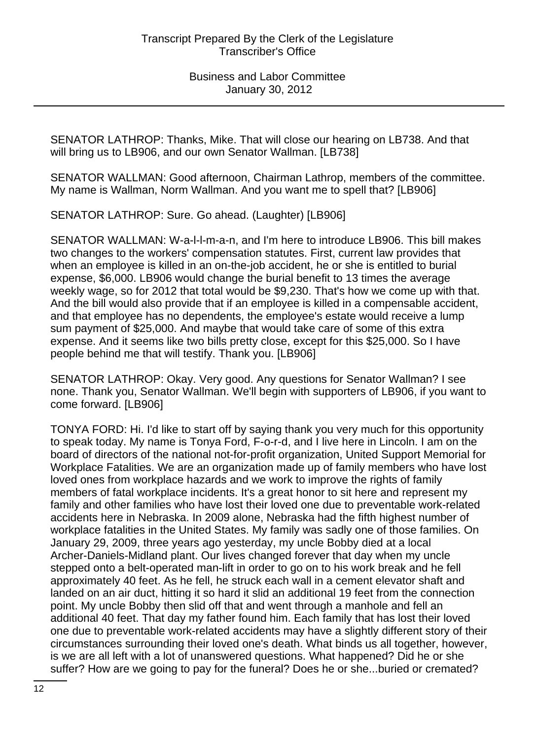SENATOR LATHROP: Thanks, Mike. That will close our hearing on LB738. And that will bring us to LB906, and our own Senator Wallman. [LB738]

SENATOR WALLMAN: Good afternoon, Chairman Lathrop, members of the committee. My name is Wallman, Norm Wallman. And you want me to spell that? [LB906]

SENATOR LATHROP: Sure. Go ahead. (Laughter) [LB906]

SENATOR WALLMAN: W-a-l-l-m-a-n, and I'm here to introduce LB906. This bill makes two changes to the workers' compensation statutes. First, current law provides that when an employee is killed in an on-the-job accident, he or she is entitled to burial expense, \$6,000. LB906 would change the burial benefit to 13 times the average weekly wage, so for 2012 that total would be \$9,230. That's how we come up with that. And the bill would also provide that if an employee is killed in a compensable accident, and that employee has no dependents, the employee's estate would receive a lump sum payment of \$25,000. And maybe that would take care of some of this extra expense. And it seems like two bills pretty close, except for this \$25,000. So I have people behind me that will testify. Thank you. [LB906]

SENATOR LATHROP: Okay. Very good. Any questions for Senator Wallman? I see none. Thank you, Senator Wallman. We'll begin with supporters of LB906, if you want to come forward. [LB906]

TONYA FORD: Hi. I'd like to start off by saying thank you very much for this opportunity to speak today. My name is Tonya Ford, F-o-r-d, and I live here in Lincoln. I am on the board of directors of the national not-for-profit organization, United Support Memorial for Workplace Fatalities. We are an organization made up of family members who have lost loved ones from workplace hazards and we work to improve the rights of family members of fatal workplace incidents. It's a great honor to sit here and represent my family and other families who have lost their loved one due to preventable work-related accidents here in Nebraska. In 2009 alone, Nebraska had the fifth highest number of workplace fatalities in the United States. My family was sadly one of those families. On January 29, 2009, three years ago yesterday, my uncle Bobby died at a local Archer-Daniels-Midland plant. Our lives changed forever that day when my uncle stepped onto a belt-operated man-lift in order to go on to his work break and he fell approximately 40 feet. As he fell, he struck each wall in a cement elevator shaft and landed on an air duct, hitting it so hard it slid an additional 19 feet from the connection point. My uncle Bobby then slid off that and went through a manhole and fell an additional 40 feet. That day my father found him. Each family that has lost their loved one due to preventable work-related accidents may have a slightly different story of their circumstances surrounding their loved one's death. What binds us all together, however, is we are all left with a lot of unanswered questions. What happened? Did he or she suffer? How are we going to pay for the funeral? Does he or she...buried or cremated?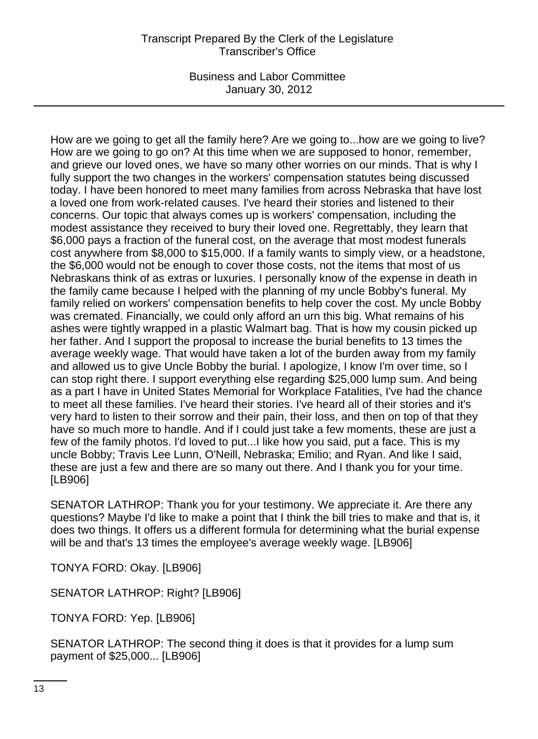### Transcript Prepared By the Clerk of the Legislature Transcriber's Office

Business and Labor Committee January 30, 2012

How are we going to get all the family here? Are we going to...how are we going to live? How are we going to go on? At this time when we are supposed to honor, remember, and grieve our loved ones, we have so many other worries on our minds. That is why I fully support the two changes in the workers' compensation statutes being discussed today. I have been honored to meet many families from across Nebraska that have lost a loved one from work-related causes. I've heard their stories and listened to their concerns. Our topic that always comes up is workers' compensation, including the modest assistance they received to bury their loved one. Regrettably, they learn that \$6,000 pays a fraction of the funeral cost, on the average that most modest funerals cost anywhere from \$8,000 to \$15,000. If a family wants to simply view, or a headstone, the \$6,000 would not be enough to cover those costs, not the items that most of us Nebraskans think of as extras or luxuries. I personally know of the expense in death in the family came because I helped with the planning of my uncle Bobby's funeral. My family relied on workers' compensation benefits to help cover the cost. My uncle Bobby was cremated. Financially, we could only afford an urn this big. What remains of his ashes were tightly wrapped in a plastic Walmart bag. That is how my cousin picked up her father. And I support the proposal to increase the burial benefits to 13 times the average weekly wage. That would have taken a lot of the burden away from my family and allowed us to give Uncle Bobby the burial. I apologize, I know I'm over time, so I can stop right there. I support everything else regarding \$25,000 lump sum. And being as a part I have in United States Memorial for Workplace Fatalities, I've had the chance to meet all these families. I've heard their stories. I've heard all of their stories and it's very hard to listen to their sorrow and their pain, their loss, and then on top of that they have so much more to handle. And if I could just take a few moments, these are just a few of the family photos. I'd loved to put...I like how you said, put a face. This is my uncle Bobby; Travis Lee Lunn, O'Neill, Nebraska; Emilio; and Ryan. And like I said, these are just a few and there are so many out there. And I thank you for your time. [LB906]

SENATOR LATHROP: Thank you for your testimony. We appreciate it. Are there any questions? Maybe I'd like to make a point that I think the bill tries to make and that is, it does two things. It offers us a different formula for determining what the burial expense will be and that's 13 times the employee's average weekly wage. [LB906]

TONYA FORD: Okay. [LB906]

SENATOR LATHROP: Right? [LB906]

TONYA FORD: Yep. [LB906]

SENATOR LATHROP: The second thing it does is that it provides for a lump sum payment of \$25,000... [LB906]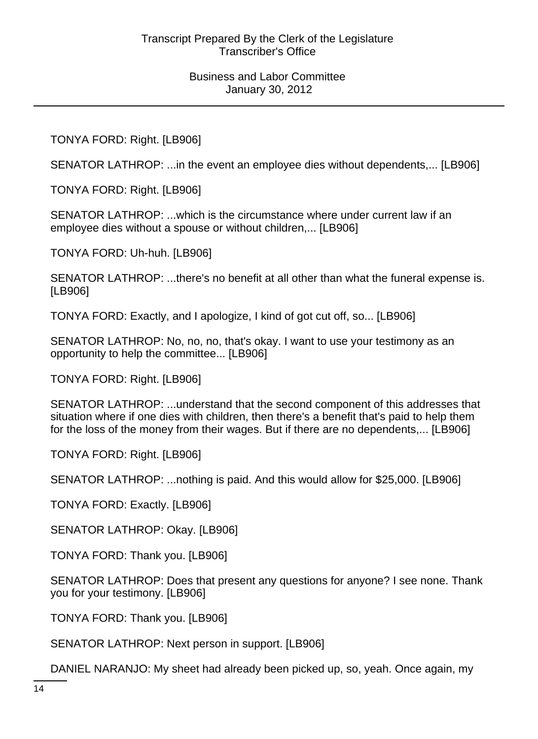TONYA FORD: Right. [LB906]

SENATOR LATHROP: ...in the event an employee dies without dependents,... [LB906]

TONYA FORD: Right. [LB906]

SENATOR LATHROP: ...which is the circumstance where under current law if an employee dies without a spouse or without children,... [LB906]

TONYA FORD: Uh-huh. [LB906]

SENATOR LATHROP: ...there's no benefit at all other than what the funeral expense is. [LB906]

TONYA FORD: Exactly, and I apologize, I kind of got cut off, so... [LB906]

SENATOR LATHROP: No, no, no, that's okay. I want to use your testimony as an opportunity to help the committee... [LB906]

TONYA FORD: Right. [LB906]

SENATOR LATHROP: ...understand that the second component of this addresses that situation where if one dies with children, then there's a benefit that's paid to help them for the loss of the money from their wages. But if there are no dependents,... [LB906]

TONYA FORD: Right. [LB906]

SENATOR LATHROP: ...nothing is paid. And this would allow for \$25,000. [LB906]

TONYA FORD: Exactly. [LB906]

SENATOR LATHROP: Okay. [LB906]

TONYA FORD: Thank you. [LB906]

SENATOR LATHROP: Does that present any questions for anyone? I see none. Thank you for your testimony. [LB906]

TONYA FORD: Thank you. [LB906]

SENATOR LATHROP: Next person in support. [LB906]

DANIEL NARANJO: My sheet had already been picked up, so, yeah. Once again, my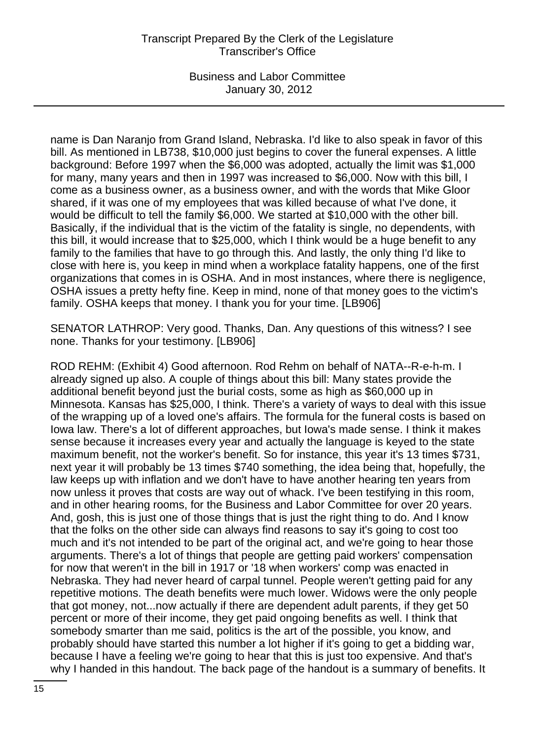### Transcript Prepared By the Clerk of the Legislature Transcriber's Office

Business and Labor Committee January 30, 2012

name is Dan Naranjo from Grand Island, Nebraska. I'd like to also speak in favor of this bill. As mentioned in LB738, \$10,000 just begins to cover the funeral expenses. A little background: Before 1997 when the \$6,000 was adopted, actually the limit was \$1,000 for many, many years and then in 1997 was increased to \$6,000. Now with this bill, I come as a business owner, as a business owner, and with the words that Mike Gloor shared, if it was one of my employees that was killed because of what I've done, it would be difficult to tell the family \$6,000. We started at \$10,000 with the other bill. Basically, if the individual that is the victim of the fatality is single, no dependents, with this bill, it would increase that to \$25,000, which I think would be a huge benefit to any family to the families that have to go through this. And lastly, the only thing I'd like to close with here is, you keep in mind when a workplace fatality happens, one of the first organizations that comes in is OSHA. And in most instances, where there is negligence, OSHA issues a pretty hefty fine. Keep in mind, none of that money goes to the victim's family. OSHA keeps that money. I thank you for your time. [LB906]

SENATOR LATHROP: Very good. Thanks, Dan. Any questions of this witness? I see none. Thanks for your testimony. [LB906]

ROD REHM: (Exhibit 4) Good afternoon. Rod Rehm on behalf of NATA--R-e-h-m. I already signed up also. A couple of things about this bill: Many states provide the additional benefit beyond just the burial costs, some as high as \$60,000 up in Minnesota. Kansas has \$25,000, I think. There's a variety of ways to deal with this issue of the wrapping up of a loved one's affairs. The formula for the funeral costs is based on Iowa law. There's a lot of different approaches, but Iowa's made sense. I think it makes sense because it increases every year and actually the language is keyed to the state maximum benefit, not the worker's benefit. So for instance, this year it's 13 times \$731, next year it will probably be 13 times \$740 something, the idea being that, hopefully, the law keeps up with inflation and we don't have to have another hearing ten years from now unless it proves that costs are way out of whack. I've been testifying in this room, and in other hearing rooms, for the Business and Labor Committee for over 20 years. And, gosh, this is just one of those things that is just the right thing to do. And I know that the folks on the other side can always find reasons to say it's going to cost too much and it's not intended to be part of the original act, and we're going to hear those arguments. There's a lot of things that people are getting paid workers' compensation for now that weren't in the bill in 1917 or '18 when workers' comp was enacted in Nebraska. They had never heard of carpal tunnel. People weren't getting paid for any repetitive motions. The death benefits were much lower. Widows were the only people that got money, not...now actually if there are dependent adult parents, if they get 50 percent or more of their income, they get paid ongoing benefits as well. I think that somebody smarter than me said, politics is the art of the possible, you know, and probably should have started this number a lot higher if it's going to get a bidding war, because I have a feeling we're going to hear that this is just too expensive. And that's why I handed in this handout. The back page of the handout is a summary of benefits. It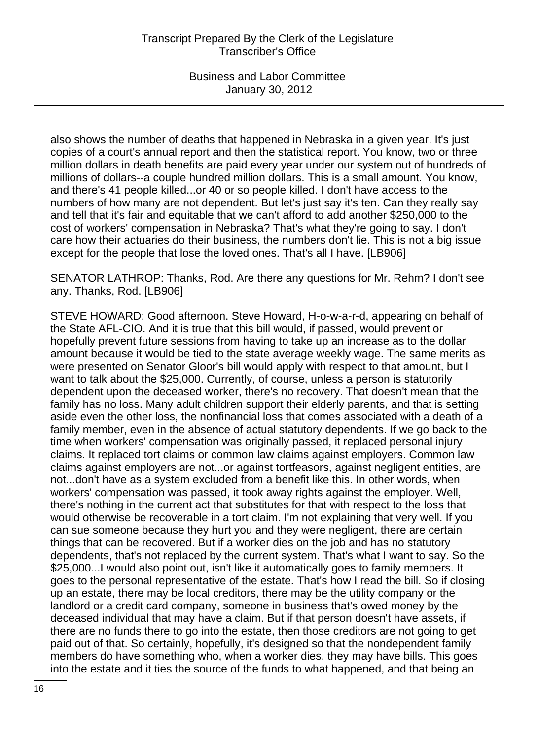also shows the number of deaths that happened in Nebraska in a given year. It's just copies of a court's annual report and then the statistical report. You know, two or three million dollars in death benefits are paid every year under our system out of hundreds of millions of dollars--a couple hundred million dollars. This is a small amount. You know, and there's 41 people killed...or 40 or so people killed. I don't have access to the numbers of how many are not dependent. But let's just say it's ten. Can they really say and tell that it's fair and equitable that we can't afford to add another \$250,000 to the cost of workers' compensation in Nebraska? That's what they're going to say. I don't care how their actuaries do their business, the numbers don't lie. This is not a big issue except for the people that lose the loved ones. That's all I have. [LB906]

SENATOR LATHROP: Thanks, Rod. Are there any questions for Mr. Rehm? I don't see any. Thanks, Rod. [LB906]

STEVE HOWARD: Good afternoon. Steve Howard, H-o-w-a-r-d, appearing on behalf of the State AFL-CIO. And it is true that this bill would, if passed, would prevent or hopefully prevent future sessions from having to take up an increase as to the dollar amount because it would be tied to the state average weekly wage. The same merits as were presented on Senator Gloor's bill would apply with respect to that amount, but I want to talk about the \$25,000. Currently, of course, unless a person is statutorily dependent upon the deceased worker, there's no recovery. That doesn't mean that the family has no loss. Many adult children support their elderly parents, and that is setting aside even the other loss, the nonfinancial loss that comes associated with a death of a family member, even in the absence of actual statutory dependents. If we go back to the time when workers' compensation was originally passed, it replaced personal injury claims. It replaced tort claims or common law claims against employers. Common law claims against employers are not...or against tortfeasors, against negligent entities, are not...don't have as a system excluded from a benefit like this. In other words, when workers' compensation was passed, it took away rights against the employer. Well, there's nothing in the current act that substitutes for that with respect to the loss that would otherwise be recoverable in a tort claim. I'm not explaining that very well. If you can sue someone because they hurt you and they were negligent, there are certain things that can be recovered. But if a worker dies on the job and has no statutory dependents, that's not replaced by the current system. That's what I want to say. So the \$25,000...I would also point out, isn't like it automatically goes to family members. It goes to the personal representative of the estate. That's how I read the bill. So if closing up an estate, there may be local creditors, there may be the utility company or the landlord or a credit card company, someone in business that's owed money by the deceased individual that may have a claim. But if that person doesn't have assets, if there are no funds there to go into the estate, then those creditors are not going to get paid out of that. So certainly, hopefully, it's designed so that the nondependent family members do have something who, when a worker dies, they may have bills. This goes into the estate and it ties the source of the funds to what happened, and that being an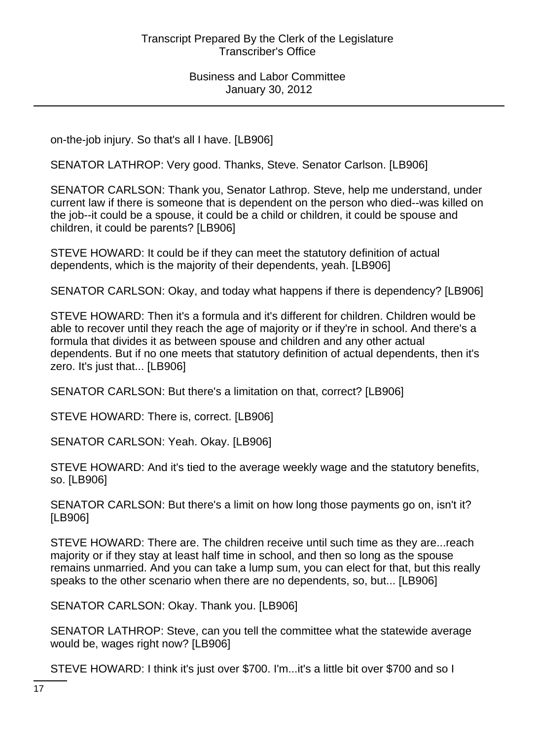on-the-job injury. So that's all I have. [LB906]

SENATOR LATHROP: Very good. Thanks, Steve. Senator Carlson. [LB906]

SENATOR CARLSON: Thank you, Senator Lathrop. Steve, help me understand, under current law if there is someone that is dependent on the person who died--was killed on the job--it could be a spouse, it could be a child or children, it could be spouse and children, it could be parents? [LB906]

STEVE HOWARD: It could be if they can meet the statutory definition of actual dependents, which is the majority of their dependents, yeah. [LB906]

SENATOR CARLSON: Okay, and today what happens if there is dependency? [LB906]

STEVE HOWARD: Then it's a formula and it's different for children. Children would be able to recover until they reach the age of majority or if they're in school. And there's a formula that divides it as between spouse and children and any other actual dependents. But if no one meets that statutory definition of actual dependents, then it's zero. It's just that... [LB906]

SENATOR CARLSON: But there's a limitation on that, correct? [LB906]

STEVE HOWARD: There is, correct. [LB906]

SENATOR CARLSON: Yeah. Okay. [LB906]

STEVE HOWARD: And it's tied to the average weekly wage and the statutory benefits, so. [LB906]

SENATOR CARLSON: But there's a limit on how long those payments go on, isn't it? [LB906]

STEVE HOWARD: There are. The children receive until such time as they are...reach majority or if they stay at least half time in school, and then so long as the spouse remains unmarried. And you can take a lump sum, you can elect for that, but this really speaks to the other scenario when there are no dependents, so, but... [LB906]

SENATOR CARLSON: Okay. Thank you. [LB906]

SENATOR LATHROP: Steve, can you tell the committee what the statewide average would be, wages right now? [LB906]

STEVE HOWARD: I think it's just over \$700. I'm...it's a little bit over \$700 and so I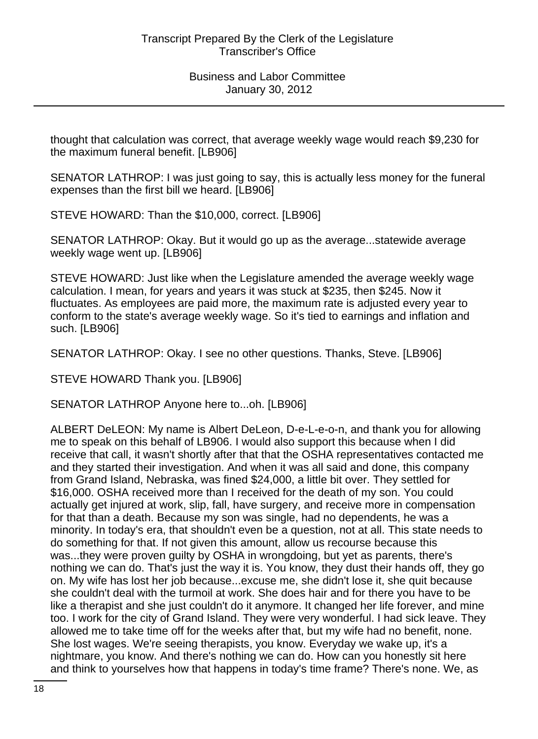thought that calculation was correct, that average weekly wage would reach \$9,230 for the maximum funeral benefit. [LB906]

SENATOR LATHROP: I was just going to say, this is actually less money for the funeral expenses than the first bill we heard. [LB906]

STEVE HOWARD: Than the \$10,000, correct. [LB906]

SENATOR LATHROP: Okay. But it would go up as the average...statewide average weekly wage went up. [LB906]

STEVE HOWARD: Just like when the Legislature amended the average weekly wage calculation. I mean, for years and years it was stuck at \$235, then \$245. Now it fluctuates. As employees are paid more, the maximum rate is adjusted every year to conform to the state's average weekly wage. So it's tied to earnings and inflation and such. [LB906]

SENATOR LATHROP: Okay. I see no other questions. Thanks, Steve. [LB906]

STEVE HOWARD Thank you. [LB906]

SENATOR LATHROP Anyone here to...oh. [LB906]

ALBERT DeLEON: My name is Albert DeLeon, D-e-L-e-o-n, and thank you for allowing me to speak on this behalf of LB906. I would also support this because when I did receive that call, it wasn't shortly after that that the OSHA representatives contacted me and they started their investigation. And when it was all said and done, this company from Grand Island, Nebraska, was fined \$24,000, a little bit over. They settled for \$16,000. OSHA received more than I received for the death of my son. You could actually get injured at work, slip, fall, have surgery, and receive more in compensation for that than a death. Because my son was single, had no dependents, he was a minority. In today's era, that shouldn't even be a question, not at all. This state needs to do something for that. If not given this amount, allow us recourse because this was...they were proven guilty by OSHA in wrongdoing, but yet as parents, there's nothing we can do. That's just the way it is. You know, they dust their hands off, they go on. My wife has lost her job because...excuse me, she didn't lose it, she quit because she couldn't deal with the turmoil at work. She does hair and for there you have to be like a therapist and she just couldn't do it anymore. It changed her life forever, and mine too. I work for the city of Grand Island. They were very wonderful. I had sick leave. They allowed me to take time off for the weeks after that, but my wife had no benefit, none. She lost wages. We're seeing therapists, you know. Everyday we wake up, it's a nightmare, you know. And there's nothing we can do. How can you honestly sit here and think to yourselves how that happens in today's time frame? There's none. We, as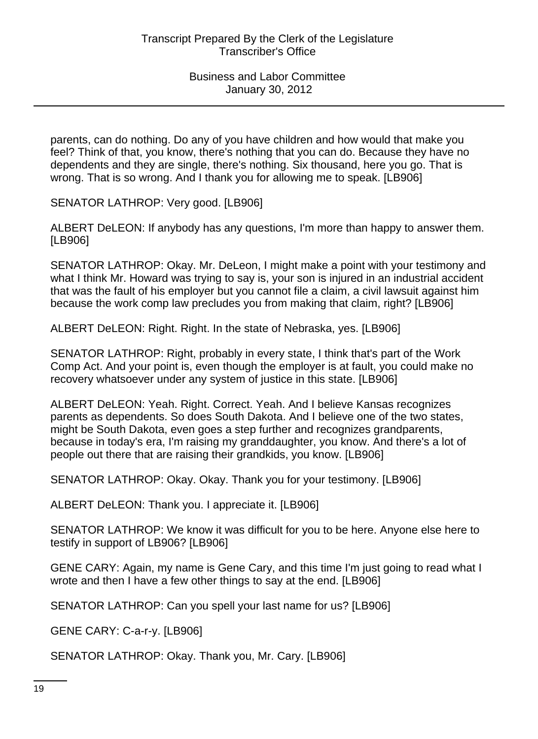parents, can do nothing. Do any of you have children and how would that make you feel? Think of that, you know, there's nothing that you can do. Because they have no dependents and they are single, there's nothing. Six thousand, here you go. That is wrong. That is so wrong. And I thank you for allowing me to speak. [LB906]

SENATOR LATHROP: Very good. [LB906]

ALBERT DeLEON: If anybody has any questions, I'm more than happy to answer them. [LB906]

SENATOR LATHROP: Okay. Mr. DeLeon, I might make a point with your testimony and what I think Mr. Howard was trying to say is, your son is injured in an industrial accident that was the fault of his employer but you cannot file a claim, a civil lawsuit against him because the work comp law precludes you from making that claim, right? [LB906]

ALBERT DeLEON: Right. Right. In the state of Nebraska, yes. [LB906]

SENATOR LATHROP: Right, probably in every state, I think that's part of the Work Comp Act. And your point is, even though the employer is at fault, you could make no recovery whatsoever under any system of justice in this state. [LB906]

ALBERT DeLEON: Yeah. Right. Correct. Yeah. And I believe Kansas recognizes parents as dependents. So does South Dakota. And I believe one of the two states, might be South Dakota, even goes a step further and recognizes grandparents, because in today's era, I'm raising my granddaughter, you know. And there's a lot of people out there that are raising their grandkids, you know. [LB906]

SENATOR LATHROP: Okay. Okay. Thank you for your testimony. [LB906]

ALBERT DeLEON: Thank you. I appreciate it. [LB906]

SENATOR LATHROP: We know it was difficult for you to be here. Anyone else here to testify in support of LB906? [LB906]

GENE CARY: Again, my name is Gene Cary, and this time I'm just going to read what I wrote and then I have a few other things to say at the end. [LB906]

SENATOR LATHROP: Can you spell your last name for us? [LB906]

GENE CARY: C-a-r-y. [LB906]

SENATOR LATHROP: Okay. Thank you, Mr. Cary. [LB906]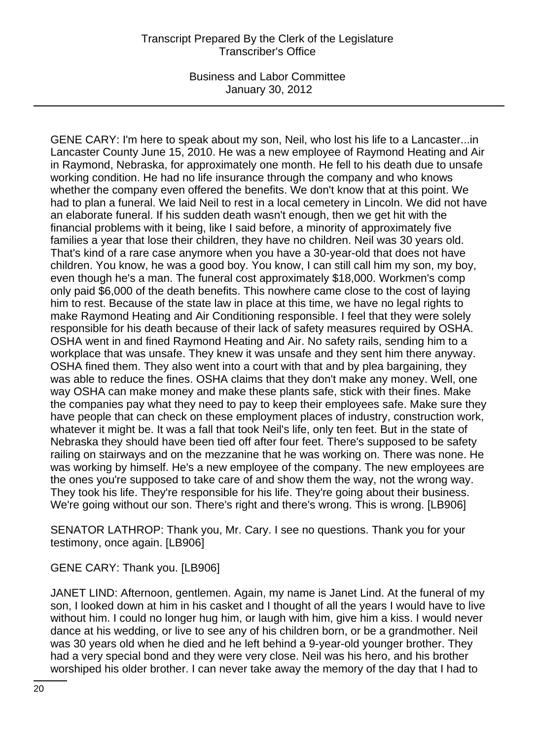GENE CARY: I'm here to speak about my son, Neil, who lost his life to a Lancaster...in Lancaster County June 15, 2010. He was a new employee of Raymond Heating and Air in Raymond, Nebraska, for approximately one month. He fell to his death due to unsafe working condition. He had no life insurance through the company and who knows whether the company even offered the benefits. We don't know that at this point. We had to plan a funeral. We laid Neil to rest in a local cemetery in Lincoln. We did not have an elaborate funeral. If his sudden death wasn't enough, then we get hit with the financial problems with it being, like I said before, a minority of approximately five families a year that lose their children, they have no children. Neil was 30 years old. That's kind of a rare case anymore when you have a 30-year-old that does not have children. You know, he was a good boy. You know, I can still call him my son, my boy, even though he's a man. The funeral cost approximately \$18,000. Workmen's comp only paid \$6,000 of the death benefits. This nowhere came close to the cost of laying him to rest. Because of the state law in place at this time, we have no legal rights to make Raymond Heating and Air Conditioning responsible. I feel that they were solely responsible for his death because of their lack of safety measures required by OSHA. OSHA went in and fined Raymond Heating and Air. No safety rails, sending him to a workplace that was unsafe. They knew it was unsafe and they sent him there anyway. OSHA fined them. They also went into a court with that and by plea bargaining, they was able to reduce the fines. OSHA claims that they don't make any money. Well, one way OSHA can make money and make these plants safe, stick with their fines. Make the companies pay what they need to pay to keep their employees safe. Make sure they have people that can check on these employment places of industry, construction work, whatever it might be. It was a fall that took Neil's life, only ten feet. But in the state of Nebraska they should have been tied off after four feet. There's supposed to be safety railing on stairways and on the mezzanine that he was working on. There was none. He was working by himself. He's a new employee of the company. The new employees are the ones you're supposed to take care of and show them the way, not the wrong way. They took his life. They're responsible for his life. They're going about their business. We're going without our son. There's right and there's wrong. This is wrong. [LB906]

SENATOR LATHROP: Thank you, Mr. Cary. I see no questions. Thank you for your testimony, once again. [LB906]

GENE CARY: Thank you. [LB906]

JANET LIND: Afternoon, gentlemen. Again, my name is Janet Lind. At the funeral of my son, I looked down at him in his casket and I thought of all the years I would have to live without him. I could no longer hug him, or laugh with him, give him a kiss. I would never dance at his wedding, or live to see any of his children born, or be a grandmother. Neil was 30 years old when he died and he left behind a 9-year-old younger brother. They had a very special bond and they were very close. Neil was his hero, and his brother worshiped his older brother. I can never take away the memory of the day that I had to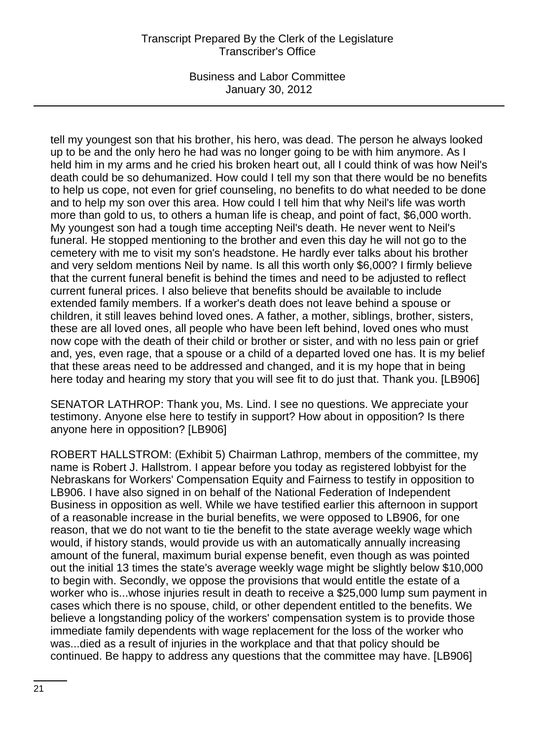### Transcript Prepared By the Clerk of the Legislature Transcriber's Office

Business and Labor Committee January 30, 2012

tell my youngest son that his brother, his hero, was dead. The person he always looked up to be and the only hero he had was no longer going to be with him anymore. As I held him in my arms and he cried his broken heart out, all I could think of was how Neil's death could be so dehumanized. How could I tell my son that there would be no benefits to help us cope, not even for grief counseling, no benefits to do what needed to be done and to help my son over this area. How could I tell him that why Neil's life was worth more than gold to us, to others a human life is cheap, and point of fact, \$6,000 worth. My youngest son had a tough time accepting Neil's death. He never went to Neil's funeral. He stopped mentioning to the brother and even this day he will not go to the cemetery with me to visit my son's headstone. He hardly ever talks about his brother and very seldom mentions Neil by name. Is all this worth only \$6,000? I firmly believe that the current funeral benefit is behind the times and need to be adjusted to reflect current funeral prices. I also believe that benefits should be available to include extended family members. If a worker's death does not leave behind a spouse or children, it still leaves behind loved ones. A father, a mother, siblings, brother, sisters, these are all loved ones, all people who have been left behind, loved ones who must now cope with the death of their child or brother or sister, and with no less pain or grief and, yes, even rage, that a spouse or a child of a departed loved one has. It is my belief that these areas need to be addressed and changed, and it is my hope that in being here today and hearing my story that you will see fit to do just that. Thank you. [LB906]

SENATOR LATHROP: Thank you, Ms. Lind. I see no questions. We appreciate your testimony. Anyone else here to testify in support? How about in opposition? Is there anyone here in opposition? [LB906]

ROBERT HALLSTROM: (Exhibit 5) Chairman Lathrop, members of the committee, my name is Robert J. Hallstrom. I appear before you today as registered lobbyist for the Nebraskans for Workers' Compensation Equity and Fairness to testify in opposition to LB906. I have also signed in on behalf of the National Federation of Independent Business in opposition as well. While we have testified earlier this afternoon in support of a reasonable increase in the burial benefits, we were opposed to LB906, for one reason, that we do not want to tie the benefit to the state average weekly wage which would, if history stands, would provide us with an automatically annually increasing amount of the funeral, maximum burial expense benefit, even though as was pointed out the initial 13 times the state's average weekly wage might be slightly below \$10,000 to begin with. Secondly, we oppose the provisions that would entitle the estate of a worker who is...whose injuries result in death to receive a \$25,000 lump sum payment in cases which there is no spouse, child, or other dependent entitled to the benefits. We believe a longstanding policy of the workers' compensation system is to provide those immediate family dependents with wage replacement for the loss of the worker who was...died as a result of injuries in the workplace and that that policy should be continued. Be happy to address any questions that the committee may have. [LB906]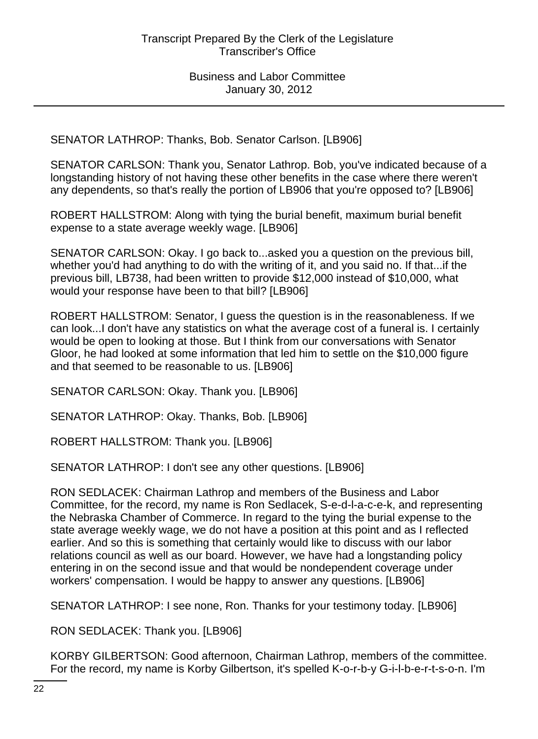SENATOR LATHROP: Thanks, Bob. Senator Carlson. [LB906]

SENATOR CARLSON: Thank you, Senator Lathrop. Bob, you've indicated because of a longstanding history of not having these other benefits in the case where there weren't any dependents, so that's really the portion of LB906 that you're opposed to? [LB906]

ROBERT HALLSTROM: Along with tying the burial benefit, maximum burial benefit expense to a state average weekly wage. [LB906]

SENATOR CARLSON: Okay. I go back to...asked you a question on the previous bill, whether you'd had anything to do with the writing of it, and you said no. If that...if the previous bill, LB738, had been written to provide \$12,000 instead of \$10,000, what would your response have been to that bill? [LB906]

ROBERT HALLSTROM: Senator, I guess the question is in the reasonableness. If we can look...I don't have any statistics on what the average cost of a funeral is. I certainly would be open to looking at those. But I think from our conversations with Senator Gloor, he had looked at some information that led him to settle on the \$10,000 figure and that seemed to be reasonable to us. [LB906]

SENATOR CARLSON: Okay. Thank you. [LB906]

SENATOR LATHROP: Okay. Thanks, Bob. [LB906]

ROBERT HALLSTROM: Thank you. [LB906]

SENATOR LATHROP: I don't see any other questions. [LB906]

RON SEDLACEK: Chairman Lathrop and members of the Business and Labor Committee, for the record, my name is Ron Sedlacek, S-e-d-l-a-c-e-k, and representing the Nebraska Chamber of Commerce. In regard to the tying the burial expense to the state average weekly wage, we do not have a position at this point and as I reflected earlier. And so this is something that certainly would like to discuss with our labor relations council as well as our board. However, we have had a longstanding policy entering in on the second issue and that would be nondependent coverage under workers' compensation. I would be happy to answer any questions. [LB906]

SENATOR LATHROP: I see none, Ron. Thanks for your testimony today. [LB906]

RON SEDLACEK: Thank you. [LB906]

KORBY GILBERTSON: Good afternoon, Chairman Lathrop, members of the committee. For the record, my name is Korby Gilbertson, it's spelled K-o-r-b-y G-i-l-b-e-r-t-s-o-n. I'm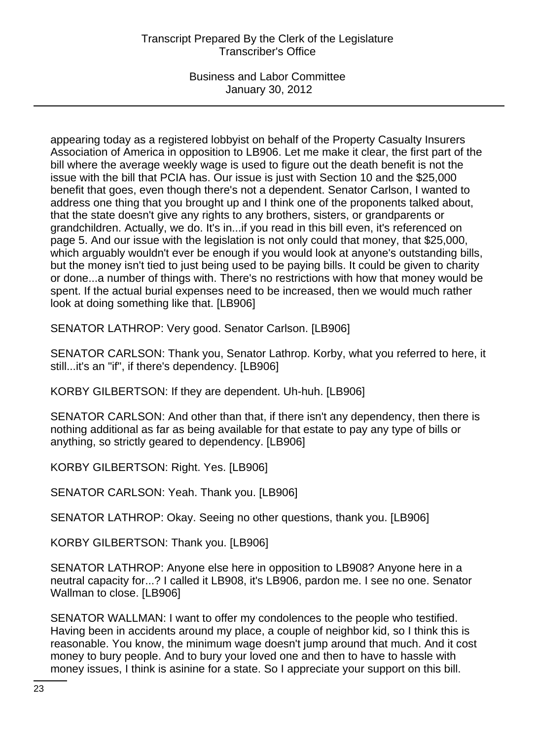appearing today as a registered lobbyist on behalf of the Property Casualty Insurers Association of America in opposition to LB906. Let me make it clear, the first part of the bill where the average weekly wage is used to figure out the death benefit is not the issue with the bill that PCIA has. Our issue is just with Section 10 and the \$25,000 benefit that goes, even though there's not a dependent. Senator Carlson, I wanted to address one thing that you brought up and I think one of the proponents talked about, that the state doesn't give any rights to any brothers, sisters, or grandparents or grandchildren. Actually, we do. It's in...if you read in this bill even, it's referenced on page 5. And our issue with the legislation is not only could that money, that \$25,000, which arguably wouldn't ever be enough if you would look at anyone's outstanding bills, but the money isn't tied to just being used to be paying bills. It could be given to charity or done...a number of things with. There's no restrictions with how that money would be spent. If the actual burial expenses need to be increased, then we would much rather look at doing something like that. [LB906]

SENATOR LATHROP: Very good. Senator Carlson. [LB906]

SENATOR CARLSON: Thank you, Senator Lathrop. Korby, what you referred to here, it still...it's an "if", if there's dependency. [LB906]

KORBY GILBERTSON: If they are dependent. Uh-huh. [LB906]

SENATOR CARLSON: And other than that, if there isn't any dependency, then there is nothing additional as far as being available for that estate to pay any type of bills or anything, so strictly geared to dependency. [LB906]

KORBY GILBERTSON: Right. Yes. [LB906]

SENATOR CARLSON: Yeah. Thank you. [LB906]

SENATOR LATHROP: Okay. Seeing no other questions, thank you. [LB906]

KORBY GILBERTSON: Thank you. [LB906]

SENATOR LATHROP: Anyone else here in opposition to LB908? Anyone here in a neutral capacity for...? I called it LB908, it's LB906, pardon me. I see no one. Senator Wallman to close. [LB906]

SENATOR WALLMAN: I want to offer my condolences to the people who testified. Having been in accidents around my place, a couple of neighbor kid, so I think this is reasonable. You know, the minimum wage doesn't jump around that much. And it cost money to bury people. And to bury your loved one and then to have to hassle with money issues, I think is asinine for a state. So I appreciate your support on this bill.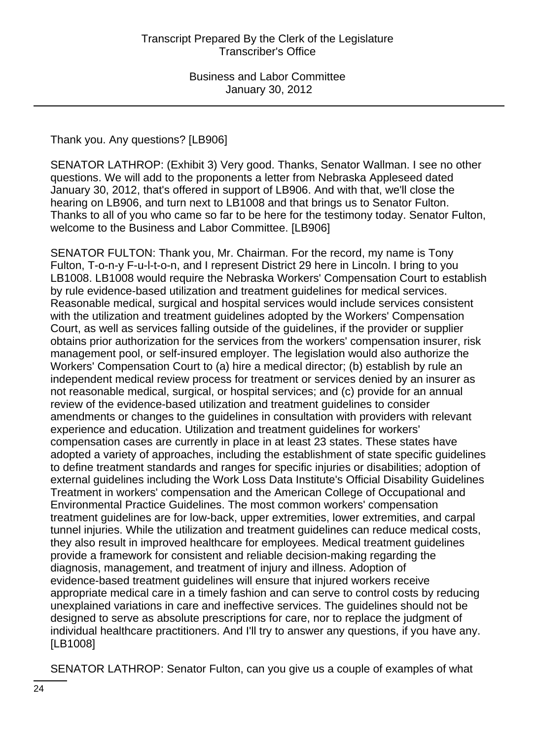Thank you. Any questions? [LB906]

SENATOR LATHROP: (Exhibit 3) Very good. Thanks, Senator Wallman. I see no other questions. We will add to the proponents a letter from Nebraska Appleseed dated January 30, 2012, that's offered in support of LB906. And with that, we'll close the hearing on LB906, and turn next to LB1008 and that brings us to Senator Fulton. Thanks to all of you who came so far to be here for the testimony today. Senator Fulton, welcome to the Business and Labor Committee. [LB906]

SENATOR FULTON: Thank you, Mr. Chairman. For the record, my name is Tony Fulton, T-o-n-y F-u-l-t-o-n, and I represent District 29 here in Lincoln. I bring to you LB1008. LB1008 would require the Nebraska Workers' Compensation Court to establish by rule evidence-based utilization and treatment guidelines for medical services. Reasonable medical, surgical and hospital services would include services consistent with the utilization and treatment guidelines adopted by the Workers' Compensation Court, as well as services falling outside of the guidelines, if the provider or supplier obtains prior authorization for the services from the workers' compensation insurer, risk management pool, or self-insured employer. The legislation would also authorize the Workers' Compensation Court to (a) hire a medical director; (b) establish by rule an independent medical review process for treatment or services denied by an insurer as not reasonable medical, surgical, or hospital services; and (c) provide for an annual review of the evidence-based utilization and treatment guidelines to consider amendments or changes to the guidelines in consultation with providers with relevant experience and education. Utilization and treatment guidelines for workers' compensation cases are currently in place in at least 23 states. These states have adopted a variety of approaches, including the establishment of state specific guidelines to define treatment standards and ranges for specific injuries or disabilities; adoption of external guidelines including the Work Loss Data Institute's Official Disability Guidelines Treatment in workers' compensation and the American College of Occupational and Environmental Practice Guidelines. The most common workers' compensation treatment guidelines are for low-back, upper extremities, lower extremities, and carpal tunnel injuries. While the utilization and treatment guidelines can reduce medical costs, they also result in improved healthcare for employees. Medical treatment guidelines provide a framework for consistent and reliable decision-making regarding the diagnosis, management, and treatment of injury and illness. Adoption of evidence-based treatment guidelines will ensure that injured workers receive appropriate medical care in a timely fashion and can serve to control costs by reducing unexplained variations in care and ineffective services. The guidelines should not be designed to serve as absolute prescriptions for care, nor to replace the judgment of individual healthcare practitioners. And I'll try to answer any questions, if you have any. [LB1008]

SENATOR LATHROP: Senator Fulton, can you give us a couple of examples of what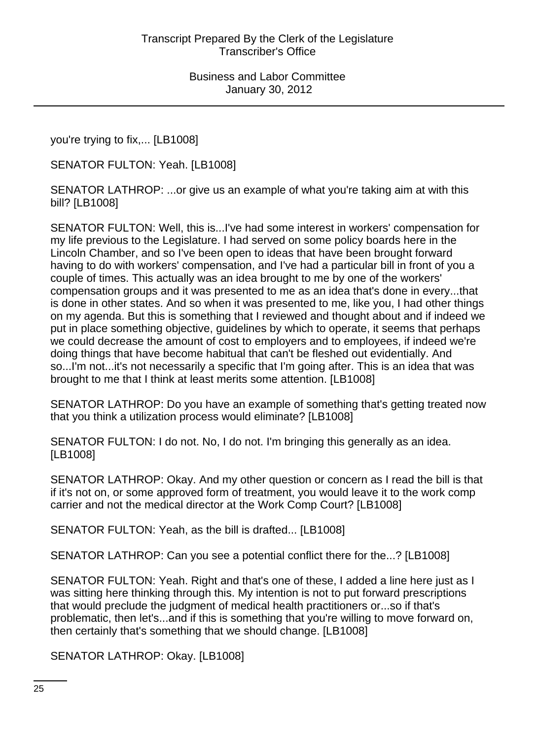you're trying to fix,... [LB1008]

SENATOR FULTON: Yeah. [LB1008]

SENATOR LATHROP: ...or give us an example of what you're taking aim at with this bill? [LB1008]

SENATOR FULTON: Well, this is...I've had some interest in workers' compensation for my life previous to the Legislature. I had served on some policy boards here in the Lincoln Chamber, and so I've been open to ideas that have been brought forward having to do with workers' compensation, and I've had a particular bill in front of you a couple of times. This actually was an idea brought to me by one of the workers' compensation groups and it was presented to me as an idea that's done in every...that is done in other states. And so when it was presented to me, like you, I had other things on my agenda. But this is something that I reviewed and thought about and if indeed we put in place something objective, guidelines by which to operate, it seems that perhaps we could decrease the amount of cost to employers and to employees, if indeed we're doing things that have become habitual that can't be fleshed out evidentially. And so...I'm not...it's not necessarily a specific that I'm going after. This is an idea that was brought to me that I think at least merits some attention. [LB1008]

SENATOR LATHROP: Do you have an example of something that's getting treated now that you think a utilization process would eliminate? [LB1008]

SENATOR FULTON: I do not. No, I do not. I'm bringing this generally as an idea. [LB1008]

SENATOR LATHROP: Okay. And my other question or concern as I read the bill is that if it's not on, or some approved form of treatment, you would leave it to the work comp carrier and not the medical director at the Work Comp Court? [LB1008]

SENATOR FULTON: Yeah, as the bill is drafted... [LB1008]

SENATOR LATHROP: Can you see a potential conflict there for the...? [LB1008]

SENATOR FULTON: Yeah. Right and that's one of these, I added a line here just as I was sitting here thinking through this. My intention is not to put forward prescriptions that would preclude the judgment of medical health practitioners or...so if that's problematic, then let's...and if this is something that you're willing to move forward on, then certainly that's something that we should change. [LB1008]

SENATOR LATHROP: Okay. [LB1008]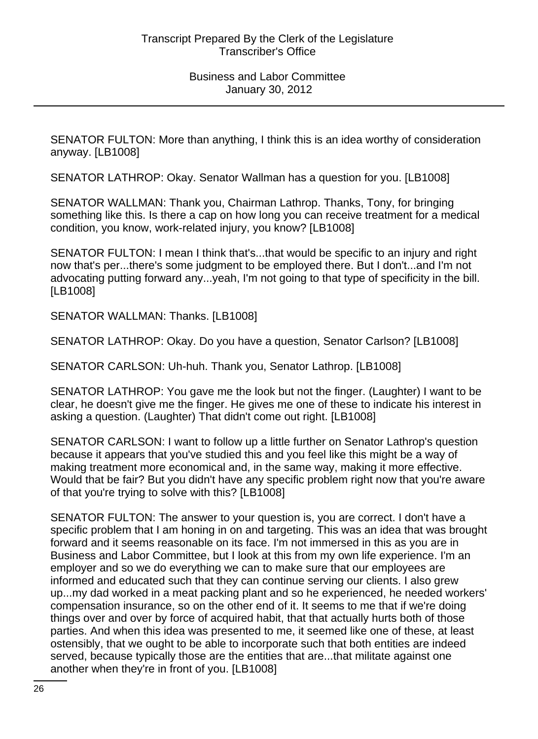SENATOR FULTON: More than anything, I think this is an idea worthy of consideration anyway. [LB1008]

SENATOR LATHROP: Okay. Senator Wallman has a question for you. [LB1008]

SENATOR WALLMAN: Thank you, Chairman Lathrop. Thanks, Tony, for bringing something like this. Is there a cap on how long you can receive treatment for a medical condition, you know, work-related injury, you know? [LB1008]

SENATOR FULTON: I mean I think that's...that would be specific to an injury and right now that's per...there's some judgment to be employed there. But I don't...and I'm not advocating putting forward any...yeah, I'm not going to that type of specificity in the bill. [LB1008]

SENATOR WALLMAN: Thanks. [LB1008]

SENATOR LATHROP: Okay. Do you have a question, Senator Carlson? [LB1008]

SENATOR CARLSON: Uh-huh. Thank you, Senator Lathrop. [LB1008]

SENATOR LATHROP: You gave me the look but not the finger. (Laughter) I want to be clear, he doesn't give me the finger. He gives me one of these to indicate his interest in asking a question. (Laughter) That didn't come out right. [LB1008]

SENATOR CARLSON: I want to follow up a little further on Senator Lathrop's question because it appears that you've studied this and you feel like this might be a way of making treatment more economical and, in the same way, making it more effective. Would that be fair? But you didn't have any specific problem right now that you're aware of that you're trying to solve with this? [LB1008]

SENATOR FULTON: The answer to your question is, you are correct. I don't have a specific problem that I am honing in on and targeting. This was an idea that was brought forward and it seems reasonable on its face. I'm not immersed in this as you are in Business and Labor Committee, but I look at this from my own life experience. I'm an employer and so we do everything we can to make sure that our employees are informed and educated such that they can continue serving our clients. I also grew up...my dad worked in a meat packing plant and so he experienced, he needed workers' compensation insurance, so on the other end of it. It seems to me that if we're doing things over and over by force of acquired habit, that that actually hurts both of those parties. And when this idea was presented to me, it seemed like one of these, at least ostensibly, that we ought to be able to incorporate such that both entities are indeed served, because typically those are the entities that are...that militate against one another when they're in front of you. [LB1008]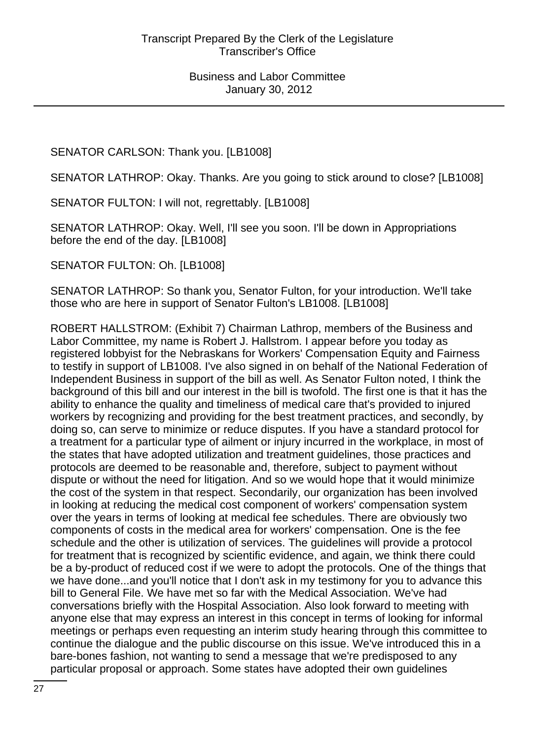SENATOR CARLSON: Thank you. [LB1008]

SENATOR LATHROP: Okay. Thanks. Are you going to stick around to close? [LB1008]

SENATOR FULTON: I will not, regrettably. [LB1008]

SENATOR LATHROP: Okay. Well, I'll see you soon. I'll be down in Appropriations before the end of the day. [LB1008]

SENATOR FULTON: Oh. [LB1008]

SENATOR LATHROP: So thank you, Senator Fulton, for your introduction. We'll take those who are here in support of Senator Fulton's LB1008. [LB1008]

ROBERT HALLSTROM: (Exhibit 7) Chairman Lathrop, members of the Business and Labor Committee, my name is Robert J. Hallstrom. I appear before you today as registered lobbyist for the Nebraskans for Workers' Compensation Equity and Fairness to testify in support of LB1008. I've also signed in on behalf of the National Federation of Independent Business in support of the bill as well. As Senator Fulton noted, I think the background of this bill and our interest in the bill is twofold. The first one is that it has the ability to enhance the quality and timeliness of medical care that's provided to injured workers by recognizing and providing for the best treatment practices, and secondly, by doing so, can serve to minimize or reduce disputes. If you have a standard protocol for a treatment for a particular type of ailment or injury incurred in the workplace, in most of the states that have adopted utilization and treatment guidelines, those practices and protocols are deemed to be reasonable and, therefore, subject to payment without dispute or without the need for litigation. And so we would hope that it would minimize the cost of the system in that respect. Secondarily, our organization has been involved in looking at reducing the medical cost component of workers' compensation system over the years in terms of looking at medical fee schedules. There are obviously two components of costs in the medical area for workers' compensation. One is the fee schedule and the other is utilization of services. The guidelines will provide a protocol for treatment that is recognized by scientific evidence, and again, we think there could be a by-product of reduced cost if we were to adopt the protocols. One of the things that we have done...and you'll notice that I don't ask in my testimony for you to advance this bill to General File. We have met so far with the Medical Association. We've had conversations briefly with the Hospital Association. Also look forward to meeting with anyone else that may express an interest in this concept in terms of looking for informal meetings or perhaps even requesting an interim study hearing through this committee to continue the dialogue and the public discourse on this issue. We've introduced this in a bare-bones fashion, not wanting to send a message that we're predisposed to any particular proposal or approach. Some states have adopted their own guidelines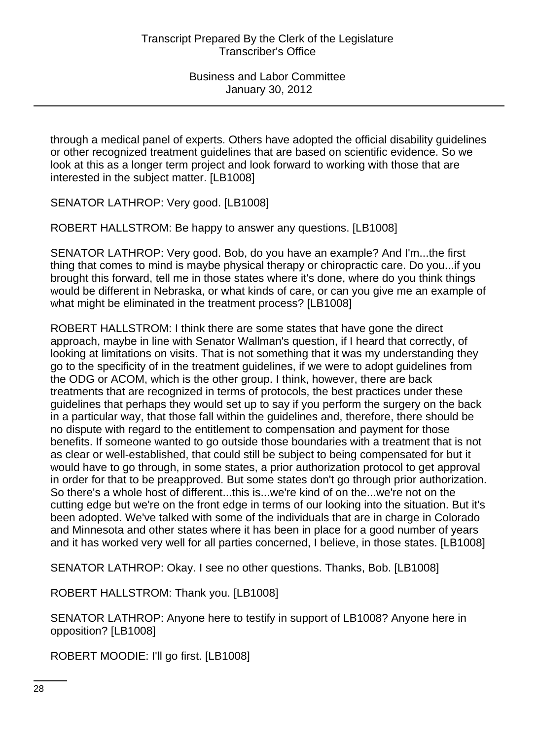through a medical panel of experts. Others have adopted the official disability guidelines or other recognized treatment guidelines that are based on scientific evidence. So we look at this as a longer term project and look forward to working with those that are interested in the subject matter. [LB1008]

SENATOR LATHROP: Very good. [LB1008]

ROBERT HALLSTROM: Be happy to answer any questions. [LB1008]

SENATOR LATHROP: Very good. Bob, do you have an example? And I'm...the first thing that comes to mind is maybe physical therapy or chiropractic care. Do you...if you brought this forward, tell me in those states where it's done, where do you think things would be different in Nebraska, or what kinds of care, or can you give me an example of what might be eliminated in the treatment process? [LB1008]

ROBERT HALLSTROM: I think there are some states that have gone the direct approach, maybe in line with Senator Wallman's question, if I heard that correctly, of looking at limitations on visits. That is not something that it was my understanding they go to the specificity of in the treatment guidelines, if we were to adopt guidelines from the ODG or ACOM, which is the other group. I think, however, there are back treatments that are recognized in terms of protocols, the best practices under these guidelines that perhaps they would set up to say if you perform the surgery on the back in a particular way, that those fall within the guidelines and, therefore, there should be no dispute with regard to the entitlement to compensation and payment for those benefits. If someone wanted to go outside those boundaries with a treatment that is not as clear or well-established, that could still be subject to being compensated for but it would have to go through, in some states, a prior authorization protocol to get approval in order for that to be preapproved. But some states don't go through prior authorization. So there's a whole host of different...this is...we're kind of on the...we're not on the cutting edge but we're on the front edge in terms of our looking into the situation. But it's been adopted. We've talked with some of the individuals that are in charge in Colorado and Minnesota and other states where it has been in place for a good number of years and it has worked very well for all parties concerned, I believe, in those states. [LB1008]

SENATOR LATHROP: Okay. I see no other questions. Thanks, Bob. [LB1008]

ROBERT HALLSTROM: Thank you. [LB1008]

SENATOR LATHROP: Anyone here to testify in support of LB1008? Anyone here in opposition? [LB1008]

ROBERT MOODIE: I'll go first. [LB1008]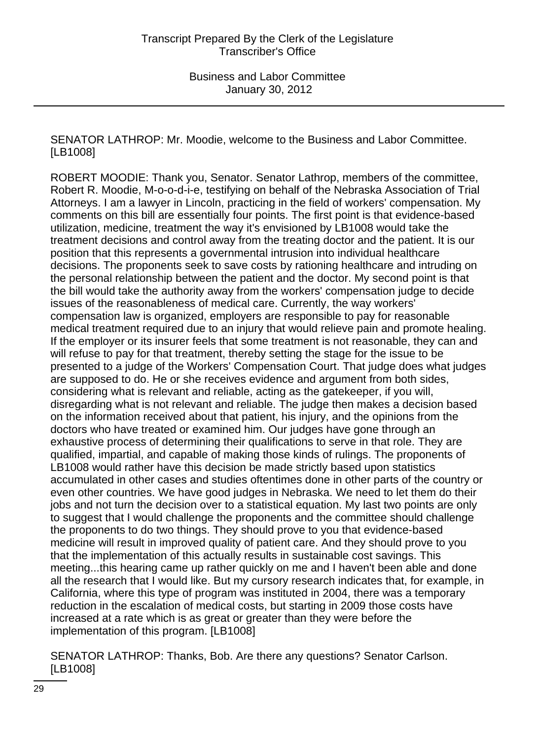SENATOR LATHROP: Mr. Moodie, welcome to the Business and Labor Committee. [LB1008]

ROBERT MOODIE: Thank you, Senator. Senator Lathrop, members of the committee, Robert R. Moodie, M-o-o-d-i-e, testifying on behalf of the Nebraska Association of Trial Attorneys. I am a lawyer in Lincoln, practicing in the field of workers' compensation. My comments on this bill are essentially four points. The first point is that evidence-based utilization, medicine, treatment the way it's envisioned by LB1008 would take the treatment decisions and control away from the treating doctor and the patient. It is our position that this represents a governmental intrusion into individual healthcare decisions. The proponents seek to save costs by rationing healthcare and intruding on the personal relationship between the patient and the doctor. My second point is that the bill would take the authority away from the workers' compensation judge to decide issues of the reasonableness of medical care. Currently, the way workers' compensation law is organized, employers are responsible to pay for reasonable medical treatment required due to an injury that would relieve pain and promote healing. If the employer or its insurer feels that some treatment is not reasonable, they can and will refuse to pay for that treatment, thereby setting the stage for the issue to be presented to a judge of the Workers' Compensation Court. That judge does what judges are supposed to do. He or she receives evidence and argument from both sides, considering what is relevant and reliable, acting as the gatekeeper, if you will, disregarding what is not relevant and reliable. The judge then makes a decision based on the information received about that patient, his injury, and the opinions from the doctors who have treated or examined him. Our judges have gone through an exhaustive process of determining their qualifications to serve in that role. They are qualified, impartial, and capable of making those kinds of rulings. The proponents of LB1008 would rather have this decision be made strictly based upon statistics accumulated in other cases and studies oftentimes done in other parts of the country or even other countries. We have good judges in Nebraska. We need to let them do their jobs and not turn the decision over to a statistical equation. My last two points are only to suggest that I would challenge the proponents and the committee should challenge the proponents to do two things. They should prove to you that evidence-based medicine will result in improved quality of patient care. And they should prove to you that the implementation of this actually results in sustainable cost savings. This meeting...this hearing came up rather quickly on me and I haven't been able and done all the research that I would like. But my cursory research indicates that, for example, in California, where this type of program was instituted in 2004, there was a temporary reduction in the escalation of medical costs, but starting in 2009 those costs have increased at a rate which is as great or greater than they were before the implementation of this program. [LB1008]

SENATOR LATHROP: Thanks, Bob. Are there any questions? Senator Carlson. [LB1008]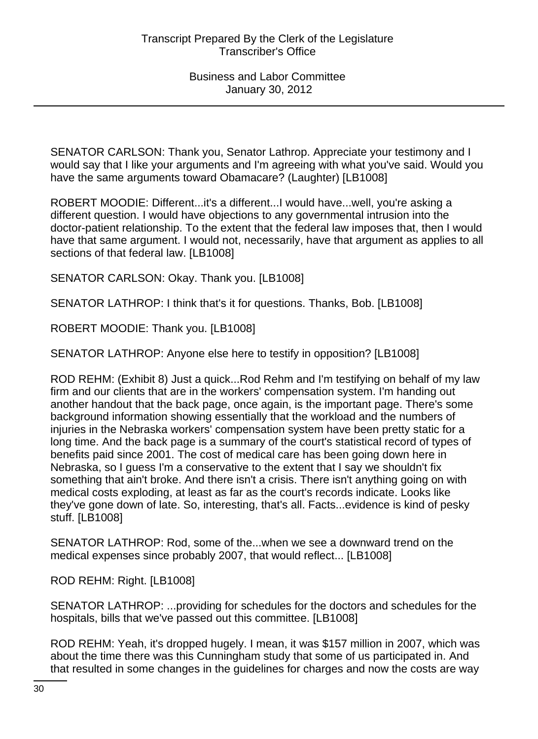SENATOR CARLSON: Thank you, Senator Lathrop. Appreciate your testimony and I would say that I like your arguments and I'm agreeing with what you've said. Would you have the same arguments toward Obamacare? (Laughter) [LB1008]

ROBERT MOODIE: Different...it's a different...I would have...well, you're asking a different question. I would have objections to any governmental intrusion into the doctor-patient relationship. To the extent that the federal law imposes that, then I would have that same argument. I would not, necessarily, have that argument as applies to all sections of that federal law. [LB1008]

SENATOR CARLSON: Okay. Thank you. [LB1008]

SENATOR LATHROP: I think that's it for questions. Thanks, Bob. [LB1008]

ROBERT MOODIE: Thank you. [LB1008]

SENATOR LATHROP: Anyone else here to testify in opposition? [LB1008]

ROD REHM: (Exhibit 8) Just a quick...Rod Rehm and I'm testifying on behalf of my law firm and our clients that are in the workers' compensation system. I'm handing out another handout that the back page, once again, is the important page. There's some background information showing essentially that the workload and the numbers of injuries in the Nebraska workers' compensation system have been pretty static for a long time. And the back page is a summary of the court's statistical record of types of benefits paid since 2001. The cost of medical care has been going down here in Nebraska, so I guess I'm a conservative to the extent that I say we shouldn't fix something that ain't broke. And there isn't a crisis. There isn't anything going on with medical costs exploding, at least as far as the court's records indicate. Looks like they've gone down of late. So, interesting, that's all. Facts...evidence is kind of pesky stuff. [LB1008]

SENATOR LATHROP: Rod, some of the...when we see a downward trend on the medical expenses since probably 2007, that would reflect... [LB1008]

ROD REHM: Right. [LB1008]

SENATOR LATHROP: ...providing for schedules for the doctors and schedules for the hospitals, bills that we've passed out this committee. [LB1008]

ROD REHM: Yeah, it's dropped hugely. I mean, it was \$157 million in 2007, which was about the time there was this Cunningham study that some of us participated in. And that resulted in some changes in the guidelines for charges and now the costs are way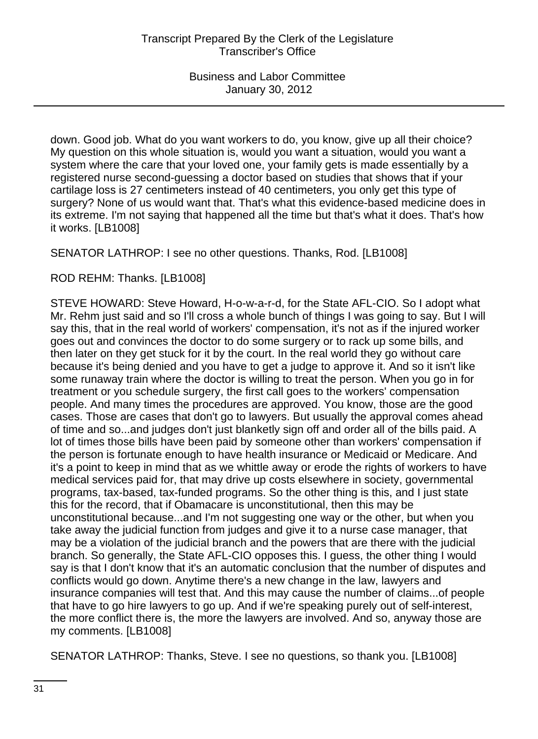down. Good job. What do you want workers to do, you know, give up all their choice? My question on this whole situation is, would you want a situation, would you want a system where the care that your loved one, your family gets is made essentially by a registered nurse second-guessing a doctor based on studies that shows that if your cartilage loss is 27 centimeters instead of 40 centimeters, you only get this type of surgery? None of us would want that. That's what this evidence-based medicine does in its extreme. I'm not saying that happened all the time but that's what it does. That's how it works. [LB1008]

SENATOR LATHROP: I see no other questions. Thanks, Rod. [LB1008]

ROD REHM: Thanks. [LB1008]

STEVE HOWARD: Steve Howard, H-o-w-a-r-d, for the State AFL-CIO. So I adopt what Mr. Rehm just said and so I'll cross a whole bunch of things I was going to say. But I will say this, that in the real world of workers' compensation, it's not as if the injured worker goes out and convinces the doctor to do some surgery or to rack up some bills, and then later on they get stuck for it by the court. In the real world they go without care because it's being denied and you have to get a judge to approve it. And so it isn't like some runaway train where the doctor is willing to treat the person. When you go in for treatment or you schedule surgery, the first call goes to the workers' compensation people. And many times the procedures are approved. You know, those are the good cases. Those are cases that don't go to lawyers. But usually the approval comes ahead of time and so...and judges don't just blanketly sign off and order all of the bills paid. A lot of times those bills have been paid by someone other than workers' compensation if the person is fortunate enough to have health insurance or Medicaid or Medicare. And it's a point to keep in mind that as we whittle away or erode the rights of workers to have medical services paid for, that may drive up costs elsewhere in society, governmental programs, tax-based, tax-funded programs. So the other thing is this, and I just state this for the record, that if Obamacare is unconstitutional, then this may be unconstitutional because...and I'm not suggesting one way or the other, but when you take away the judicial function from judges and give it to a nurse case manager, that may be a violation of the judicial branch and the powers that are there with the judicial branch. So generally, the State AFL-CIO opposes this. I guess, the other thing I would say is that I don't know that it's an automatic conclusion that the number of disputes and conflicts would go down. Anytime there's a new change in the law, lawyers and insurance companies will test that. And this may cause the number of claims...of people that have to go hire lawyers to go up. And if we're speaking purely out of self-interest, the more conflict there is, the more the lawyers are involved. And so, anyway those are my comments. [LB1008]

SENATOR LATHROP: Thanks, Steve. I see no questions, so thank you. [LB1008]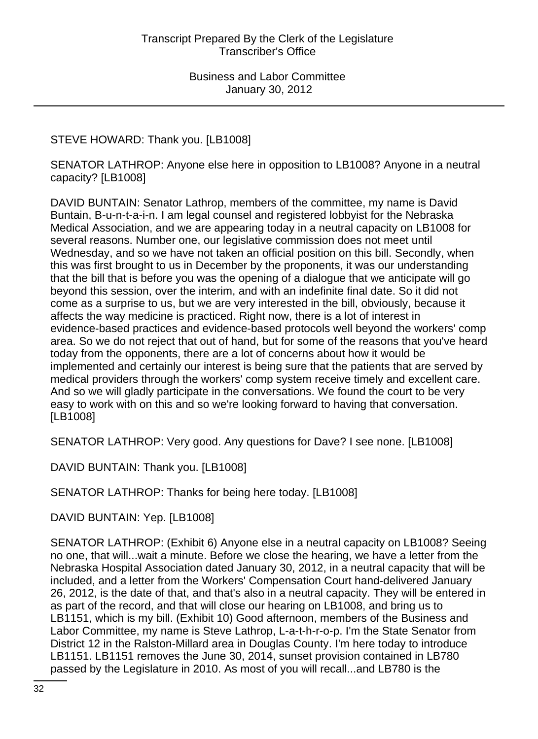STEVE HOWARD: Thank you. [LB1008]

SENATOR LATHROP: Anyone else here in opposition to LB1008? Anyone in a neutral capacity? [LB1008]

DAVID BUNTAIN: Senator Lathrop, members of the committee, my name is David Buntain, B-u-n-t-a-i-n. I am legal counsel and registered lobbyist for the Nebraska Medical Association, and we are appearing today in a neutral capacity on LB1008 for several reasons. Number one, our legislative commission does not meet until Wednesday, and so we have not taken an official position on this bill. Secondly, when this was first brought to us in December by the proponents, it was our understanding that the bill that is before you was the opening of a dialogue that we anticipate will go beyond this session, over the interim, and with an indefinite final date. So it did not come as a surprise to us, but we are very interested in the bill, obviously, because it affects the way medicine is practiced. Right now, there is a lot of interest in evidence-based practices and evidence-based protocols well beyond the workers' comp area. So we do not reject that out of hand, but for some of the reasons that you've heard today from the opponents, there are a lot of concerns about how it would be implemented and certainly our interest is being sure that the patients that are served by medical providers through the workers' comp system receive timely and excellent care. And so we will gladly participate in the conversations. We found the court to be very easy to work with on this and so we're looking forward to having that conversation. [LB1008]

SENATOR LATHROP: Very good. Any questions for Dave? I see none. [LB1008]

DAVID BUNTAIN: Thank you. [LB1008]

SENATOR LATHROP: Thanks for being here today. [LB1008]

DAVID BUNTAIN: Yep. [LB1008]

SENATOR LATHROP: (Exhibit 6) Anyone else in a neutral capacity on LB1008? Seeing no one, that will...wait a minute. Before we close the hearing, we have a letter from the Nebraska Hospital Association dated January 30, 2012, in a neutral capacity that will be included, and a letter from the Workers' Compensation Court hand-delivered January 26, 2012, is the date of that, and that's also in a neutral capacity. They will be entered in as part of the record, and that will close our hearing on LB1008, and bring us to LB1151, which is my bill. (Exhibit 10) Good afternoon, members of the Business and Labor Committee, my name is Steve Lathrop, L-a-t-h-r-o-p. I'm the State Senator from District 12 in the Ralston-Millard area in Douglas County. I'm here today to introduce LB1151. LB1151 removes the June 30, 2014, sunset provision contained in LB780 passed by the Legislature in 2010. As most of you will recall...and LB780 is the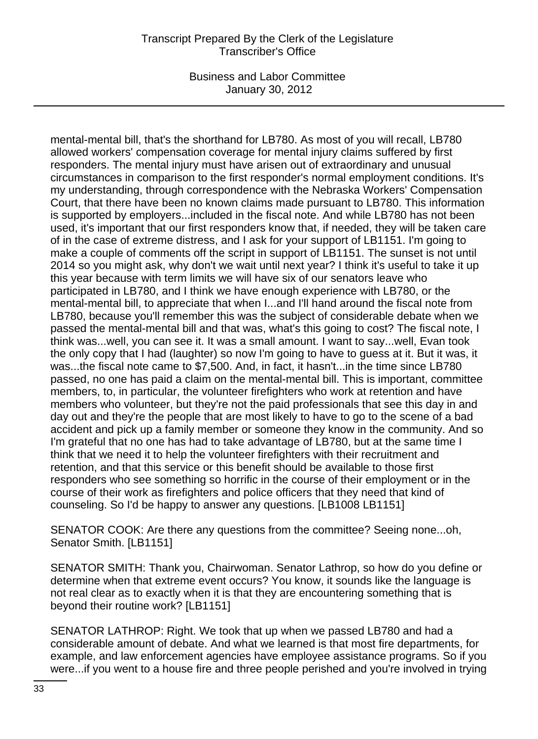### Transcript Prepared By the Clerk of the Legislature Transcriber's Office

Business and Labor Committee January 30, 2012

mental-mental bill, that's the shorthand for LB780. As most of you will recall, LB780 allowed workers' compensation coverage for mental injury claims suffered by first responders. The mental injury must have arisen out of extraordinary and unusual circumstances in comparison to the first responder's normal employment conditions. It's my understanding, through correspondence with the Nebraska Workers' Compensation Court, that there have been no known claims made pursuant to LB780. This information is supported by employers...included in the fiscal note. And while LB780 has not been used, it's important that our first responders know that, if needed, they will be taken care of in the case of extreme distress, and I ask for your support of LB1151. I'm going to make a couple of comments off the script in support of LB1151. The sunset is not until 2014 so you might ask, why don't we wait until next year? I think it's useful to take it up this year because with term limits we will have six of our senators leave who participated in LB780, and I think we have enough experience with LB780, or the mental-mental bill, to appreciate that when I...and I'll hand around the fiscal note from LB780, because you'll remember this was the subject of considerable debate when we passed the mental-mental bill and that was, what's this going to cost? The fiscal note, I think was...well, you can see it. It was a small amount. I want to say...well, Evan took the only copy that I had (laughter) so now I'm going to have to guess at it. But it was, it was...the fiscal note came to \$7,500. And, in fact, it hasn't...in the time since LB780 passed, no one has paid a claim on the mental-mental bill. This is important, committee members, to, in particular, the volunteer firefighters who work at retention and have members who volunteer, but they're not the paid professionals that see this day in and day out and they're the people that are most likely to have to go to the scene of a bad accident and pick up a family member or someone they know in the community. And so I'm grateful that no one has had to take advantage of LB780, but at the same time I think that we need it to help the volunteer firefighters with their recruitment and retention, and that this service or this benefit should be available to those first responders who see something so horrific in the course of their employment or in the course of their work as firefighters and police officers that they need that kind of counseling. So I'd be happy to answer any questions. [LB1008 LB1151]

SENATOR COOK: Are there any questions from the committee? Seeing none...oh, Senator Smith. [LB1151]

SENATOR SMITH: Thank you, Chairwoman. Senator Lathrop, so how do you define or determine when that extreme event occurs? You know, it sounds like the language is not real clear as to exactly when it is that they are encountering something that is beyond their routine work? [LB1151]

SENATOR LATHROP: Right. We took that up when we passed LB780 and had a considerable amount of debate. And what we learned is that most fire departments, for example, and law enforcement agencies have employee assistance programs. So if you were...if you went to a house fire and three people perished and you're involved in trying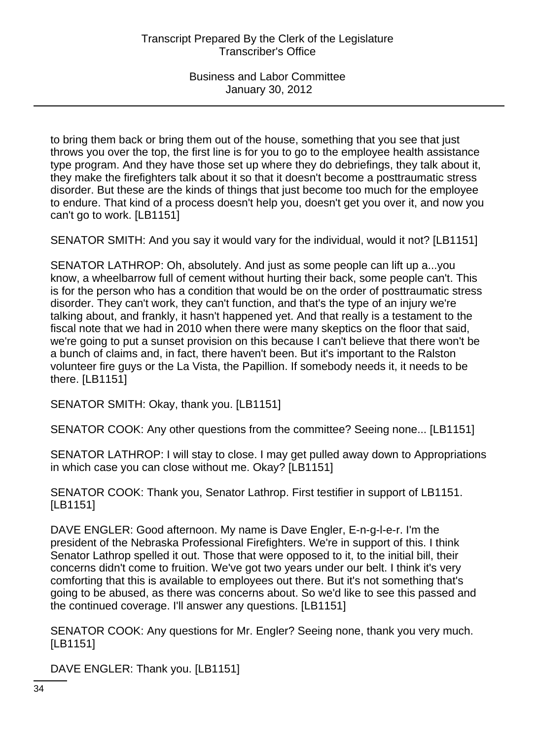to bring them back or bring them out of the house, something that you see that just throws you over the top, the first line is for you to go to the employee health assistance type program. And they have those set up where they do debriefings, they talk about it, they make the firefighters talk about it so that it doesn't become a posttraumatic stress disorder. But these are the kinds of things that just become too much for the employee to endure. That kind of a process doesn't help you, doesn't get you over it, and now you can't go to work. [LB1151]

SENATOR SMITH: And you say it would vary for the individual, would it not? [LB1151]

SENATOR LATHROP: Oh, absolutely. And just as some people can lift up a...you know, a wheelbarrow full of cement without hurting their back, some people can't. This is for the person who has a condition that would be on the order of posttraumatic stress disorder. They can't work, they can't function, and that's the type of an injury we're talking about, and frankly, it hasn't happened yet. And that really is a testament to the fiscal note that we had in 2010 when there were many skeptics on the floor that said, we're going to put a sunset provision on this because I can't believe that there won't be a bunch of claims and, in fact, there haven't been. But it's important to the Ralston volunteer fire guys or the La Vista, the Papillion. If somebody needs it, it needs to be there. [LB1151]

SENATOR SMITH: Okay, thank you. [LB1151]

SENATOR COOK: Any other questions from the committee? Seeing none... [LB1151]

SENATOR LATHROP: I will stay to close. I may get pulled away down to Appropriations in which case you can close without me. Okay? [LB1151]

SENATOR COOK: Thank you, Senator Lathrop. First testifier in support of LB1151. [LB1151]

DAVE ENGLER: Good afternoon. My name is Dave Engler, E-n-g-l-e-r. I'm the president of the Nebraska Professional Firefighters. We're in support of this. I think Senator Lathrop spelled it out. Those that were opposed to it, to the initial bill, their concerns didn't come to fruition. We've got two years under our belt. I think it's very comforting that this is available to employees out there. But it's not something that's going to be abused, as there was concerns about. So we'd like to see this passed and the continued coverage. I'll answer any questions. [LB1151]

SENATOR COOK: Any questions for Mr. Engler? Seeing none, thank you very much. [LB1151]

DAVE ENGLER: Thank you. [LB1151]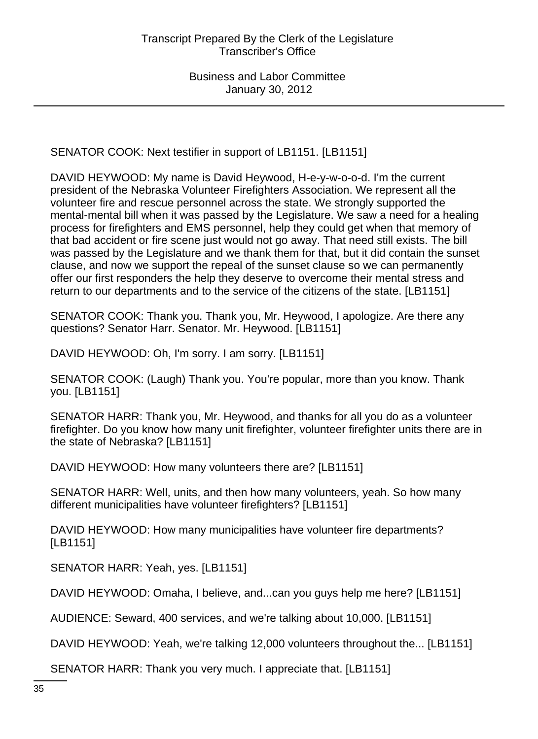SENATOR COOK: Next testifier in support of LB1151. [LB1151]

DAVID HEYWOOD: My name is David Heywood, H-e-y-w-o-o-d. I'm the current president of the Nebraska Volunteer Firefighters Association. We represent all the volunteer fire and rescue personnel across the state. We strongly supported the mental-mental bill when it was passed by the Legislature. We saw a need for a healing process for firefighters and EMS personnel, help they could get when that memory of that bad accident or fire scene just would not go away. That need still exists. The bill was passed by the Legislature and we thank them for that, but it did contain the sunset clause, and now we support the repeal of the sunset clause so we can permanently offer our first responders the help they deserve to overcome their mental stress and return to our departments and to the service of the citizens of the state. [LB1151]

SENATOR COOK: Thank you. Thank you, Mr. Heywood, I apologize. Are there any questions? Senator Harr. Senator. Mr. Heywood. [LB1151]

DAVID HEYWOOD: Oh, I'm sorry. I am sorry. [LB1151]

SENATOR COOK: (Laugh) Thank you. You're popular, more than you know. Thank you. [LB1151]

SENATOR HARR: Thank you, Mr. Heywood, and thanks for all you do as a volunteer firefighter. Do you know how many unit firefighter, volunteer firefighter units there are in the state of Nebraska? [LB1151]

DAVID HEYWOOD: How many volunteers there are? [LB1151]

SENATOR HARR: Well, units, and then how many volunteers, yeah. So how many different municipalities have volunteer firefighters? [LB1151]

DAVID HEYWOOD: How many municipalities have volunteer fire departments? [LB1151]

SENATOR HARR: Yeah, yes. [LB1151]

DAVID HEYWOOD: Omaha, I believe, and...can you guys help me here? [LB1151]

AUDIENCE: Seward, 400 services, and we're talking about 10,000. [LB1151]

DAVID HEYWOOD: Yeah, we're talking 12,000 volunteers throughout the... [LB1151]

SENATOR HARR: Thank you very much. I appreciate that. [LB1151]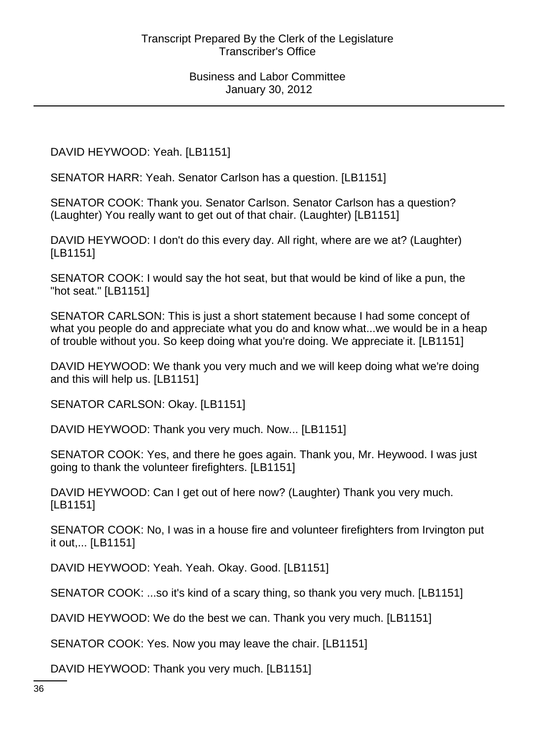DAVID HEYWOOD: Yeah. [LB1151]

SENATOR HARR: Yeah. Senator Carlson has a question. [LB1151]

SENATOR COOK: Thank you. Senator Carlson. Senator Carlson has a question? (Laughter) You really want to get out of that chair. (Laughter) [LB1151]

DAVID HEYWOOD: I don't do this every day. All right, where are we at? (Laughter) [LB1151]

SENATOR COOK: I would say the hot seat, but that would be kind of like a pun, the "hot seat." [LB1151]

SENATOR CARLSON: This is just a short statement because I had some concept of what you people do and appreciate what you do and know what...we would be in a heap of trouble without you. So keep doing what you're doing. We appreciate it. [LB1151]

DAVID HEYWOOD: We thank you very much and we will keep doing what we're doing and this will help us. [LB1151]

SENATOR CARLSON: Okay. [LB1151]

DAVID HEYWOOD: Thank you very much. Now... [LB1151]

SENATOR COOK: Yes, and there he goes again. Thank you, Mr. Heywood. I was just going to thank the volunteer firefighters. [LB1151]

DAVID HEYWOOD: Can I get out of here now? (Laughter) Thank you very much. [LB1151]

SENATOR COOK: No, I was in a house fire and volunteer firefighters from Irvington put it out,... [LB1151]

DAVID HEYWOOD: Yeah. Yeah. Okay. Good. [LB1151]

SENATOR COOK: ...so it's kind of a scary thing, so thank you very much. [LB1151]

DAVID HEYWOOD: We do the best we can. Thank you very much. [LB1151]

SENATOR COOK: Yes. Now you may leave the chair. [LB1151]

DAVID HEYWOOD: Thank you very much. [LB1151]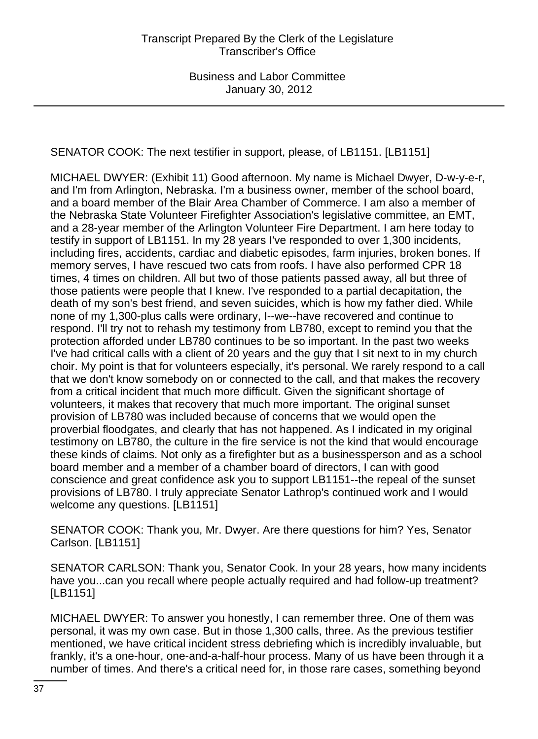SENATOR COOK: The next testifier in support, please, of LB1151. [LB1151]

MICHAEL DWYER: (Exhibit 11) Good afternoon. My name is Michael Dwyer, D-w-y-e-r, and I'm from Arlington, Nebraska. I'm a business owner, member of the school board, and a board member of the Blair Area Chamber of Commerce. I am also a member of the Nebraska State Volunteer Firefighter Association's legislative committee, an EMT, and a 28-year member of the Arlington Volunteer Fire Department. I am here today to testify in support of LB1151. In my 28 years I've responded to over 1,300 incidents, including fires, accidents, cardiac and diabetic episodes, farm injuries, broken bones. If memory serves, I have rescued two cats from roofs. I have also performed CPR 18 times, 4 times on children. All but two of those patients passed away, all but three of those patients were people that I knew. I've responded to a partial decapitation, the death of my son's best friend, and seven suicides, which is how my father died. While none of my 1,300-plus calls were ordinary, I--we--have recovered and continue to respond. I'll try not to rehash my testimony from LB780, except to remind you that the protection afforded under LB780 continues to be so important. In the past two weeks I've had critical calls with a client of 20 years and the guy that I sit next to in my church choir. My point is that for volunteers especially, it's personal. We rarely respond to a call that we don't know somebody on or connected to the call, and that makes the recovery from a critical incident that much more difficult. Given the significant shortage of volunteers, it makes that recovery that much more important. The original sunset provision of LB780 was included because of concerns that we would open the proverbial floodgates, and clearly that has not happened. As I indicated in my original testimony on LB780, the culture in the fire service is not the kind that would encourage these kinds of claims. Not only as a firefighter but as a businessperson and as a school board member and a member of a chamber board of directors, I can with good conscience and great confidence ask you to support LB1151--the repeal of the sunset provisions of LB780. I truly appreciate Senator Lathrop's continued work and I would welcome any questions. [LB1151]

SENATOR COOK: Thank you, Mr. Dwyer. Are there questions for him? Yes, Senator Carlson. [LB1151]

SENATOR CARLSON: Thank you, Senator Cook. In your 28 years, how many incidents have you...can you recall where people actually required and had follow-up treatment? [LB1151]

MICHAEL DWYER: To answer you honestly, I can remember three. One of them was personal, it was my own case. But in those 1,300 calls, three. As the previous testifier mentioned, we have critical incident stress debriefing which is incredibly invaluable, but frankly, it's a one-hour, one-and-a-half-hour process. Many of us have been through it a number of times. And there's a critical need for, in those rare cases, something beyond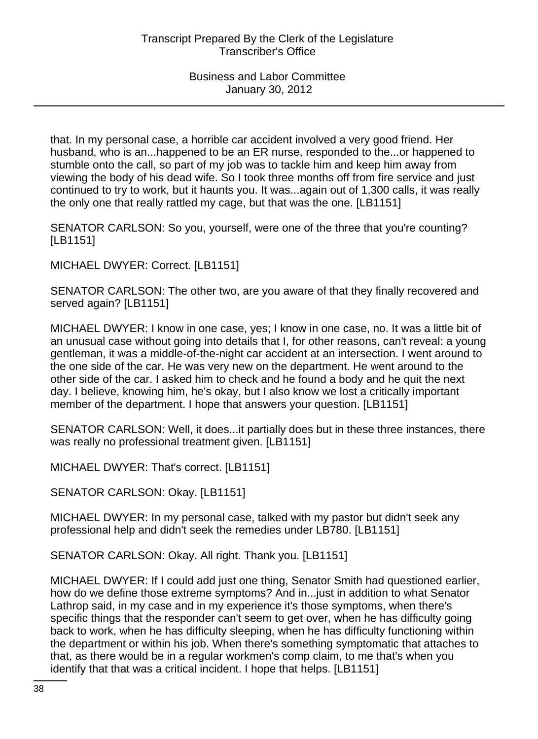that. In my personal case, a horrible car accident involved a very good friend. Her husband, who is an...happened to be an ER nurse, responded to the...or happened to stumble onto the call, so part of my job was to tackle him and keep him away from viewing the body of his dead wife. So I took three months off from fire service and just continued to try to work, but it haunts you. It was...again out of 1,300 calls, it was really the only one that really rattled my cage, but that was the one. [LB1151]

SENATOR CARLSON: So you, yourself, were one of the three that you're counting? [LB1151]

MICHAEL DWYER: Correct. [LB1151]

SENATOR CARLSON: The other two, are you aware of that they finally recovered and served again? [LB1151]

MICHAEL DWYER: I know in one case, yes; I know in one case, no. It was a little bit of an unusual case without going into details that I, for other reasons, can't reveal: a young gentleman, it was a middle-of-the-night car accident at an intersection. I went around to the one side of the car. He was very new on the department. He went around to the other side of the car. I asked him to check and he found a body and he quit the next day. I believe, knowing him, he's okay, but I also know we lost a critically important member of the department. I hope that answers your question. [LB1151]

SENATOR CARLSON: Well, it does...it partially does but in these three instances, there was really no professional treatment given. [LB1151]

MICHAEL DWYER: That's correct. [LB1151]

SENATOR CARLSON: Okay. [LB1151]

MICHAEL DWYER: In my personal case, talked with my pastor but didn't seek any professional help and didn't seek the remedies under LB780. [LB1151]

SENATOR CARLSON: Okay. All right. Thank you. [LB1151]

MICHAEL DWYER: If I could add just one thing, Senator Smith had questioned earlier, how do we define those extreme symptoms? And in...just in addition to what Senator Lathrop said, in my case and in my experience it's those symptoms, when there's specific things that the responder can't seem to get over, when he has difficulty going back to work, when he has difficulty sleeping, when he has difficulty functioning within the department or within his job. When there's something symptomatic that attaches to that, as there would be in a regular workmen's comp claim, to me that's when you identify that that was a critical incident. I hope that helps. [LB1151]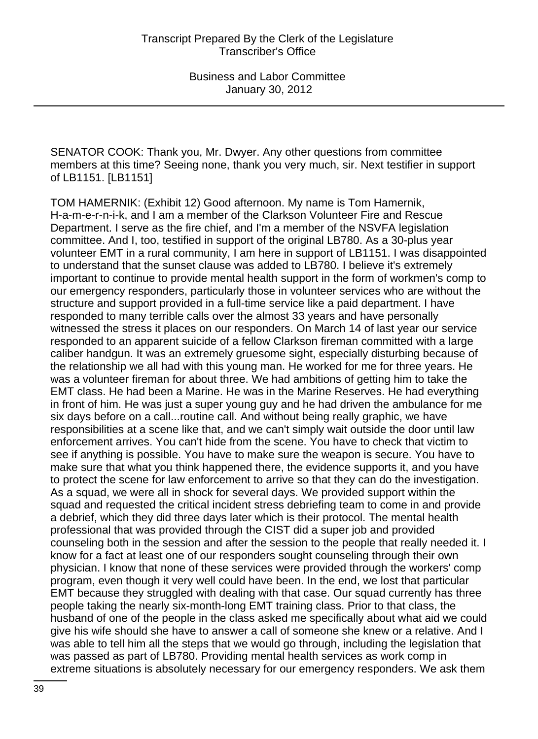SENATOR COOK: Thank you, Mr. Dwyer. Any other questions from committee members at this time? Seeing none, thank you very much, sir. Next testifier in support of LB1151. [LB1151]

TOM HAMERNIK: (Exhibit 12) Good afternoon. My name is Tom Hamernik, H-a-m-e-r-n-i-k, and I am a member of the Clarkson Volunteer Fire and Rescue Department. I serve as the fire chief, and I'm a member of the NSVFA legislation committee. And I, too, testified in support of the original LB780. As a 30-plus year volunteer EMT in a rural community, I am here in support of LB1151. I was disappointed to understand that the sunset clause was added to LB780. I believe it's extremely important to continue to provide mental health support in the form of workmen's comp to our emergency responders, particularly those in volunteer services who are without the structure and support provided in a full-time service like a paid department. I have responded to many terrible calls over the almost 33 years and have personally witnessed the stress it places on our responders. On March 14 of last year our service responded to an apparent suicide of a fellow Clarkson fireman committed with a large caliber handgun. It was an extremely gruesome sight, especially disturbing because of the relationship we all had with this young man. He worked for me for three years. He was a volunteer fireman for about three. We had ambitions of getting him to take the EMT class. He had been a Marine. He was in the Marine Reserves. He had everything in front of him. He was just a super young guy and he had driven the ambulance for me six days before on a call...routine call. And without being really graphic, we have responsibilities at a scene like that, and we can't simply wait outside the door until law enforcement arrives. You can't hide from the scene. You have to check that victim to see if anything is possible. You have to make sure the weapon is secure. You have to make sure that what you think happened there, the evidence supports it, and you have to protect the scene for law enforcement to arrive so that they can do the investigation. As a squad, we were all in shock for several days. We provided support within the squad and requested the critical incident stress debriefing team to come in and provide a debrief, which they did three days later which is their protocol. The mental health professional that was provided through the CIST did a super job and provided counseling both in the session and after the session to the people that really needed it. I know for a fact at least one of our responders sought counseling through their own physician. I know that none of these services were provided through the workers' comp program, even though it very well could have been. In the end, we lost that particular EMT because they struggled with dealing with that case. Our squad currently has three people taking the nearly six-month-long EMT training class. Prior to that class, the husband of one of the people in the class asked me specifically about what aid we could give his wife should she have to answer a call of someone she knew or a relative. And I was able to tell him all the steps that we would go through, including the legislation that was passed as part of LB780. Providing mental health services as work comp in extreme situations is absolutely necessary for our emergency responders. We ask them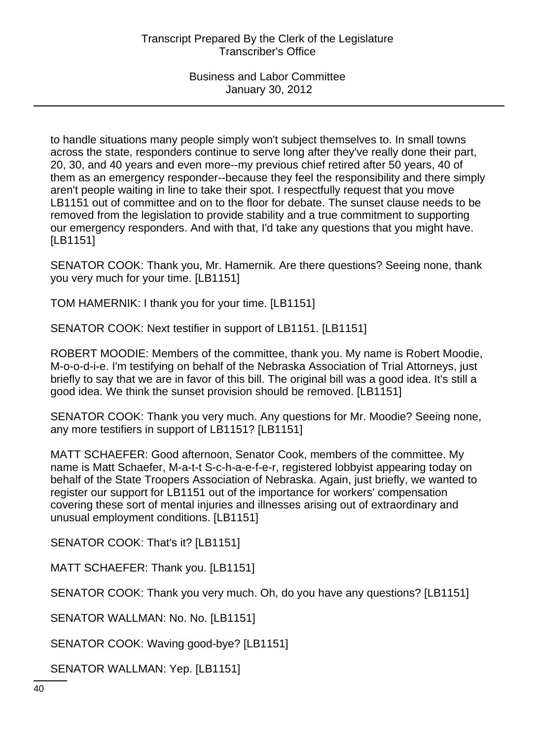to handle situations many people simply won't subject themselves to. In small towns across the state, responders continue to serve long after they've really done their part, 20, 30, and 40 years and even more--my previous chief retired after 50 years, 40 of them as an emergency responder--because they feel the responsibility and there simply aren't people waiting in line to take their spot. I respectfully request that you move LB1151 out of committee and on to the floor for debate. The sunset clause needs to be removed from the legislation to provide stability and a true commitment to supporting our emergency responders. And with that, I'd take any questions that you might have. [LB1151]

SENATOR COOK: Thank you, Mr. Hamernik. Are there questions? Seeing none, thank you very much for your time. [LB1151]

TOM HAMERNIK: I thank you for your time. [LB1151]

SENATOR COOK: Next testifier in support of LB1151. [LB1151]

ROBERT MOODIE: Members of the committee, thank you. My name is Robert Moodie, M-o-o-d-i-e. I'm testifying on behalf of the Nebraska Association of Trial Attorneys, just briefly to say that we are in favor of this bill. The original bill was a good idea. It's still a good idea. We think the sunset provision should be removed. [LB1151]

SENATOR COOK: Thank you very much. Any questions for Mr. Moodie? Seeing none, any more testifiers in support of LB1151? [LB1151]

MATT SCHAEFER: Good afternoon, Senator Cook, members of the committee. My name is Matt Schaefer, M-a-t-t S-c-h-a-e-f-e-r, registered lobbyist appearing today on behalf of the State Troopers Association of Nebraska. Again, just briefly, we wanted to register our support for LB1151 out of the importance for workers' compensation covering these sort of mental injuries and illnesses arising out of extraordinary and unusual employment conditions. [LB1151]

SENATOR COOK: That's it? [LB1151]

MATT SCHAEFER: Thank you. [LB1151]

SENATOR COOK: Thank you very much. Oh, do you have any questions? [LB1151]

SENATOR WALLMAN: No. No. [LB1151]

SENATOR COOK: Waving good-bye? [LB1151]

SENATOR WALLMAN: Yep. [LB1151]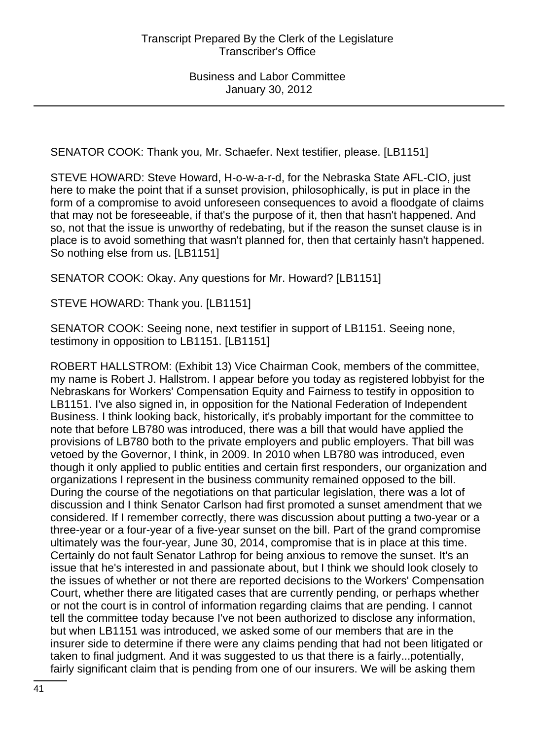SENATOR COOK: Thank you, Mr. Schaefer. Next testifier, please. [LB1151]

STEVE HOWARD: Steve Howard, H-o-w-a-r-d, for the Nebraska State AFL-CIO, just here to make the point that if a sunset provision, philosophically, is put in place in the form of a compromise to avoid unforeseen consequences to avoid a floodgate of claims that may not be foreseeable, if that's the purpose of it, then that hasn't happened. And so, not that the issue is unworthy of redebating, but if the reason the sunset clause is in place is to avoid something that wasn't planned for, then that certainly hasn't happened. So nothing else from us. [LB1151]

SENATOR COOK: Okay. Any questions for Mr. Howard? [LB1151]

STEVE HOWARD: Thank you. [LB1151]

SENATOR COOK: Seeing none, next testifier in support of LB1151. Seeing none, testimony in opposition to LB1151. [LB1151]

ROBERT HALLSTROM: (Exhibit 13) Vice Chairman Cook, members of the committee, my name is Robert J. Hallstrom. I appear before you today as registered lobbyist for the Nebraskans for Workers' Compensation Equity and Fairness to testify in opposition to LB1151. I've also signed in, in opposition for the National Federation of Independent Business. I think looking back, historically, it's probably important for the committee to note that before LB780 was introduced, there was a bill that would have applied the provisions of LB780 both to the private employers and public employers. That bill was vetoed by the Governor, I think, in 2009. In 2010 when LB780 was introduced, even though it only applied to public entities and certain first responders, our organization and organizations I represent in the business community remained opposed to the bill. During the course of the negotiations on that particular legislation, there was a lot of discussion and I think Senator Carlson had first promoted a sunset amendment that we considered. If I remember correctly, there was discussion about putting a two-year or a three-year or a four-year of a five-year sunset on the bill. Part of the grand compromise ultimately was the four-year, June 30, 2014, compromise that is in place at this time. Certainly do not fault Senator Lathrop for being anxious to remove the sunset. It's an issue that he's interested in and passionate about, but I think we should look closely to the issues of whether or not there are reported decisions to the Workers' Compensation Court, whether there are litigated cases that are currently pending, or perhaps whether or not the court is in control of information regarding claims that are pending. I cannot tell the committee today because I've not been authorized to disclose any information, but when LB1151 was introduced, we asked some of our members that are in the insurer side to determine if there were any claims pending that had not been litigated or taken to final judgment. And it was suggested to us that there is a fairly...potentially, fairly significant claim that is pending from one of our insurers. We will be asking them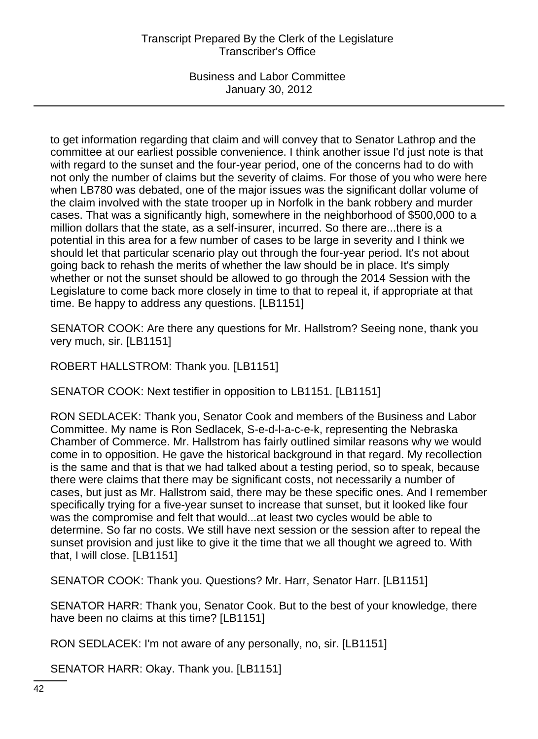# Transcript Prepared By the Clerk of the Legislature Transcriber's Office

Business and Labor Committee January 30, 2012

to get information regarding that claim and will convey that to Senator Lathrop and the committee at our earliest possible convenience. I think another issue I'd just note is that with regard to the sunset and the four-year period, one of the concerns had to do with not only the number of claims but the severity of claims. For those of you who were here when LB780 was debated, one of the major issues was the significant dollar volume of the claim involved with the state trooper up in Norfolk in the bank robbery and murder cases. That was a significantly high, somewhere in the neighborhood of \$500,000 to a million dollars that the state, as a self-insurer, incurred. So there are...there is a potential in this area for a few number of cases to be large in severity and I think we should let that particular scenario play out through the four-year period. It's not about going back to rehash the merits of whether the law should be in place. It's simply whether or not the sunset should be allowed to go through the 2014 Session with the Legislature to come back more closely in time to that to repeal it, if appropriate at that time. Be happy to address any questions. [LB1151]

SENATOR COOK: Are there any questions for Mr. Hallstrom? Seeing none, thank you very much, sir. [LB1151]

ROBERT HALLSTROM: Thank you. [LB1151]

SENATOR COOK: Next testifier in opposition to LB1151. [LB1151]

RON SEDLACEK: Thank you, Senator Cook and members of the Business and Labor Committee. My name is Ron Sedlacek, S-e-d-l-a-c-e-k, representing the Nebraska Chamber of Commerce. Mr. Hallstrom has fairly outlined similar reasons why we would come in to opposition. He gave the historical background in that regard. My recollection is the same and that is that we had talked about a testing period, so to speak, because there were claims that there may be significant costs, not necessarily a number of cases, but just as Mr. Hallstrom said, there may be these specific ones. And I remember specifically trying for a five-year sunset to increase that sunset, but it looked like four was the compromise and felt that would...at least two cycles would be able to determine. So far no costs. We still have next session or the session after to repeal the sunset provision and just like to give it the time that we all thought we agreed to. With that, I will close. [LB1151]

SENATOR COOK: Thank you. Questions? Mr. Harr, Senator Harr. [LB1151]

SENATOR HARR: Thank you, Senator Cook. But to the best of your knowledge, there have been no claims at this time? [LB1151]

RON SEDLACEK: I'm not aware of any personally, no, sir. [LB1151]

SENATOR HARR: Okay. Thank you. [LB1151]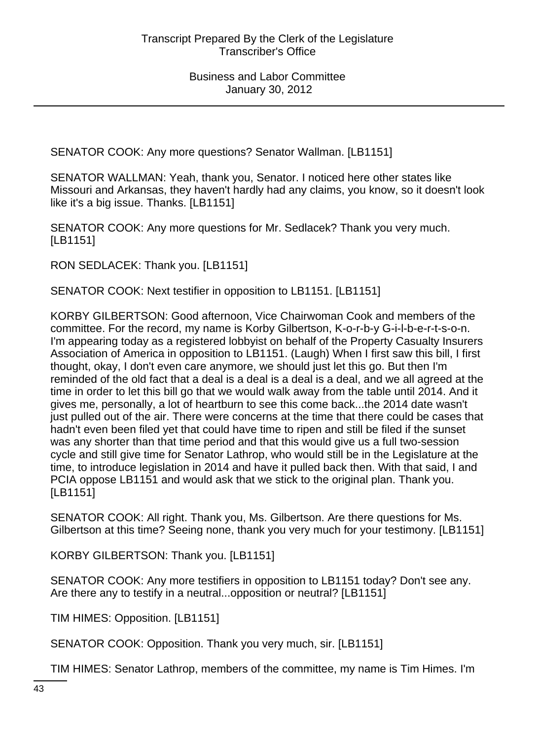SENATOR COOK: Any more questions? Senator Wallman. [LB1151]

SENATOR WALLMAN: Yeah, thank you, Senator. I noticed here other states like Missouri and Arkansas, they haven't hardly had any claims, you know, so it doesn't look like it's a big issue. Thanks. [LB1151]

SENATOR COOK: Any more questions for Mr. Sedlacek? Thank you very much. [LB1151]

RON SEDLACEK: Thank you. [LB1151]

SENATOR COOK: Next testifier in opposition to LB1151. [LB1151]

KORBY GILBERTSON: Good afternoon, Vice Chairwoman Cook and members of the committee. For the record, my name is Korby Gilbertson, K-o-r-b-y G-i-l-b-e-r-t-s-o-n. I'm appearing today as a registered lobbyist on behalf of the Property Casualty Insurers Association of America in opposition to LB1151. (Laugh) When I first saw this bill, I first thought, okay, I don't even care anymore, we should just let this go. But then I'm reminded of the old fact that a deal is a deal is a deal is a deal, and we all agreed at the time in order to let this bill go that we would walk away from the table until 2014. And it gives me, personally, a lot of heartburn to see this come back...the 2014 date wasn't just pulled out of the air. There were concerns at the time that there could be cases that hadn't even been filed yet that could have time to ripen and still be filed if the sunset was any shorter than that time period and that this would give us a full two-session cycle and still give time for Senator Lathrop, who would still be in the Legislature at the time, to introduce legislation in 2014 and have it pulled back then. With that said, I and PCIA oppose LB1151 and would ask that we stick to the original plan. Thank you. [LB1151]

SENATOR COOK: All right. Thank you, Ms. Gilbertson. Are there questions for Ms. Gilbertson at this time? Seeing none, thank you very much for your testimony. [LB1151]

KORBY GILBERTSON: Thank you. [LB1151]

SENATOR COOK: Any more testifiers in opposition to LB1151 today? Don't see any. Are there any to testify in a neutral...opposition or neutral? [LB1151]

TIM HIMES: Opposition. [LB1151]

SENATOR COOK: Opposition. Thank you very much, sir. [LB1151]

TIM HIMES: Senator Lathrop, members of the committee, my name is Tim Himes. I'm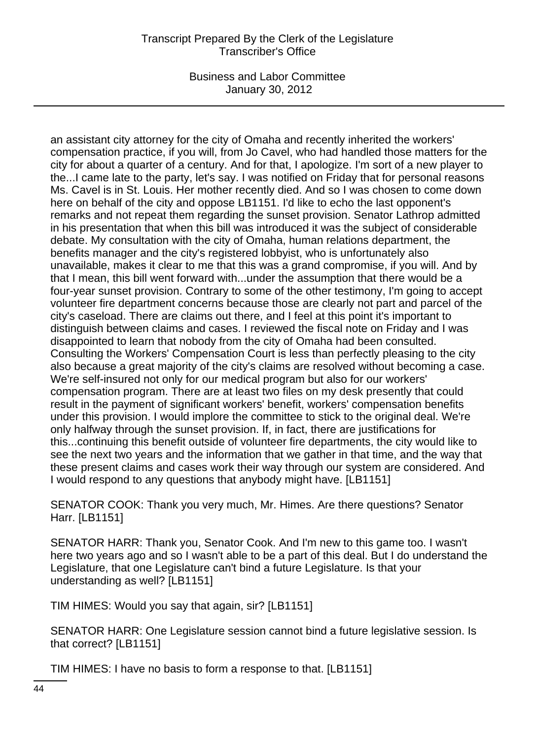### Transcript Prepared By the Clerk of the Legislature Transcriber's Office

Business and Labor Committee January 30, 2012

an assistant city attorney for the city of Omaha and recently inherited the workers' compensation practice, if you will, from Jo Cavel, who had handled those matters for the city for about a quarter of a century. And for that, I apologize. I'm sort of a new player to the...I came late to the party, let's say. I was notified on Friday that for personal reasons Ms. Cavel is in St. Louis. Her mother recently died. And so I was chosen to come down here on behalf of the city and oppose LB1151. I'd like to echo the last opponent's remarks and not repeat them regarding the sunset provision. Senator Lathrop admitted in his presentation that when this bill was introduced it was the subject of considerable debate. My consultation with the city of Omaha, human relations department, the benefits manager and the city's registered lobbyist, who is unfortunately also unavailable, makes it clear to me that this was a grand compromise, if you will. And by that I mean, this bill went forward with...under the assumption that there would be a four-year sunset provision. Contrary to some of the other testimony, I'm going to accept volunteer fire department concerns because those are clearly not part and parcel of the city's caseload. There are claims out there, and I feel at this point it's important to distinguish between claims and cases. I reviewed the fiscal note on Friday and I was disappointed to learn that nobody from the city of Omaha had been consulted. Consulting the Workers' Compensation Court is less than perfectly pleasing to the city also because a great majority of the city's claims are resolved without becoming a case. We're self-insured not only for our medical program but also for our workers' compensation program. There are at least two files on my desk presently that could result in the payment of significant workers' benefit, workers' compensation benefits under this provision. I would implore the committee to stick to the original deal. We're only halfway through the sunset provision. If, in fact, there are justifications for this...continuing this benefit outside of volunteer fire departments, the city would like to see the next two years and the information that we gather in that time, and the way that these present claims and cases work their way through our system are considered. And I would respond to any questions that anybody might have. [LB1151]

SENATOR COOK: Thank you very much, Mr. Himes. Are there questions? Senator Harr. [LB1151]

SENATOR HARR: Thank you, Senator Cook. And I'm new to this game too. I wasn't here two years ago and so I wasn't able to be a part of this deal. But I do understand the Legislature, that one Legislature can't bind a future Legislature. Is that your understanding as well? [LB1151]

TIM HIMES: Would you say that again, sir? [LB1151]

SENATOR HARR: One Legislature session cannot bind a future legislative session. Is that correct? [LB1151]

TIM HIMES: I have no basis to form a response to that. [LB1151]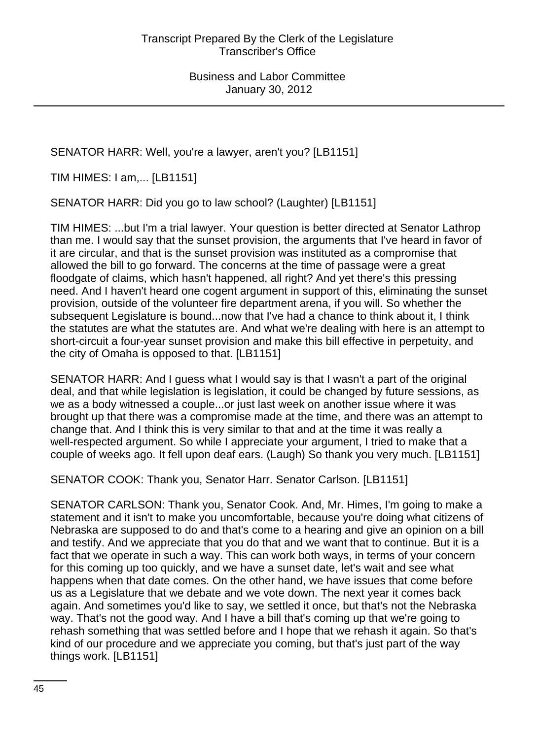SENATOR HARR: Well, you're a lawyer, aren't you? [LB1151]

TIM HIMES: I am,... [LB1151]

SENATOR HARR: Did you go to law school? (Laughter) [LB1151]

TIM HIMES: ...but I'm a trial lawyer. Your question is better directed at Senator Lathrop than me. I would say that the sunset provision, the arguments that I've heard in favor of it are circular, and that is the sunset provision was instituted as a compromise that allowed the bill to go forward. The concerns at the time of passage were a great floodgate of claims, which hasn't happened, all right? And yet there's this pressing need. And I haven't heard one cogent argument in support of this, eliminating the sunset provision, outside of the volunteer fire department arena, if you will. So whether the subsequent Legislature is bound...now that I've had a chance to think about it, I think the statutes are what the statutes are. And what we're dealing with here is an attempt to short-circuit a four-year sunset provision and make this bill effective in perpetuity, and the city of Omaha is opposed to that. [LB1151]

SENATOR HARR: And I guess what I would say is that I wasn't a part of the original deal, and that while legislation is legislation, it could be changed by future sessions, as we as a body witnessed a couple...or just last week on another issue where it was brought up that there was a compromise made at the time, and there was an attempt to change that. And I think this is very similar to that and at the time it was really a well-respected argument. So while I appreciate your argument, I tried to make that a couple of weeks ago. It fell upon deaf ears. (Laugh) So thank you very much. [LB1151]

SENATOR COOK: Thank you, Senator Harr. Senator Carlson. [LB1151]

SENATOR CARLSON: Thank you, Senator Cook. And, Mr. Himes, I'm going to make a statement and it isn't to make you uncomfortable, because you're doing what citizens of Nebraska are supposed to do and that's come to a hearing and give an opinion on a bill and testify. And we appreciate that you do that and we want that to continue. But it is a fact that we operate in such a way. This can work both ways, in terms of your concern for this coming up too quickly, and we have a sunset date, let's wait and see what happens when that date comes. On the other hand, we have issues that come before us as a Legislature that we debate and we vote down. The next year it comes back again. And sometimes you'd like to say, we settled it once, but that's not the Nebraska way. That's not the good way. And I have a bill that's coming up that we're going to rehash something that was settled before and I hope that we rehash it again. So that's kind of our procedure and we appreciate you coming, but that's just part of the way things work. [LB1151]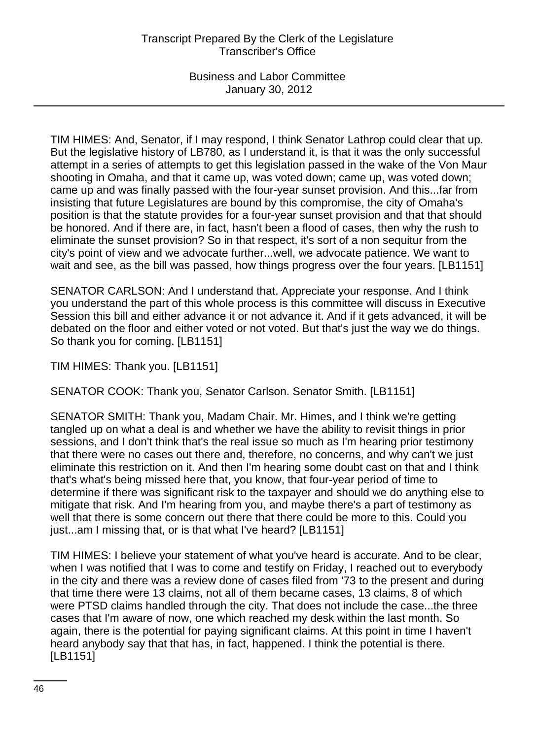TIM HIMES: And, Senator, if I may respond, I think Senator Lathrop could clear that up. But the legislative history of LB780, as I understand it, is that it was the only successful attempt in a series of attempts to get this legislation passed in the wake of the Von Maur shooting in Omaha, and that it came up, was voted down; came up, was voted down; came up and was finally passed with the four-year sunset provision. And this...far from insisting that future Legislatures are bound by this compromise, the city of Omaha's position is that the statute provides for a four-year sunset provision and that that should be honored. And if there are, in fact, hasn't been a flood of cases, then why the rush to eliminate the sunset provision? So in that respect, it's sort of a non sequitur from the city's point of view and we advocate further...well, we advocate patience. We want to wait and see, as the bill was passed, how things progress over the four years. [LB1151]

SENATOR CARLSON: And I understand that. Appreciate your response. And I think you understand the part of this whole process is this committee will discuss in Executive Session this bill and either advance it or not advance it. And if it gets advanced, it will be debated on the floor and either voted or not voted. But that's just the way we do things. So thank you for coming. [LB1151]

TIM HIMES: Thank you. [LB1151]

SENATOR COOK: Thank you, Senator Carlson. Senator Smith. [LB1151]

SENATOR SMITH: Thank you, Madam Chair. Mr. Himes, and I think we're getting tangled up on what a deal is and whether we have the ability to revisit things in prior sessions, and I don't think that's the real issue so much as I'm hearing prior testimony that there were no cases out there and, therefore, no concerns, and why can't we just eliminate this restriction on it. And then I'm hearing some doubt cast on that and I think that's what's being missed here that, you know, that four-year period of time to determine if there was significant risk to the taxpayer and should we do anything else to mitigate that risk. And I'm hearing from you, and maybe there's a part of testimony as well that there is some concern out there that there could be more to this. Could you just...am I missing that, or is that what I've heard? [LB1151]

TIM HIMES: I believe your statement of what you've heard is accurate. And to be clear, when I was notified that I was to come and testify on Friday, I reached out to everybody in the city and there was a review done of cases filed from '73 to the present and during that time there were 13 claims, not all of them became cases, 13 claims, 8 of which were PTSD claims handled through the city. That does not include the case...the three cases that I'm aware of now, one which reached my desk within the last month. So again, there is the potential for paying significant claims. At this point in time I haven't heard anybody say that that has, in fact, happened. I think the potential is there. [LB1151]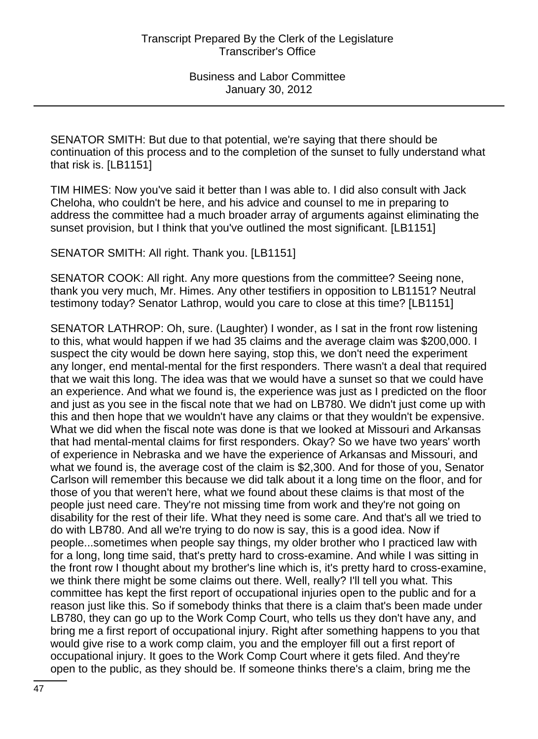SENATOR SMITH: But due to that potential, we're saying that there should be continuation of this process and to the completion of the sunset to fully understand what that risk is. [LB1151]

TIM HIMES: Now you've said it better than I was able to. I did also consult with Jack Cheloha, who couldn't be here, and his advice and counsel to me in preparing to address the committee had a much broader array of arguments against eliminating the sunset provision, but I think that you've outlined the most significant. [LB1151]

SENATOR SMITH: All right. Thank you. [LB1151]

SENATOR COOK: All right. Any more questions from the committee? Seeing none, thank you very much, Mr. Himes. Any other testifiers in opposition to LB1151? Neutral testimony today? Senator Lathrop, would you care to close at this time? [LB1151]

SENATOR LATHROP: Oh, sure. (Laughter) I wonder, as I sat in the front row listening to this, what would happen if we had 35 claims and the average claim was \$200,000. I suspect the city would be down here saying, stop this, we don't need the experiment any longer, end mental-mental for the first responders. There wasn't a deal that required that we wait this long. The idea was that we would have a sunset so that we could have an experience. And what we found is, the experience was just as I predicted on the floor and just as you see in the fiscal note that we had on LB780. We didn't just come up with this and then hope that we wouldn't have any claims or that they wouldn't be expensive. What we did when the fiscal note was done is that we looked at Missouri and Arkansas that had mental-mental claims for first responders. Okay? So we have two years' worth of experience in Nebraska and we have the experience of Arkansas and Missouri, and what we found is, the average cost of the claim is \$2,300. And for those of you, Senator Carlson will remember this because we did talk about it a long time on the floor, and for those of you that weren't here, what we found about these claims is that most of the people just need care. They're not missing time from work and they're not going on disability for the rest of their life. What they need is some care. And that's all we tried to do with LB780. And all we're trying to do now is say, this is a good idea. Now if people...sometimes when people say things, my older brother who I practiced law with for a long, long time said, that's pretty hard to cross-examine. And while I was sitting in the front row I thought about my brother's line which is, it's pretty hard to cross-examine, we think there might be some claims out there. Well, really? I'll tell you what. This committee has kept the first report of occupational injuries open to the public and for a reason just like this. So if somebody thinks that there is a claim that's been made under LB780, they can go up to the Work Comp Court, who tells us they don't have any, and bring me a first report of occupational injury. Right after something happens to you that would give rise to a work comp claim, you and the employer fill out a first report of occupational injury. It goes to the Work Comp Court where it gets filed. And they're open to the public, as they should be. If someone thinks there's a claim, bring me the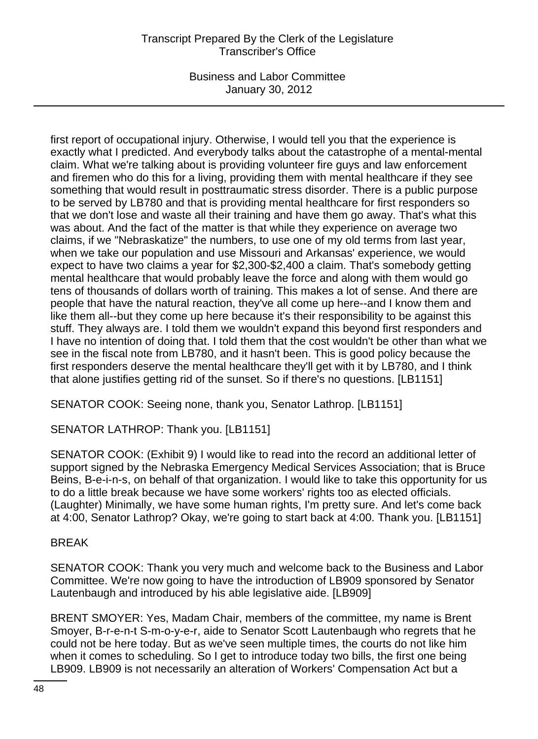# Transcript Prepared By the Clerk of the Legislature Transcriber's Office

Business and Labor Committee January 30, 2012

first report of occupational injury. Otherwise, I would tell you that the experience is exactly what I predicted. And everybody talks about the catastrophe of a mental-mental claim. What we're talking about is providing volunteer fire guys and law enforcement and firemen who do this for a living, providing them with mental healthcare if they see something that would result in posttraumatic stress disorder. There is a public purpose to be served by LB780 and that is providing mental healthcare for first responders so that we don't lose and waste all their training and have them go away. That's what this was about. And the fact of the matter is that while they experience on average two claims, if we "Nebraskatize" the numbers, to use one of my old terms from last year, when we take our population and use Missouri and Arkansas' experience, we would expect to have two claims a year for \$2,300-\$2,400 a claim. That's somebody getting mental healthcare that would probably leave the force and along with them would go tens of thousands of dollars worth of training. This makes a lot of sense. And there are people that have the natural reaction, they've all come up here--and I know them and like them all--but they come up here because it's their responsibility to be against this stuff. They always are. I told them we wouldn't expand this beyond first responders and I have no intention of doing that. I told them that the cost wouldn't be other than what we see in the fiscal note from LB780, and it hasn't been. This is good policy because the first responders deserve the mental healthcare they'll get with it by LB780, and I think that alone justifies getting rid of the sunset. So if there's no questions. [LB1151]

SENATOR COOK: Seeing none, thank you, Senator Lathrop. [LB1151]

SENATOR LATHROP: Thank you. [LB1151]

SENATOR COOK: (Exhibit 9) I would like to read into the record an additional letter of support signed by the Nebraska Emergency Medical Services Association; that is Bruce Beins, B-e-i-n-s, on behalf of that organization. I would like to take this opportunity for us to do a little break because we have some workers' rights too as elected officials. (Laughter) Minimally, we have some human rights, I'm pretty sure. And let's come back at 4:00, Senator Lathrop? Okay, we're going to start back at 4:00. Thank you. [LB1151]

#### BREAK

SENATOR COOK: Thank you very much and welcome back to the Business and Labor Committee. We're now going to have the introduction of LB909 sponsored by Senator Lautenbaugh and introduced by his able legislative aide. [LB909]

BRENT SMOYER: Yes, Madam Chair, members of the committee, my name is Brent Smoyer, B-r-e-n-t S-m-o-y-e-r, aide to Senator Scott Lautenbaugh who regrets that he could not be here today. But as we've seen multiple times, the courts do not like him when it comes to scheduling. So I get to introduce today two bills, the first one being LB909. LB909 is not necessarily an alteration of Workers' Compensation Act but a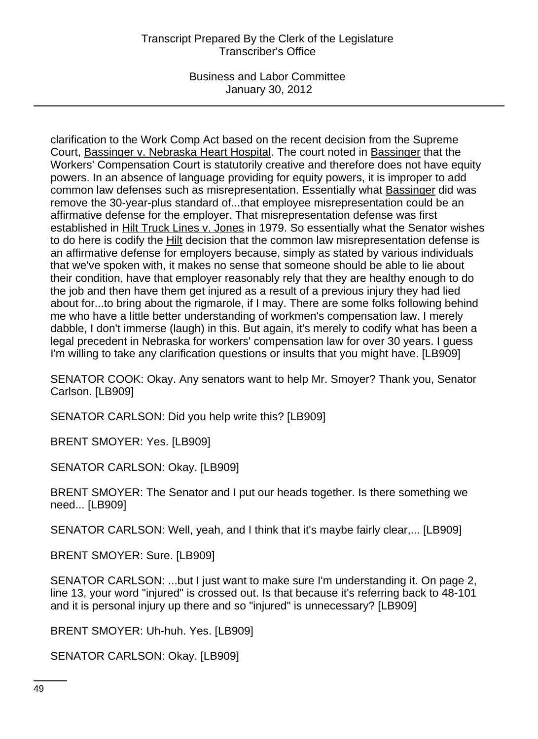### Transcript Prepared By the Clerk of the Legislature Transcriber's Office

Business and Labor Committee January 30, 2012

clarification to the Work Comp Act based on the recent decision from the Supreme Court, Bassinger v. Nebraska Heart Hospital. The court noted in Bassinger that the Workers' Compensation Court is statutorily creative and therefore does not have equity powers. In an absence of language providing for equity powers, it is improper to add common law defenses such as misrepresentation. Essentially what Bassinger did was remove the 30-year-plus standard of...that employee misrepresentation could be an affirmative defense for the employer. That misrepresentation defense was first established in Hilt Truck Lines v. Jones in 1979. So essentially what the Senator wishes to do here is codify the Hilt decision that the common law misrepresentation defense is an affirmative defense for employers because, simply as stated by various individuals that we've spoken with, it makes no sense that someone should be able to lie about their condition, have that employer reasonably rely that they are healthy enough to do the job and then have them get injured as a result of a previous injury they had lied about for...to bring about the rigmarole, if I may. There are some folks following behind me who have a little better understanding of workmen's compensation law. I merely dabble, I don't immerse (laugh) in this. But again, it's merely to codify what has been a legal precedent in Nebraska for workers' compensation law for over 30 years. I guess I'm willing to take any clarification questions or insults that you might have. [LB909]

SENATOR COOK: Okay. Any senators want to help Mr. Smoyer? Thank you, Senator Carlson. [LB909]

SENATOR CARLSON: Did you help write this? [LB909]

BRENT SMOYER: Yes. [LB909]

SENATOR CARLSON: Okay. [LB909]

BRENT SMOYER: The Senator and I put our heads together. Is there something we need... [LB909]

SENATOR CARLSON: Well, yeah, and I think that it's maybe fairly clear,... [LB909]

BRENT SMOYER: Sure. [LB909]

SENATOR CARLSON: ...but I just want to make sure I'm understanding it. On page 2, line 13, your word "injured" is crossed out. Is that because it's referring back to 48-101 and it is personal injury up there and so "injured" is unnecessary? [LB909]

BRENT SMOYER: Uh-huh. Yes. [LB909]

SENATOR CARLSON: Okay. [LB909]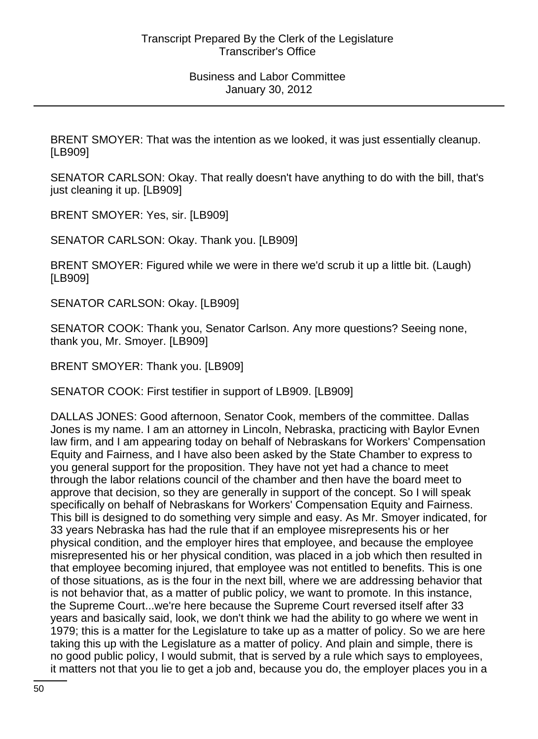BRENT SMOYER: That was the intention as we looked, it was just essentially cleanup. [LB909]

SENATOR CARLSON: Okay. That really doesn't have anything to do with the bill, that's just cleaning it up. [LB909]

BRENT SMOYER: Yes, sir. [LB909]

SENATOR CARLSON: Okay. Thank you. [LB909]

BRENT SMOYER: Figured while we were in there we'd scrub it up a little bit. (Laugh) [LB909]

SENATOR CARLSON: Okay. [LB909]

SENATOR COOK: Thank you, Senator Carlson. Any more questions? Seeing none, thank you, Mr. Smoyer. [LB909]

BRENT SMOYER: Thank you. [LB909]

SENATOR COOK: First testifier in support of LB909. [LB909]

DALLAS JONES: Good afternoon, Senator Cook, members of the committee. Dallas Jones is my name. I am an attorney in Lincoln, Nebraska, practicing with Baylor Evnen law firm, and I am appearing today on behalf of Nebraskans for Workers' Compensation Equity and Fairness, and I have also been asked by the State Chamber to express to you general support for the proposition. They have not yet had a chance to meet through the labor relations council of the chamber and then have the board meet to approve that decision, so they are generally in support of the concept. So I will speak specifically on behalf of Nebraskans for Workers' Compensation Equity and Fairness. This bill is designed to do something very simple and easy. As Mr. Smoyer indicated, for 33 years Nebraska has had the rule that if an employee misrepresents his or her physical condition, and the employer hires that employee, and because the employee misrepresented his or her physical condition, was placed in a job which then resulted in that employee becoming injured, that employee was not entitled to benefits. This is one of those situations, as is the four in the next bill, where we are addressing behavior that is not behavior that, as a matter of public policy, we want to promote. In this instance, the Supreme Court...we're here because the Supreme Court reversed itself after 33 years and basically said, look, we don't think we had the ability to go where we went in 1979; this is a matter for the Legislature to take up as a matter of policy. So we are here taking this up with the Legislature as a matter of policy. And plain and simple, there is no good public policy, I would submit, that is served by a rule which says to employees, it matters not that you lie to get a job and, because you do, the employer places you in a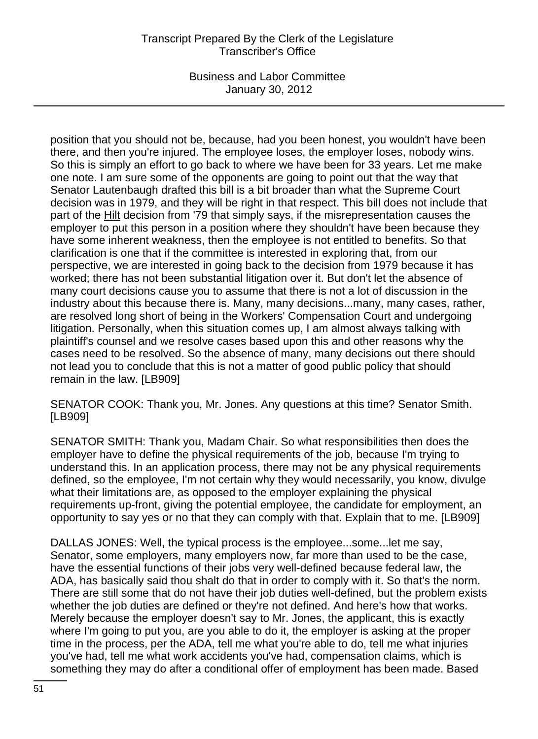# Transcript Prepared By the Clerk of the Legislature Transcriber's Office

Business and Labor Committee January 30, 2012

position that you should not be, because, had you been honest, you wouldn't have been there, and then you're injured. The employee loses, the employer loses, nobody wins. So this is simply an effort to go back to where we have been for 33 years. Let me make one note. I am sure some of the opponents are going to point out that the way that Senator Lautenbaugh drafted this bill is a bit broader than what the Supreme Court decision was in 1979, and they will be right in that respect. This bill does not include that part of the Hilt decision from '79 that simply says, if the misrepresentation causes the employer to put this person in a position where they shouldn't have been because they have some inherent weakness, then the employee is not entitled to benefits. So that clarification is one that if the committee is interested in exploring that, from our perspective, we are interested in going back to the decision from 1979 because it has worked; there has not been substantial litigation over it. But don't let the absence of many court decisions cause you to assume that there is not a lot of discussion in the industry about this because there is. Many, many decisions...many, many cases, rather, are resolved long short of being in the Workers' Compensation Court and undergoing litigation. Personally, when this situation comes up, I am almost always talking with plaintiff's counsel and we resolve cases based upon this and other reasons why the cases need to be resolved. So the absence of many, many decisions out there should not lead you to conclude that this is not a matter of good public policy that should remain in the law. [LB909]

SENATOR COOK: Thank you, Mr. Jones. Any questions at this time? Senator Smith. [LB909]

SENATOR SMITH: Thank you, Madam Chair. So what responsibilities then does the employer have to define the physical requirements of the job, because I'm trying to understand this. In an application process, there may not be any physical requirements defined, so the employee, I'm not certain why they would necessarily, you know, divulge what their limitations are, as opposed to the employer explaining the physical requirements up-front, giving the potential employee, the candidate for employment, an opportunity to say yes or no that they can comply with that. Explain that to me. [LB909]

DALLAS JONES: Well, the typical process is the employee...some...let me say, Senator, some employers, many employers now, far more than used to be the case, have the essential functions of their jobs very well-defined because federal law, the ADA, has basically said thou shalt do that in order to comply with it. So that's the norm. There are still some that do not have their job duties well-defined, but the problem exists whether the job duties are defined or they're not defined. And here's how that works. Merely because the employer doesn't say to Mr. Jones, the applicant, this is exactly where I'm going to put you, are you able to do it, the employer is asking at the proper time in the process, per the ADA, tell me what you're able to do, tell me what injuries you've had, tell me what work accidents you've had, compensation claims, which is something they may do after a conditional offer of employment has been made. Based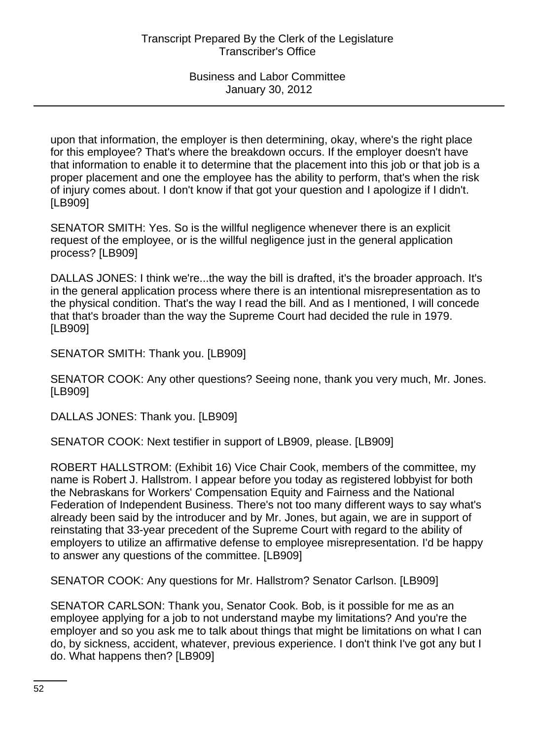upon that information, the employer is then determining, okay, where's the right place for this employee? That's where the breakdown occurs. If the employer doesn't have that information to enable it to determine that the placement into this job or that job is a proper placement and one the employee has the ability to perform, that's when the risk of injury comes about. I don't know if that got your question and I apologize if I didn't. [LB909]

SENATOR SMITH: Yes. So is the willful negligence whenever there is an explicit request of the employee, or is the willful negligence just in the general application process? [LB909]

DALLAS JONES: I think we're...the way the bill is drafted, it's the broader approach. It's in the general application process where there is an intentional misrepresentation as to the physical condition. That's the way I read the bill. And as I mentioned, I will concede that that's broader than the way the Supreme Court had decided the rule in 1979. [LB909]

SENATOR SMITH: Thank you. [LB909]

SENATOR COOK: Any other questions? Seeing none, thank you very much, Mr. Jones. [LB909]

DALLAS JONES: Thank you. [LB909]

SENATOR COOK: Next testifier in support of LB909, please. [LB909]

ROBERT HALLSTROM: (Exhibit 16) Vice Chair Cook, members of the committee, my name is Robert J. Hallstrom. I appear before you today as registered lobbyist for both the Nebraskans for Workers' Compensation Equity and Fairness and the National Federation of Independent Business. There's not too many different ways to say what's already been said by the introducer and by Mr. Jones, but again, we are in support of reinstating that 33-year precedent of the Supreme Court with regard to the ability of employers to utilize an affirmative defense to employee misrepresentation. I'd be happy to answer any questions of the committee. [LB909]

SENATOR COOK: Any questions for Mr. Hallstrom? Senator Carlson. [LB909]

SENATOR CARLSON: Thank you, Senator Cook. Bob, is it possible for me as an employee applying for a job to not understand maybe my limitations? And you're the employer and so you ask me to talk about things that might be limitations on what I can do, by sickness, accident, whatever, previous experience. I don't think I've got any but I do. What happens then? [LB909]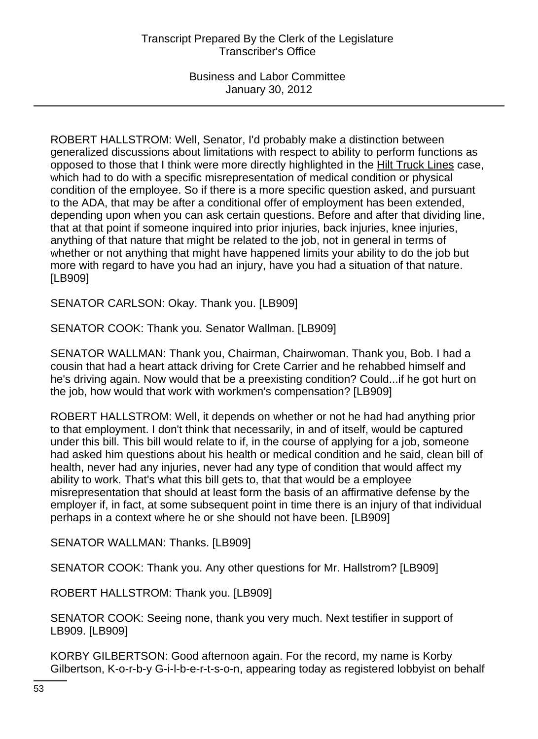ROBERT HALLSTROM: Well, Senator, I'd probably make a distinction between generalized discussions about limitations with respect to ability to perform functions as opposed to those that I think were more directly highlighted in the Hilt Truck Lines case, which had to do with a specific misrepresentation of medical condition or physical condition of the employee. So if there is a more specific question asked, and pursuant to the ADA, that may be after a conditional offer of employment has been extended, depending upon when you can ask certain questions. Before and after that dividing line, that at that point if someone inquired into prior injuries, back injuries, knee injuries, anything of that nature that might be related to the job, not in general in terms of whether or not anything that might have happened limits your ability to do the job but more with regard to have you had an injury, have you had a situation of that nature. [LB909]

SENATOR CARLSON: Okay. Thank you. [LB909]

SENATOR COOK: Thank you. Senator Wallman. [LB909]

SENATOR WALLMAN: Thank you, Chairman, Chairwoman. Thank you, Bob. I had a cousin that had a heart attack driving for Crete Carrier and he rehabbed himself and he's driving again. Now would that be a preexisting condition? Could...if he got hurt on the job, how would that work with workmen's compensation? [LB909]

ROBERT HALLSTROM: Well, it depends on whether or not he had had anything prior to that employment. I don't think that necessarily, in and of itself, would be captured under this bill. This bill would relate to if, in the course of applying for a job, someone had asked him questions about his health or medical condition and he said, clean bill of health, never had any injuries, never had any type of condition that would affect my ability to work. That's what this bill gets to, that that would be a employee misrepresentation that should at least form the basis of an affirmative defense by the employer if, in fact, at some subsequent point in time there is an injury of that individual perhaps in a context where he or she should not have been. [LB909]

SENATOR WALLMAN: Thanks. [LB909]

SENATOR COOK: Thank you. Any other questions for Mr. Hallstrom? [LB909]

ROBERT HALLSTROM: Thank you. [LB909]

SENATOR COOK: Seeing none, thank you very much. Next testifier in support of LB909. [LB909]

KORBY GILBERTSON: Good afternoon again. For the record, my name is Korby Gilbertson, K-o-r-b-y G-i-l-b-e-r-t-s-o-n, appearing today as registered lobbyist on behalf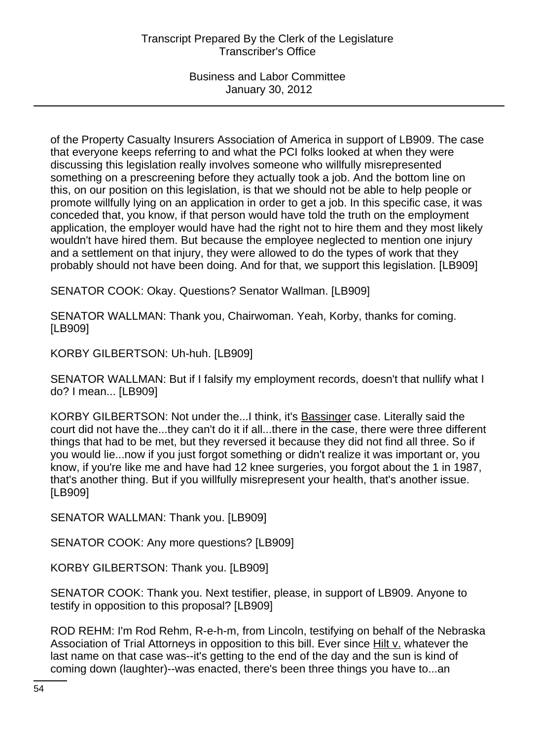of the Property Casualty Insurers Association of America in support of LB909. The case that everyone keeps referring to and what the PCI folks looked at when they were discussing this legislation really involves someone who willfully misrepresented something on a prescreening before they actually took a job. And the bottom line on this, on our position on this legislation, is that we should not be able to help people or promote willfully lying on an application in order to get a job. In this specific case, it was conceded that, you know, if that person would have told the truth on the employment application, the employer would have had the right not to hire them and they most likely wouldn't have hired them. But because the employee neglected to mention one injury and a settlement on that injury, they were allowed to do the types of work that they probably should not have been doing. And for that, we support this legislation. [LB909]

SENATOR COOK: Okay. Questions? Senator Wallman. [LB909]

SENATOR WALLMAN: Thank you, Chairwoman. Yeah, Korby, thanks for coming. [LB909]

KORBY GILBERTSON: Uh-huh. [LB909]

SENATOR WALLMAN: But if I falsify my employment records, doesn't that nullify what I do? I mean... [LB909]

KORBY GILBERTSON: Not under the...I think, it's Bassinger case. Literally said the court did not have the...they can't do it if all...there in the case, there were three different things that had to be met, but they reversed it because they did not find all three. So if you would lie...now if you just forgot something or didn't realize it was important or, you know, if you're like me and have had 12 knee surgeries, you forgot about the 1 in 1987, that's another thing. But if you willfully misrepresent your health, that's another issue. [LB909]

SENATOR WALLMAN: Thank you. [LB909]

SENATOR COOK: Any more questions? [LB909]

KORBY GILBERTSON: Thank you. [LB909]

SENATOR COOK: Thank you. Next testifier, please, in support of LB909. Anyone to testify in opposition to this proposal? [LB909]

ROD REHM: I'm Rod Rehm, R-e-h-m, from Lincoln, testifying on behalf of the Nebraska Association of Trial Attorneys in opposition to this bill. Ever since Hilt v. whatever the last name on that case was--it's getting to the end of the day and the sun is kind of coming down (laughter)--was enacted, there's been three things you have to...an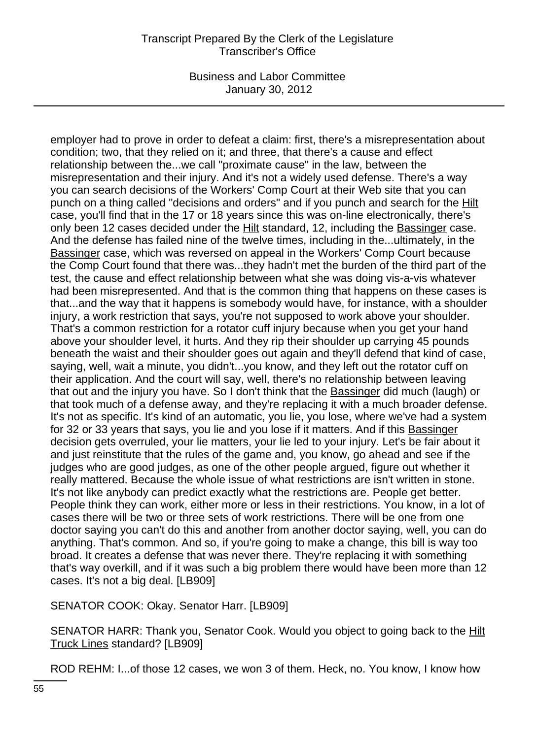employer had to prove in order to defeat a claim: first, there's a misrepresentation about condition; two, that they relied on it; and three, that there's a cause and effect relationship between the...we call "proximate cause" in the law, between the misrepresentation and their injury. And it's not a widely used defense. There's a way you can search decisions of the Workers' Comp Court at their Web site that you can punch on a thing called "decisions and orders" and if you punch and search for the Hilt case, you'll find that in the 17 or 18 years since this was on-line electronically, there's only been 12 cases decided under the Hilt standard, 12, including the Bassinger case. And the defense has failed nine of the twelve times, including in the...ultimately, in the Bassinger case, which was reversed on appeal in the Workers' Comp Court because the Comp Court found that there was...they hadn't met the burden of the third part of the test, the cause and effect relationship between what she was doing vis-a-vis whatever had been misrepresented. And that is the common thing that happens on these cases is that...and the way that it happens is somebody would have, for instance, with a shoulder injury, a work restriction that says, you're not supposed to work above your shoulder. That's a common restriction for a rotator cuff injury because when you get your hand above your shoulder level, it hurts. And they rip their shoulder up carrying 45 pounds beneath the waist and their shoulder goes out again and they'll defend that kind of case, saying, well, wait a minute, you didn't...you know, and they left out the rotator cuff on their application. And the court will say, well, there's no relationship between leaving that out and the injury you have. So I don't think that the Bassinger did much (laugh) or that took much of a defense away, and they're replacing it with a much broader defense. It's not as specific. It's kind of an automatic, you lie, you lose, where we've had a system for 32 or 33 years that says, you lie and you lose if it matters. And if this Bassinger decision gets overruled, your lie matters, your lie led to your injury. Let's be fair about it and just reinstitute that the rules of the game and, you know, go ahead and see if the judges who are good judges, as one of the other people argued, figure out whether it really mattered. Because the whole issue of what restrictions are isn't written in stone. It's not like anybody can predict exactly what the restrictions are. People get better. People think they can work, either more or less in their restrictions. You know, in a lot of cases there will be two or three sets of work restrictions. There will be one from one doctor saying you can't do this and another from another doctor saying, well, you can do anything. That's common. And so, if you're going to make a change, this bill is way too broad. It creates a defense that was never there. They're replacing it with something that's way overkill, and if it was such a big problem there would have been more than 12 cases. It's not a big deal. [LB909]

SENATOR COOK: Okay. Senator Harr. [LB909]

SENATOR HARR: Thank you, Senator Cook. Would you object to going back to the Hilt Truck Lines standard? [LB909]

ROD REHM: I...of those 12 cases, we won 3 of them. Heck, no. You know, I know how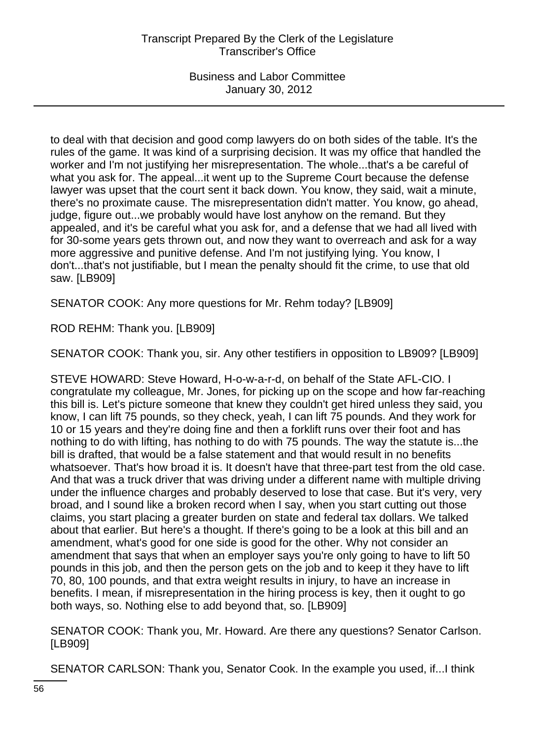to deal with that decision and good comp lawyers do on both sides of the table. It's the rules of the game. It was kind of a surprising decision. It was my office that handled the worker and I'm not justifying her misrepresentation. The whole...that's a be careful of what you ask for. The appeal...it went up to the Supreme Court because the defense lawyer was upset that the court sent it back down. You know, they said, wait a minute, there's no proximate cause. The misrepresentation didn't matter. You know, go ahead, judge, figure out...we probably would have lost anyhow on the remand. But they appealed, and it's be careful what you ask for, and a defense that we had all lived with for 30-some years gets thrown out, and now they want to overreach and ask for a way more aggressive and punitive defense. And I'm not justifying lying. You know, I don't...that's not justifiable, but I mean the penalty should fit the crime, to use that old saw. [LB909]

SENATOR COOK: Any more questions for Mr. Rehm today? [LB909]

ROD REHM: Thank you. [LB909]

SENATOR COOK: Thank you, sir. Any other testifiers in opposition to LB909? [LB909]

STEVE HOWARD: Steve Howard, H-o-w-a-r-d, on behalf of the State AFL-CIO. I congratulate my colleague, Mr. Jones, for picking up on the scope and how far-reaching this bill is. Let's picture someone that knew they couldn't get hired unless they said, you know, I can lift 75 pounds, so they check, yeah, I can lift 75 pounds. And they work for 10 or 15 years and they're doing fine and then a forklift runs over their foot and has nothing to do with lifting, has nothing to do with 75 pounds. The way the statute is...the bill is drafted, that would be a false statement and that would result in no benefits whatsoever. That's how broad it is. It doesn't have that three-part test from the old case. And that was a truck driver that was driving under a different name with multiple driving under the influence charges and probably deserved to lose that case. But it's very, very broad, and I sound like a broken record when I say, when you start cutting out those claims, you start placing a greater burden on state and federal tax dollars. We talked about that earlier. But here's a thought. If there's going to be a look at this bill and an amendment, what's good for one side is good for the other. Why not consider an amendment that says that when an employer says you're only going to have to lift 50 pounds in this job, and then the person gets on the job and to keep it they have to lift 70, 80, 100 pounds, and that extra weight results in injury, to have an increase in benefits. I mean, if misrepresentation in the hiring process is key, then it ought to go both ways, so. Nothing else to add beyond that, so. [LB909]

SENATOR COOK: Thank you, Mr. Howard. Are there any questions? Senator Carlson. [LB909]

SENATOR CARLSON: Thank you, Senator Cook. In the example you used, if...I think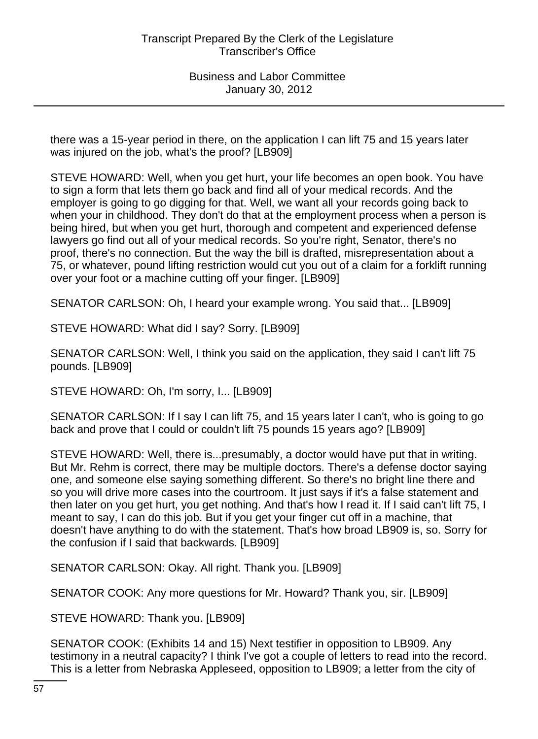there was a 15-year period in there, on the application I can lift 75 and 15 years later was injured on the job, what's the proof? [LB909]

STEVE HOWARD: Well, when you get hurt, your life becomes an open book. You have to sign a form that lets them go back and find all of your medical records. And the employer is going to go digging for that. Well, we want all your records going back to when your in childhood. They don't do that at the employment process when a person is being hired, but when you get hurt, thorough and competent and experienced defense lawyers go find out all of your medical records. So you're right, Senator, there's no proof, there's no connection. But the way the bill is drafted, misrepresentation about a 75, or whatever, pound lifting restriction would cut you out of a claim for a forklift running over your foot or a machine cutting off your finger. [LB909]

SENATOR CARLSON: Oh, I heard your example wrong. You said that... [LB909]

STEVE HOWARD: What did I say? Sorry. [LB909]

SENATOR CARLSON: Well, I think you said on the application, they said I can't lift 75 pounds. [LB909]

STEVE HOWARD: Oh, I'm sorry, I... [LB909]

SENATOR CARLSON: If I say I can lift 75, and 15 years later I can't, who is going to go back and prove that I could or couldn't lift 75 pounds 15 years ago? [LB909]

STEVE HOWARD: Well, there is...presumably, a doctor would have put that in writing. But Mr. Rehm is correct, there may be multiple doctors. There's a defense doctor saying one, and someone else saying something different. So there's no bright line there and so you will drive more cases into the courtroom. It just says if it's a false statement and then later on you get hurt, you get nothing. And that's how I read it. If I said can't lift 75, I meant to say, I can do this job. But if you get your finger cut off in a machine, that doesn't have anything to do with the statement. That's how broad LB909 is, so. Sorry for the confusion if I said that backwards. [LB909]

SENATOR CARLSON: Okay. All right. Thank you. [LB909]

SENATOR COOK: Any more questions for Mr. Howard? Thank you, sir. [LB909]

STEVE HOWARD: Thank you. [LB909]

SENATOR COOK: (Exhibits 14 and 15) Next testifier in opposition to LB909. Any testimony in a neutral capacity? I think I've got a couple of letters to read into the record. This is a letter from Nebraska Appleseed, opposition to LB909; a letter from the city of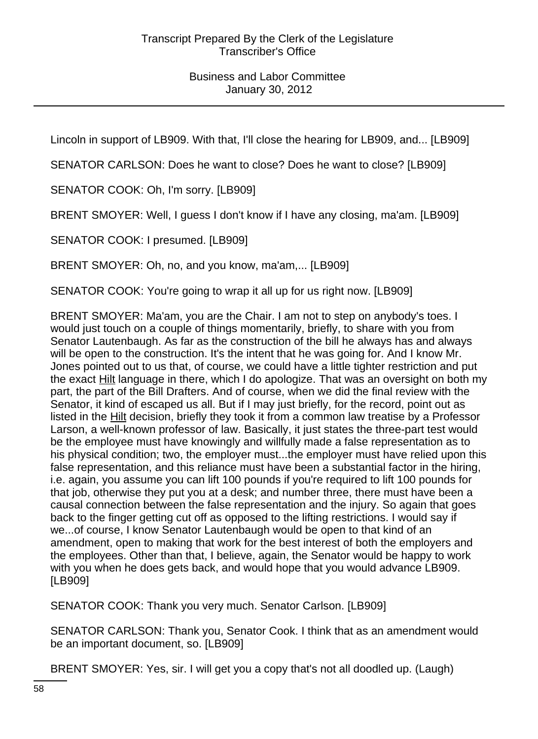Lincoln in support of LB909. With that, I'll close the hearing for LB909, and... [LB909]

SENATOR CARLSON: Does he want to close? Does he want to close? [LB909]

SENATOR COOK: Oh, I'm sorry. [LB909]

BRENT SMOYER: Well, I guess I don't know if I have any closing, ma'am. [LB909]

SENATOR COOK: I presumed. [LB909]

BRENT SMOYER: Oh, no, and you know, ma'am,... [LB909]

SENATOR COOK: You're going to wrap it all up for us right now. [LB909]

BRENT SMOYER: Ma'am, you are the Chair. I am not to step on anybody's toes. I would just touch on a couple of things momentarily, briefly, to share with you from Senator Lautenbaugh. As far as the construction of the bill he always has and always will be open to the construction. It's the intent that he was going for. And I know Mr. Jones pointed out to us that, of course, we could have a little tighter restriction and put the exact Hilt language in there, which I do apologize. That was an oversight on both my part, the part of the Bill Drafters. And of course, when we did the final review with the Senator, it kind of escaped us all. But if I may just briefly, for the record, point out as listed in the Hilt decision, briefly they took it from a common law treatise by a Professor Larson, a well-known professor of law. Basically, it just states the three-part test would be the employee must have knowingly and willfully made a false representation as to his physical condition; two, the employer must...the employer must have relied upon this false representation, and this reliance must have been a substantial factor in the hiring, i.e. again, you assume you can lift 100 pounds if you're required to lift 100 pounds for that job, otherwise they put you at a desk; and number three, there must have been a causal connection between the false representation and the injury. So again that goes back to the finger getting cut off as opposed to the lifting restrictions. I would say if we...of course, I know Senator Lautenbaugh would be open to that kind of an amendment, open to making that work for the best interest of both the employers and the employees. Other than that, I believe, again, the Senator would be happy to work with you when he does gets back, and would hope that you would advance LB909. [LB909]

SENATOR COOK: Thank you very much. Senator Carlson. [LB909]

SENATOR CARLSON: Thank you, Senator Cook. I think that as an amendment would be an important document, so. [LB909]

BRENT SMOYER: Yes, sir. I will get you a copy that's not all doodled up. (Laugh)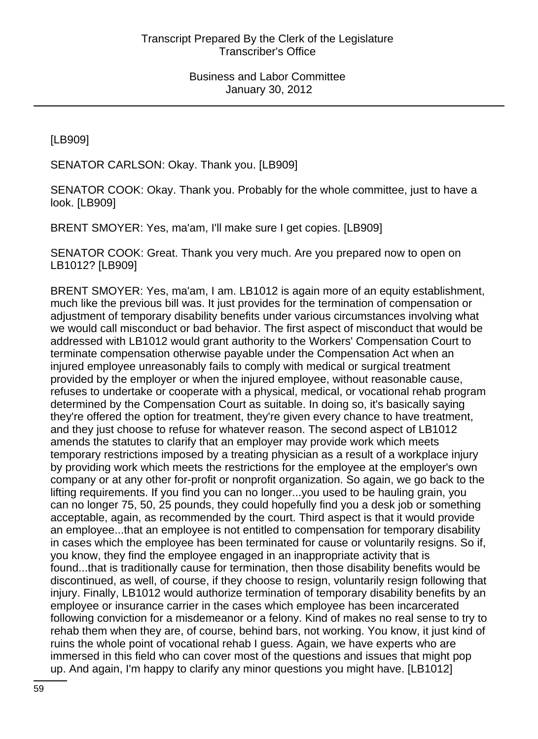[LB909]

SENATOR CARLSON: Okay. Thank you. [LB909]

SENATOR COOK: Okay. Thank you. Probably for the whole committee, just to have a look. [LB909]

BRENT SMOYER: Yes, ma'am, I'll make sure I get copies. [LB909]

SENATOR COOK: Great. Thank you very much. Are you prepared now to open on LB1012? [LB909]

BRENT SMOYER: Yes, ma'am, I am. LB1012 is again more of an equity establishment, much like the previous bill was. It just provides for the termination of compensation or adjustment of temporary disability benefits under various circumstances involving what we would call misconduct or bad behavior. The first aspect of misconduct that would be addressed with LB1012 would grant authority to the Workers' Compensation Court to terminate compensation otherwise payable under the Compensation Act when an injured employee unreasonably fails to comply with medical or surgical treatment provided by the employer or when the injured employee, without reasonable cause, refuses to undertake or cooperate with a physical, medical, or vocational rehab program determined by the Compensation Court as suitable. In doing so, it's basically saying they're offered the option for treatment, they're given every chance to have treatment, and they just choose to refuse for whatever reason. The second aspect of LB1012 amends the statutes to clarify that an employer may provide work which meets temporary restrictions imposed by a treating physician as a result of a workplace injury by providing work which meets the restrictions for the employee at the employer's own company or at any other for-profit or nonprofit organization. So again, we go back to the lifting requirements. If you find you can no longer...you used to be hauling grain, you can no longer 75, 50, 25 pounds, they could hopefully find you a desk job or something acceptable, again, as recommended by the court. Third aspect is that it would provide an employee...that an employee is not entitled to compensation for temporary disability in cases which the employee has been terminated for cause or voluntarily resigns. So if, you know, they find the employee engaged in an inappropriate activity that is found...that is traditionally cause for termination, then those disability benefits would be discontinued, as well, of course, if they choose to resign, voluntarily resign following that injury. Finally, LB1012 would authorize termination of temporary disability benefits by an employee or insurance carrier in the cases which employee has been incarcerated following conviction for a misdemeanor or a felony. Kind of makes no real sense to try to rehab them when they are, of course, behind bars, not working. You know, it just kind of ruins the whole point of vocational rehab I guess. Again, we have experts who are immersed in this field who can cover most of the questions and issues that might pop up. And again, I'm happy to clarify any minor questions you might have. [LB1012]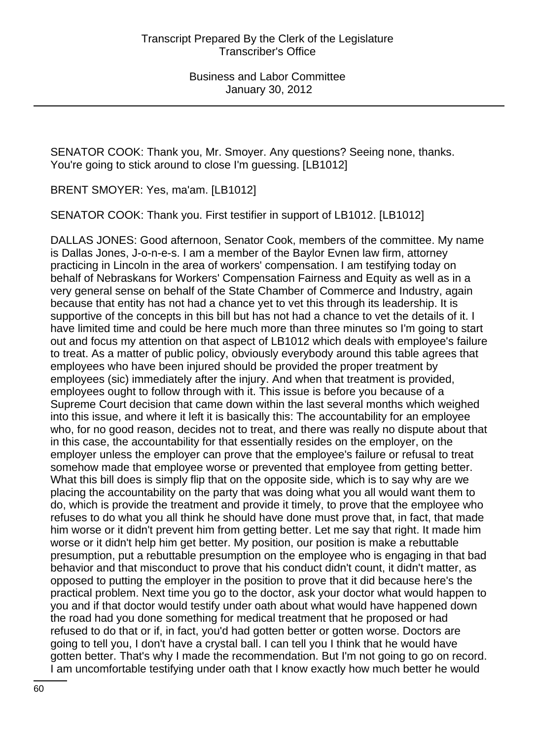SENATOR COOK: Thank you, Mr. Smoyer. Any questions? Seeing none, thanks. You're going to stick around to close I'm guessing. [LB1012]

BRENT SMOYER: Yes, ma'am. [LB1012]

SENATOR COOK: Thank you. First testifier in support of LB1012. [LB1012]

DALLAS JONES: Good afternoon, Senator Cook, members of the committee. My name is Dallas Jones, J-o-n-e-s. I am a member of the Baylor Evnen law firm, attorney practicing in Lincoln in the area of workers' compensation. I am testifying today on behalf of Nebraskans for Workers' Compensation Fairness and Equity as well as in a very general sense on behalf of the State Chamber of Commerce and Industry, again because that entity has not had a chance yet to vet this through its leadership. It is supportive of the concepts in this bill but has not had a chance to vet the details of it. I have limited time and could be here much more than three minutes so I'm going to start out and focus my attention on that aspect of LB1012 which deals with employee's failure to treat. As a matter of public policy, obviously everybody around this table agrees that employees who have been injured should be provided the proper treatment by employees (sic) immediately after the injury. And when that treatment is provided, employees ought to follow through with it. This issue is before you because of a Supreme Court decision that came down within the last several months which weighed into this issue, and where it left it is basically this: The accountability for an employee who, for no good reason, decides not to treat, and there was really no dispute about that in this case, the accountability for that essentially resides on the employer, on the employer unless the employer can prove that the employee's failure or refusal to treat somehow made that employee worse or prevented that employee from getting better. What this bill does is simply flip that on the opposite side, which is to say why are we placing the accountability on the party that was doing what you all would want them to do, which is provide the treatment and provide it timely, to prove that the employee who refuses to do what you all think he should have done must prove that, in fact, that made him worse or it didn't prevent him from getting better. Let me say that right. It made him worse or it didn't help him get better. My position, our position is make a rebuttable presumption, put a rebuttable presumption on the employee who is engaging in that bad behavior and that misconduct to prove that his conduct didn't count, it didn't matter, as opposed to putting the employer in the position to prove that it did because here's the practical problem. Next time you go to the doctor, ask your doctor what would happen to you and if that doctor would testify under oath about what would have happened down the road had you done something for medical treatment that he proposed or had refused to do that or if, in fact, you'd had gotten better or gotten worse. Doctors are going to tell you, I don't have a crystal ball. I can tell you I think that he would have gotten better. That's why I made the recommendation. But I'm not going to go on record. I am uncomfortable testifying under oath that I know exactly how much better he would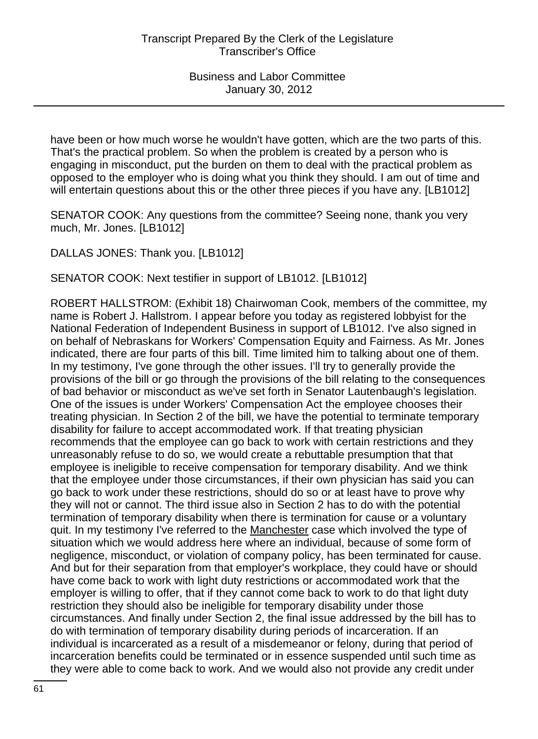have been or how much worse he wouldn't have gotten, which are the two parts of this. That's the practical problem. So when the problem is created by a person who is engaging in misconduct, put the burden on them to deal with the practical problem as opposed to the employer who is doing what you think they should. I am out of time and will entertain questions about this or the other three pieces if you have any. [LB1012]

SENATOR COOK: Any questions from the committee? Seeing none, thank you very much, Mr. Jones. [LB1012]

DALLAS JONES: Thank you. [LB1012]

SENATOR COOK: Next testifier in support of LB1012. [LB1012]

ROBERT HALLSTROM: (Exhibit 18) Chairwoman Cook, members of the committee, my name is Robert J. Hallstrom. I appear before you today as registered lobbyist for the National Federation of Independent Business in support of LB1012. I've also signed in on behalf of Nebraskans for Workers' Compensation Equity and Fairness. As Mr. Jones indicated, there are four parts of this bill. Time limited him to talking about one of them. In my testimony, I've gone through the other issues. I'll try to generally provide the provisions of the bill or go through the provisions of the bill relating to the consequences of bad behavior or misconduct as we've set forth in Senator Lautenbaugh's legislation. One of the issues is under Workers' Compensation Act the employee chooses their treating physician. In Section 2 of the bill, we have the potential to terminate temporary disability for failure to accept accommodated work. If that treating physician recommends that the employee can go back to work with certain restrictions and they unreasonably refuse to do so, we would create a rebuttable presumption that that employee is ineligible to receive compensation for temporary disability. And we think that the employee under those circumstances, if their own physician has said you can go back to work under these restrictions, should do so or at least have to prove why they will not or cannot. The third issue also in Section 2 has to do with the potential termination of temporary disability when there is termination for cause or a voluntary quit. In my testimony I've referred to the Manchester case which involved the type of situation which we would address here where an individual, because of some form of negligence, misconduct, or violation of company policy, has been terminated for cause. And but for their separation from that employer's workplace, they could have or should have come back to work with light duty restrictions or accommodated work that the employer is willing to offer, that if they cannot come back to work to do that light duty restriction they should also be ineligible for temporary disability under those circumstances. And finally under Section 2, the final issue addressed by the bill has to do with termination of temporary disability during periods of incarceration. If an individual is incarcerated as a result of a misdemeanor or felony, during that period of incarceration benefits could be terminated or in essence suspended until such time as they were able to come back to work. And we would also not provide any credit under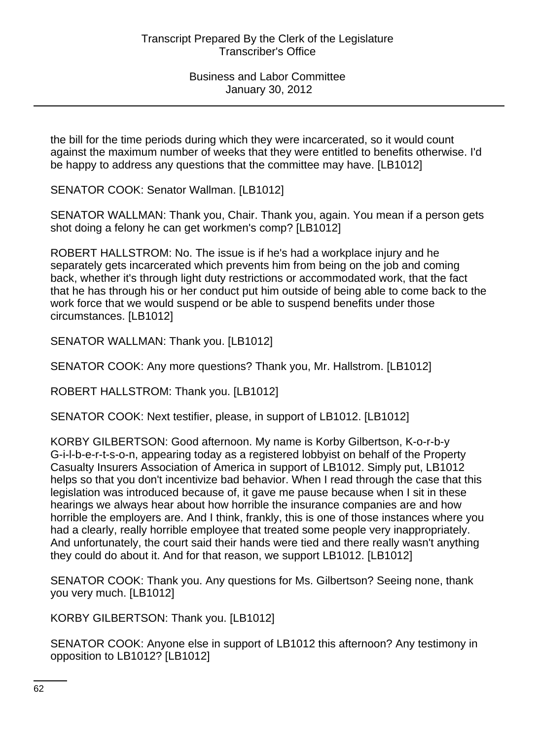the bill for the time periods during which they were incarcerated, so it would count against the maximum number of weeks that they were entitled to benefits otherwise. I'd be happy to address any questions that the committee may have. [LB1012]

SENATOR COOK: Senator Wallman. [LB1012]

SENATOR WALLMAN: Thank you, Chair. Thank you, again. You mean if a person gets shot doing a felony he can get workmen's comp? [LB1012]

ROBERT HALLSTROM: No. The issue is if he's had a workplace injury and he separately gets incarcerated which prevents him from being on the job and coming back, whether it's through light duty restrictions or accommodated work, that the fact that he has through his or her conduct put him outside of being able to come back to the work force that we would suspend or be able to suspend benefits under those circumstances. [LB1012]

SENATOR WALLMAN: Thank you. [LB1012]

SENATOR COOK: Any more questions? Thank you, Mr. Hallstrom. [LB1012]

ROBERT HALLSTROM: Thank you. [LB1012]

SENATOR COOK: Next testifier, please, in support of LB1012. [LB1012]

KORBY GILBERTSON: Good afternoon. My name is Korby Gilbertson, K-o-r-b-y G-i-l-b-e-r-t-s-o-n, appearing today as a registered lobbyist on behalf of the Property Casualty Insurers Association of America in support of LB1012. Simply put, LB1012 helps so that you don't incentivize bad behavior. When I read through the case that this legislation was introduced because of, it gave me pause because when I sit in these hearings we always hear about how horrible the insurance companies are and how horrible the employers are. And I think, frankly, this is one of those instances where you had a clearly, really horrible employee that treated some people very inappropriately. And unfortunately, the court said their hands were tied and there really wasn't anything they could do about it. And for that reason, we support LB1012. [LB1012]

SENATOR COOK: Thank you. Any questions for Ms. Gilbertson? Seeing none, thank you very much. [LB1012]

KORBY GILBERTSON: Thank you. [LB1012]

SENATOR COOK: Anyone else in support of LB1012 this afternoon? Any testimony in opposition to LB1012? [LB1012]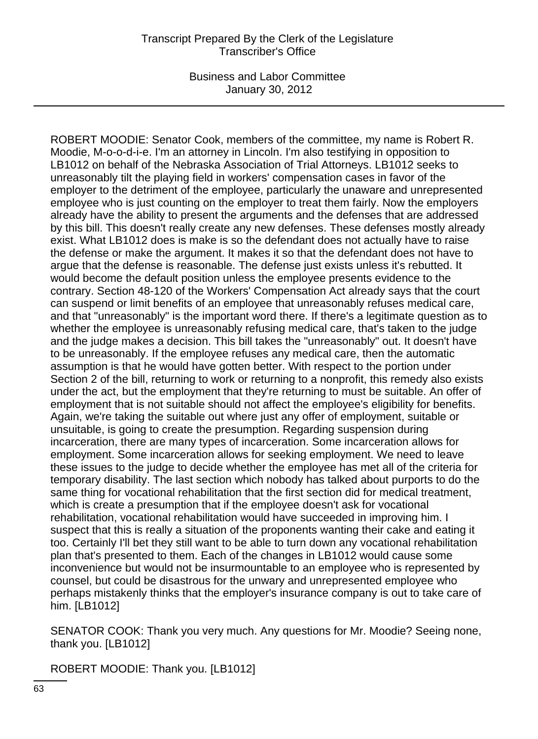ROBERT MOODIE: Senator Cook, members of the committee, my name is Robert R. Moodie, M-o-o-d-i-e. I'm an attorney in Lincoln. I'm also testifying in opposition to LB1012 on behalf of the Nebraska Association of Trial Attorneys. LB1012 seeks to unreasonably tilt the playing field in workers' compensation cases in favor of the employer to the detriment of the employee, particularly the unaware and unrepresented employee who is just counting on the employer to treat them fairly. Now the employers already have the ability to present the arguments and the defenses that are addressed by this bill. This doesn't really create any new defenses. These defenses mostly already exist. What LB1012 does is make is so the defendant does not actually have to raise the defense or make the argument. It makes it so that the defendant does not have to argue that the defense is reasonable. The defense just exists unless it's rebutted. It would become the default position unless the employee presents evidence to the contrary. Section 48-120 of the Workers' Compensation Act already says that the court can suspend or limit benefits of an employee that unreasonably refuses medical care, and that "unreasonably" is the important word there. If there's a legitimate question as to whether the employee is unreasonably refusing medical care, that's taken to the judge and the judge makes a decision. This bill takes the "unreasonably" out. It doesn't have to be unreasonably. If the employee refuses any medical care, then the automatic assumption is that he would have gotten better. With respect to the portion under Section 2 of the bill, returning to work or returning to a nonprofit, this remedy also exists under the act, but the employment that they're returning to must be suitable. An offer of employment that is not suitable should not affect the employee's eligibility for benefits. Again, we're taking the suitable out where just any offer of employment, suitable or unsuitable, is going to create the presumption. Regarding suspension during incarceration, there are many types of incarceration. Some incarceration allows for employment. Some incarceration allows for seeking employment. We need to leave these issues to the judge to decide whether the employee has met all of the criteria for temporary disability. The last section which nobody has talked about purports to do the same thing for vocational rehabilitation that the first section did for medical treatment, which is create a presumption that if the employee doesn't ask for vocational rehabilitation, vocational rehabilitation would have succeeded in improving him. I suspect that this is really a situation of the proponents wanting their cake and eating it too. Certainly I'll bet they still want to be able to turn down any vocational rehabilitation plan that's presented to them. Each of the changes in LB1012 would cause some inconvenience but would not be insurmountable to an employee who is represented by counsel, but could be disastrous for the unwary and unrepresented employee who perhaps mistakenly thinks that the employer's insurance company is out to take care of him. [LB1012]

SENATOR COOK: Thank you very much. Any questions for Mr. Moodie? Seeing none, thank you. [LB1012]

ROBERT MOODIE: Thank you. [LB1012]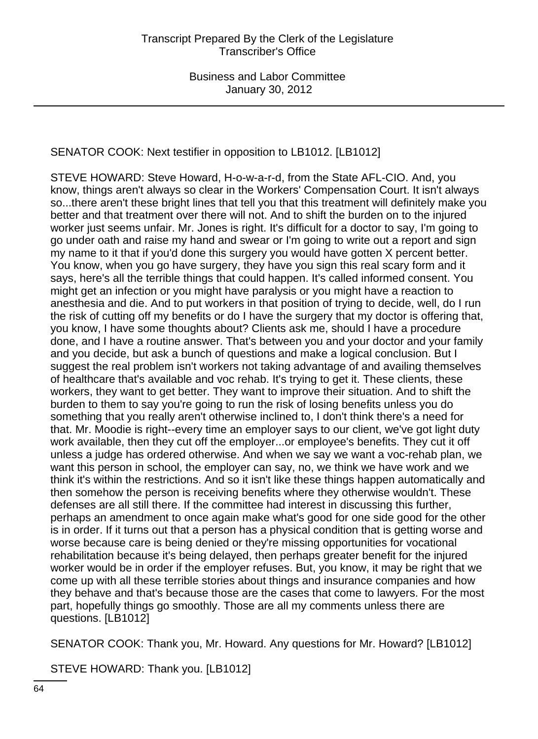# SENATOR COOK: Next testifier in opposition to LB1012. [LB1012]

STEVE HOWARD: Steve Howard, H-o-w-a-r-d, from the State AFL-CIO. And, you know, things aren't always so clear in the Workers' Compensation Court. It isn't always so...there aren't these bright lines that tell you that this treatment will definitely make you better and that treatment over there will not. And to shift the burden on to the injured worker just seems unfair. Mr. Jones is right. It's difficult for a doctor to say, I'm going to go under oath and raise my hand and swear or I'm going to write out a report and sign my name to it that if you'd done this surgery you would have gotten X percent better. You know, when you go have surgery, they have you sign this real scary form and it says, here's all the terrible things that could happen. It's called informed consent. You might get an infection or you might have paralysis or you might have a reaction to anesthesia and die. And to put workers in that position of trying to decide, well, do I run the risk of cutting off my benefits or do I have the surgery that my doctor is offering that, you know, I have some thoughts about? Clients ask me, should I have a procedure done, and I have a routine answer. That's between you and your doctor and your family and you decide, but ask a bunch of questions and make a logical conclusion. But I suggest the real problem isn't workers not taking advantage of and availing themselves of healthcare that's available and voc rehab. It's trying to get it. These clients, these workers, they want to get better. They want to improve their situation. And to shift the burden to them to say you're going to run the risk of losing benefits unless you do something that you really aren't otherwise inclined to, I don't think there's a need for that. Mr. Moodie is right--every time an employer says to our client, we've got light duty work available, then they cut off the employer...or employee's benefits. They cut it off unless a judge has ordered otherwise. And when we say we want a voc-rehab plan, we want this person in school, the employer can say, no, we think we have work and we think it's within the restrictions. And so it isn't like these things happen automatically and then somehow the person is receiving benefits where they otherwise wouldn't. These defenses are all still there. If the committee had interest in discussing this further, perhaps an amendment to once again make what's good for one side good for the other is in order. If it turns out that a person has a physical condition that is getting worse and worse because care is being denied or they're missing opportunities for vocational rehabilitation because it's being delayed, then perhaps greater benefit for the injured worker would be in order if the employer refuses. But, you know, it may be right that we come up with all these terrible stories about things and insurance companies and how they behave and that's because those are the cases that come to lawyers. For the most part, hopefully things go smoothly. Those are all my comments unless there are questions. [LB1012]

SENATOR COOK: Thank you, Mr. Howard. Any questions for Mr. Howard? [LB1012]

STEVE HOWARD: Thank you. [LB1012]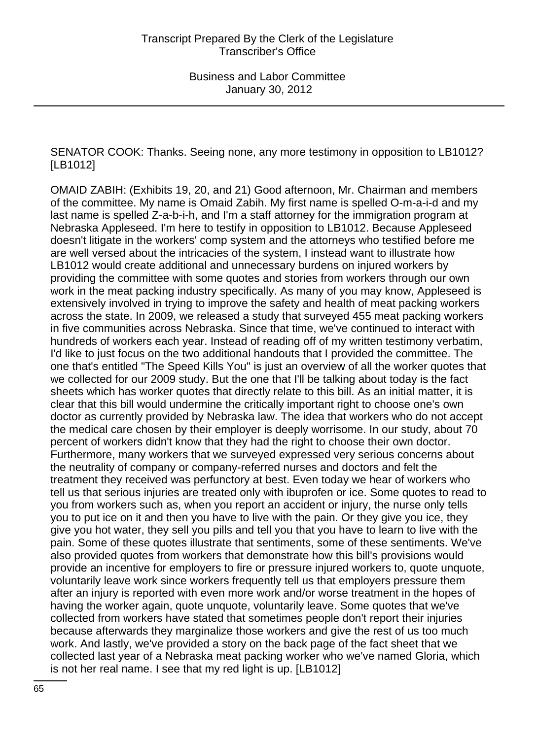SENATOR COOK: Thanks. Seeing none, any more testimony in opposition to LB1012? [LB1012]

OMAID ZABIH: (Exhibits 19, 20, and 21) Good afternoon, Mr. Chairman and members of the committee. My name is Omaid Zabih. My first name is spelled O-m-a-i-d and my last name is spelled Z-a-b-i-h, and I'm a staff attorney for the immigration program at Nebraska Appleseed. I'm here to testify in opposition to LB1012. Because Appleseed doesn't litigate in the workers' comp system and the attorneys who testified before me are well versed about the intricacies of the system, I instead want to illustrate how LB1012 would create additional and unnecessary burdens on injured workers by providing the committee with some quotes and stories from workers through our own work in the meat packing industry specifically. As many of you may know, Appleseed is extensively involved in trying to improve the safety and health of meat packing workers across the state. In 2009, we released a study that surveyed 455 meat packing workers in five communities across Nebraska. Since that time, we've continued to interact with hundreds of workers each year. Instead of reading off of my written testimony verbatim, I'd like to just focus on the two additional handouts that I provided the committee. The one that's entitled "The Speed Kills You" is just an overview of all the worker quotes that we collected for our 2009 study. But the one that I'll be talking about today is the fact sheets which has worker quotes that directly relate to this bill. As an initial matter, it is clear that this bill would undermine the critically important right to choose one's own doctor as currently provided by Nebraska law. The idea that workers who do not accept the medical care chosen by their employer is deeply worrisome. In our study, about 70 percent of workers didn't know that they had the right to choose their own doctor. Furthermore, many workers that we surveyed expressed very serious concerns about the neutrality of company or company-referred nurses and doctors and felt the treatment they received was perfunctory at best. Even today we hear of workers who tell us that serious injuries are treated only with ibuprofen or ice. Some quotes to read to you from workers such as, when you report an accident or injury, the nurse only tells you to put ice on it and then you have to live with the pain. Or they give you ice, they give you hot water, they sell you pills and tell you that you have to learn to live with the pain. Some of these quotes illustrate that sentiments, some of these sentiments. We've also provided quotes from workers that demonstrate how this bill's provisions would provide an incentive for employers to fire or pressure injured workers to, quote unquote, voluntarily leave work since workers frequently tell us that employers pressure them after an injury is reported with even more work and/or worse treatment in the hopes of having the worker again, quote unquote, voluntarily leave. Some quotes that we've collected from workers have stated that sometimes people don't report their injuries because afterwards they marginalize those workers and give the rest of us too much work. And lastly, we've provided a story on the back page of the fact sheet that we collected last year of a Nebraska meat packing worker who we've named Gloria, which is not her real name. I see that my red light is up. [LB1012]